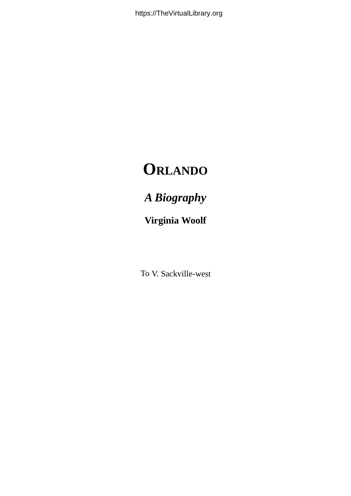# **ORLANDO**

### *A Biography*

**Virginia Woolf**

To V. Sackville-west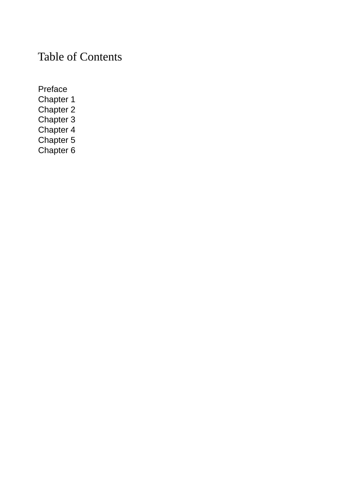#### Table of Contents

[Preface](#page-2-0) [Chapter](#page-3-0) 1 [Chapter](#page-23-0) 2 [Chapter](#page-43-0) 3 [Chapter](#page-56-0) 4 [Chapter](#page-83-0) 5 [Chapter](#page-97-0) 6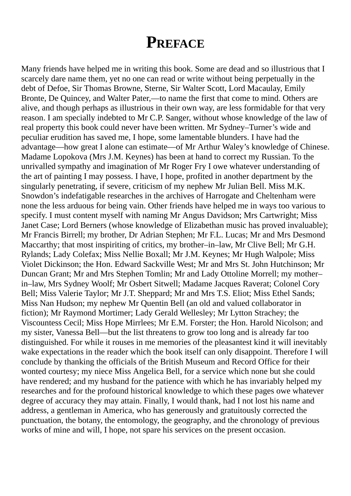## **PREFACE**

<span id="page-2-0"></span>Many friends have helped me in writing this book. Some are dead and so illustrious that I scarcely dare name them, yet no one can read or write without being perpetually in the debt of Defoe, Sir Thomas Browne, Sterne, Sir Walter Scott, Lord Macaulay, Emily Bronte, De Quincey, and Walter Pater,—to name the first that come to mind. Others are alive, and though perhaps as illustrious in their own way, are less formidable for that very reason. I am specially indebted to Mr C.P. Sanger, without whose knowledge of the law of real property this book could never have been written. Mr Sydney–Turner's wide and peculiar erudition has saved me, I hope, some lamentable blunders. I have had the advantage—how great I alone can estimate—of Mr Arthur Waley's knowledge of Chinese. Madame Lopokova (Mrs J.M. Keynes) has been at hand to correct my Russian. To the unrivalled sympathy and imagination of Mr Roger Fry I owe whatever understanding of the art of painting I may possess. I have, I hope, profited in another department by the singularly penetrating, if severe, criticism of my nephew Mr Julian Bell. Miss M.K. Snowdon's indefatigable researches in the archives of Harrogate and Cheltenham were none the less arduous for being vain. Other friends have helped me in ways too various to specify. I must content myself with naming Mr Angus Davidson; Mrs Cartwright; Miss Janet Case; Lord Berners (whose knowledge of Elizabethan music has proved invaluable); Mr Francis Birrell; my brother, Dr Adrian Stephen; Mr F.L. Lucas; Mr and Mrs Desmond Maccarthy; that most inspiriting of critics, my brother–in–law, Mr Clive Bell; Mr G.H. Rylands; Lady Colefax; Miss Nellie Boxall; Mr J.M. Keynes; Mr Hugh Walpole; Miss Violet Dickinson; the Hon. Edward Sackville West; Mr and Mrs St. John Hutchinson; Mr Duncan Grant; Mr and Mrs Stephen Tomlin; Mr and Lady Ottoline Morrell; my mother– in–law, Mrs Sydney Woolf; Mr Osbert Sitwell; Madame Jacques Raverat; Colonel Cory Bell; Miss Valerie Taylor; Mr J.T. Sheppard; Mr and Mrs T.S. Eliot; Miss Ethel Sands; Miss Nan Hudson; my nephew Mr Quentin Bell (an old and valued collaborator in fiction); Mr Raymond Mortimer; Lady Gerald Wellesley; Mr Lytton Strachey; the Viscountess Cecil; Miss Hope Mirrlees; Mr E.M. Forster; the Hon. Harold Nicolson; and my sister, Vanessa Bell—but the list threatens to grow too long and is already far too distinguished. For while it rouses in me memories of the pleasantest kind it will inevitably wake expectations in the reader which the book itself can only disappoint. Therefore I will conclude by thanking the officials of the British Museum and Record Office for their wonted courtesy; my niece Miss Angelica Bell, for a service which none but she could have rendered; and my husband for the patience with which he has invariably helped my researches and for the profound historical knowledge to which these pages owe whatever degree of accuracy they may attain. Finally, I would thank, had I not lost his name and address, a gentleman in America, who has generously and gratuitously corrected the punctuation, the botany, the entomology, the geography, and the chronology of previous works of mine and will, I hope, not spare his services on the present occasion.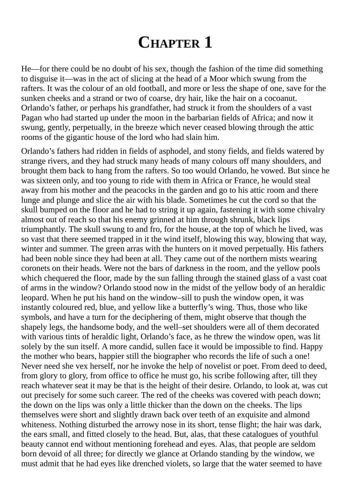# **CHAPTER 1**

<span id="page-3-0"></span>He—for there could be no doubt of his sex, though the fashion of the time did something to disguise it—was in the act of slicing at the head of a Moor which swung from the rafters. It was the colour of an old football, and more or less the shape of one, save for the sunken cheeks and a strand or two of coarse, dry hair, like the hair on a cocoanut. Orlando's father, or perhaps his grandfather, had struck it from the shoulders of a vast Pagan who had started up under the moon in the barbarian fields of Africa; and now it swung, gently, perpetually, in the breeze which never ceased blowing through the attic rooms of the gigantic house of the lord who had slain him.

Orlando's fathers had ridden in fields of asphodel, and stony fields, and fields watered by strange rivers, and they had struck many heads of many colours off many shoulders, and brought them back to hang from the rafters. So too would Orlando, he vowed. But since he was sixteen only, and too young to ride with them in Africa or France, he would steal away from his mother and the peacocks in the garden and go to his attic room and there lunge and plunge and slice the air with his blade. Sometimes he cut the cord so that the skull bumped on the floor and he had to string it up again, fastening it with some chivalry almost out of reach so that his enemy grinned at him through shrunk, black lips triumphantly. The skull swung to and fro, for the house, at the top of which he lived, was so vast that there seemed trapped in it the wind itself, blowing this way, blowing that way, winter and summer. The green arras with the hunters on it moved perpetually. His fathers had been noble since they had been at all. They came out of the northern mists wearing coronets on their heads. Were not the bars of darkness in the room, and the yellow pools which chequered the floor, made by the sun falling through the stained glass of a vast coat of arms in the window? Orlando stood now in the midst of the yellow body of an heraldic leopard. When he put his hand on the window–sill to push the window open, it was instantly coloured red, blue, and yellow like a butterfly's wing. Thus, those who like symbols, and have a turn for the deciphering of them, might observe that though the shapely legs, the handsome body, and the well–set shoulders were all of them decorated with various tints of heraldic light, Orlando's face, as he threw the window open, was lit solely by the sun itself. A more candid, sullen face it would be impossible to find. Happy the mother who bears, happier still the biographer who records the life of such a one! Never need she vex herself, nor he invoke the help of novelist or poet. From deed to deed, from glory to glory, from office to office he must go, his scribe following after, till they reach whatever seat it may be that is the height of their desire. Orlando, to look at, was cut out precisely for some such career. The red of the cheeks was covered with peach down; the down on the lips was only a little thicker than the down on the cheeks. The lips themselves were short and slightly drawn back over teeth of an exquisite and almond whiteness. Nothing disturbed the arrowy nose in its short, tense flight; the hair was dark, the ears small, and fitted closely to the head. But, alas, that these catalogues of youthful beauty cannot end without mentioning forehead and eyes. Alas, that people are seldom born devoid of all three; for directly we glance at Orlando standing by the window, we must admit that he had eyes like drenched violets, so large that the water seemed to have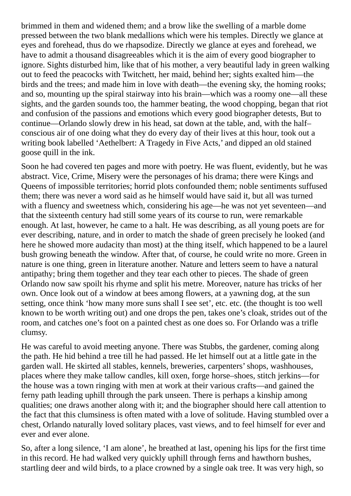brimmed in them and widened them; and a brow like the swelling of a marble dome pressed between the two blank medallions which were his temples. Directly we glance at eyes and forehead, thus do we rhapsodize. Directly we glance at eyes and forehead, we have to admit a thousand disagreeables which it is the aim of every good biographer to ignore. Sights disturbed him, like that of his mother, a very beautiful lady in green walking out to feed the peacocks with Twitchett, her maid, behind her; sights exalted him—the birds and the trees; and made him in love with death—the evening sky, the homing rooks; and so, mounting up the spiral stairway into his brain—which was a roomy one—all these sights, and the garden sounds too, the hammer beating, the wood chopping, began that riot and confusion of the passions and emotions which every good biographer detests, But to continue—Orlando slowly drew in his head, sat down at the table, and, with the half– conscious air of one doing what they do every day of their lives at this hour, took out a writing book labelled 'Aethelbert: A Tragedy in Five Acts,' and dipped an old stained goose quill in the ink.

Soon he had covered ten pages and more with poetry. He was fluent, evidently, but he was abstract. Vice, Crime, Misery were the personages of his drama; there were Kings and Queens of impossible territories; horrid plots confounded them; noble sentiments suffused them; there was never a word said as he himself would have said it, but all was turned with a fluency and sweetness which, considering his age—he was not yet seventeen—and that the sixteenth century had still some years of its course to run, were remarkable enough. At last, however, he came to a halt. He was describing, as all young poets are for ever describing, nature, and in order to match the shade of green precisely he looked (and here he showed more audacity than most) at the thing itself, which happened to be a laurel bush growing beneath the window. After that, of course, he could write no more. Green in nature is one thing, green in literature another. Nature and letters seem to have a natural antipathy; bring them together and they tear each other to pieces. The shade of green Orlando now saw spoilt his rhyme and split his metre. Moreover, nature has tricks of her own. Once look out of a window at bees among flowers, at a yawning dog, at the sun setting, once think 'how many more suns shall I see set', etc. etc. (the thought is too well known to be worth writing out) and one drops the pen, takes one's cloak, strides out of the room, and catches one's foot on a painted chest as one does so. For Orlando was a trifle clumsy.

He was careful to avoid meeting anyone. There was Stubbs, the gardener, coming along the path. He hid behind a tree till he had passed. He let himself out at a little gate in the garden wall. He skirted all stables, kennels, breweries, carpenters'shops, washhouses, places where they make tallow candles, kill oxen, forge horse–shoes, stitch jerkins—for the house was a town ringing with men at work at their various crafts—and gained the ferny path leading uphill through the park unseen. There is perhaps a kinship among qualities; one draws another along with it; and the biographer should here call attention to the fact that this clumsiness is often mated with a love of solitude. Having stumbled over a chest, Orlando naturally loved solitary places, vast views, and to feel himself for ever and ever and ever alone.

So, after a long silence, 'I am alone', he breathed at last, opening his lips for the first time in this record. He had walked very quickly uphill through ferns and hawthorn bushes, startling deer and wild birds, to a place crowned by a single oak tree. It was very high, so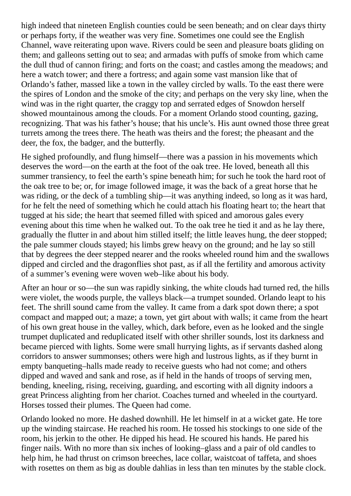high indeed that nineteen English counties could be seen beneath; and on clear days thirty or perhaps forty, if the weather was very fine. Sometimes one could see the English Channel, wave reiterating upon wave. Rivers could be seen and pleasure boats gliding on them; and galleons setting out to sea; and armadas with puffs of smoke from which came the dull thud of cannon firing; and forts on the coast; and castles among the meadows; and here a watch tower; and there a fortress; and again some vast mansion like that of Orlando's father, massed like a town in the valley circled by walls. To the east there were the spires of London and the smoke of the city; and perhaps on the very sky line, when the wind was in the right quarter, the craggy top and serrated edges of Snowdon herself showed mountainous among the clouds. For a moment Orlando stood counting, gazing, recognizing. That was his father's house; that his uncle's. His aunt owned those three great turrets among the trees there. The heath was theirs and the forest; the pheasant and the deer, the fox, the badger, and the butterfly.

He sighed profoundly, and flung himself—there was a passion in his movements which deserves the word—on the earth at the foot of the oak tree. He loved, beneath all this summer transiency, to feel the earth's spine beneath him; for such he took the hard root of the oak tree to be; or, for image followed image, it was the back of a great horse that he was riding, or the deck of a tumbling ship—it was anything indeed, so long as it was hard, for he felt the need of something which he could attach his floating heart to; the heart that tugged at his side; the heart that seemed filled with spiced and amorous gales every evening about this time when he walked out. To the oak tree he tied it and as he lay there, gradually the flutter in and about him stilled itself; the little leaves hung, the deer stopped; the pale summer clouds stayed; his limbs grew heavy on the ground; and he lay so still that by degrees the deer stepped nearer and the rooks wheeled round him and the swallows dipped and circled and the dragonflies shot past, as if all the fertility and amorous activity of a summer's evening were woven web–like about his body.

After an hour or so—the sun was rapidly sinking, the white clouds had turned red, the hills were violet, the woods purple, the valleys black—a trumpet sounded. Orlando leapt to his feet. The shrill sound came from the valley. It came from a dark spot down there; a spot compact and mapped out; a maze; a town, yet girt about with walls; it came from the heart of his own great house in the valley, which, dark before, even as he looked and the single trumpet duplicated and reduplicated itself with other shriller sounds, lost its darkness and became pierced with lights. Some were small hurrying lights, as if servants dashed along corridors to answer summonses; others were high and lustrous lights, as if they burnt in empty banqueting–halls made ready to receive guests who had not come; and others dipped and waved and sank and rose, as if held in the hands of troops of serving men, bending, kneeling, rising, receiving, guarding, and escorting with all dignity indoors a great Princess alighting from her chariot. Coaches turned and wheeled in the courtyard. Horses tossed their plumes. The Queen had come.

Orlando looked no more. He dashed downhill. He let himself in at a wicket gate. He tore up the winding staircase. He reached his room. He tossed his stockings to one side of the room, his jerkin to the other. He dipped his head. He scoured his hands. He pared his finger nails. With no more than six inches of looking–glass and a pair of old candles to help him, he had thrust on crimson breeches, lace collar, waistcoat of taffeta, and shoes with rosettes on them as big as double dahlias in less than ten minutes by the stable clock.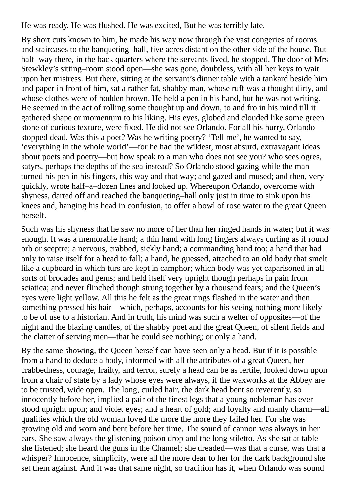He was ready. He was flushed. He was excited, But he was terribly late.

By short cuts known to him, he made his way now through the vast congeries of rooms and staircases to the banqueting–hall, five acres distant on the other side of the house. But half–way there, in the back quarters where the servants lived, he stopped. The door of Mrs Stewkley's sitting–room stood open—she was gone, doubtless, with all her keys to wait upon her mistress. But there, sitting at the servant's dinner table with a tankard beside him and paper in front of him, sat a rather fat, shabby man, whose ruff was a thought dirty, and whose clothes were of hodden brown. He held a pen in his hand, but he was not writing. He seemed in the act of rolling some thought up and down, to and fro in his mind till it gathered shape or momentum to his liking. His eyes, globed and clouded like some green stone of curious texture, were fixed. He did not see Orlando. For all his hurry, Orlando stopped dead. Was this a poet? Was he writing poetry? 'Tell me', he wanted to say, 'everything in the whole world'—for he had the wildest, most absurd, extravagant ideas about poets and poetry—but how speak to a man who does not see you? who sees ogres, satyrs, perhaps the depths of the sea instead? So Orlando stood gazing while the man turned his pen in his fingers, this way and that way; and gazed and mused; and then, very quickly, wrote half–a–dozen lines and looked up. Whereupon Orlando, overcome with shyness, darted off and reached the banqueting–hall only just in time to sink upon his knees and, hanging his head in confusion, to offer a bowl of rose water to the great Queen herself.

Such was his shyness that he saw no more of her than her ringed hands in water; but it was enough. It was a memorable hand; a thin hand with long fingers always curling as if round orb or sceptre; a nervous, crabbed, sickly hand; a commanding hand too; a hand that had only to raise itself for a head to fall; a hand, he guessed, attached to an old body that smelt like a cupboard in which furs are kept in camphor; which body was yet caparisoned in all sorts of brocades and gems; and held itself very upright though perhaps in pain from sciatica; and never flinched though strung together by a thousand fears; and the Queen's eyes were light yellow. All this he felt as the great rings flashed in the water and then something pressed his hair—which, perhaps, accounts for his seeing nothing more likely to be of use to a historian. And in truth, his mind was such a welter of opposites—of the night and the blazing candles, of the shabby poet and the great Queen, of silent fields and the clatter of serving men—that he could see nothing; or only a hand.

By the same showing, the Queen herself can have seen only a head. But if it is possible from a hand to deduce a body, informed with all the attributes of a great Queen, her crabbedness, courage, frailty, and terror, surely a head can be as fertile, looked down upon from a chair of state by a lady whose eyes were always, if the waxworks at the Abbey are to be trusted, wide open. The long, curled hair, the dark head bent so reverently, so innocently before her, implied a pair of the finest legs that a young nobleman has ever stood upright upon; and violet eyes; and a heart of gold; and loyalty and manly charm—all qualities which the old woman loved the more the more they failed her. For she was growing old and worn and bent before her time. The sound of cannon was always in her ears. She saw always the glistening poison drop and the long stiletto. As she sat at table she listened; she heard the guns in the Channel; she dreaded—was that a curse, was that a whisper? Innocence, simplicity, were all the more dear to her for the dark background she set them against. And it was that same night, so tradition has it, when Orlando was sound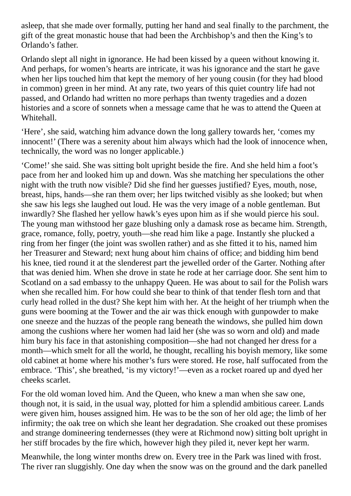asleep, that she made over formally, putting her hand and seal finally to the parchment, the gift of the great monastic house that had been the Archbishop's and then the King's to Orlando's father.

Orlando slept all night in ignorance. He had been kissed by a queen without knowing it. And perhaps, for women's hearts are intricate, it was his ignorance and the start he gave when her lips touched him that kept the memory of her young cousin (for they had blood in common) green in her mind. At any rate, two years of this quiet country life had not passed, and Orlando had written no more perhaps than twenty tragedies and a dozen histories and a score of sonnets when a message came that he was to attend the Queen at Whitehall.

'Here', she said, watching him advance down the long gallery towards her, 'comes my innocent!' (There was a serenity about him always which had the look of innocence when, technically, the word was no longer applicable.)

'Come!'she said. She was sitting bolt upright beside the fire. And she held him a foot's pace from her and looked him up and down. Was she matching her speculations the other night with the truth now visible? Did she find her guesses justified? Eyes, mouth, nose, breast, hips, hands—she ran them over; her lips twitched visibly as she looked; but when she saw his legs she laughed out loud. He was the very image of a noble gentleman. But inwardly? She flashed her yellow hawk's eyes upon him as if she would pierce his soul. The young man withstood her gaze blushing only a damask rose as became him. Strength, grace, romance, folly, poetry, youth—she read him like a page. Instantly she plucked a ring from her finger (the joint was swollen rather) and as she fitted it to his, named him her Treasurer and Steward; next hung about him chains of office; and bidding him bend his knee, tied round it at the slenderest part the jewelled order of the Garter. Nothing after that was denied him. When she drove in state he rode at her carriage door. She sent him to Scotland on a sad embassy to the unhappy Queen. He was about to sail for the Polish wars when she recalled him. For how could she bear to think of that tender flesh torn and that curly head rolled in the dust? She kept him with her. At the height of her triumph when the guns were booming at the Tower and the air was thick enough with gunpowder to make one sneeze and the huzzas of the people rang beneath the windows, she pulled him down among the cushions where her women had laid her (she was so worn and old) and made him bury his face in that astonishing composition—she had not changed her dress for a month—which smelt for all the world, he thought, recalling his boyish memory, like some old cabinet at home where his mother's furs were stored. He rose, half suffocated from the embrace. 'This', she breathed, 'is my victory!'—even as a rocket roared up and dyed her cheeks scarlet.

For the old woman loved him. And the Queen, who knew a man when she saw one, though not, it is said, in the usual way, plotted for him a splendid ambitious career. Lands were given him, houses assigned him. He was to be the son of her old age; the limb of her infirmity; the oak tree on which she leant her degradation. She croaked out these promises and strange domineering tendernesses (they were at Richmond now) sitting bolt upright in her stiff brocades by the fire which, however high they piled it, never kept her warm.

Meanwhile, the long winter months drew on. Every tree in the Park was lined with frost. The river ran sluggishly. One day when the snow was on the ground and the dark panelled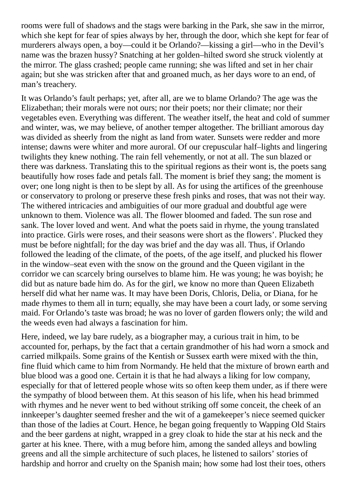rooms were full of shadows and the stags were barking in the Park, she saw in the mirror, which she kept for fear of spies always by her, through the door, which she kept for fear of murderers always open, a boy—could it be Orlando?—kissing a girl—who in the Devil's name was the brazen hussy? Snatching at her golden–hilted sword she struck violently at the mirror. The glass crashed; people came running; she was lifted and set in her chair again; but she was stricken after that and groaned much, as her days wore to an end, of man's treachery.

It was Orlando's fault perhaps; yet, after all, are we to blame Orlando? The age was the Elizabethan; their morals were not ours; nor their poets; nor their climate; nor their vegetables even. Everything was different. The weather itself, the heat and cold of summer and winter, was, we may believe, of another temper altogether. The brilliant amorous day was divided as sheerly from the night as land from water. Sunsets were redder and more intense; dawns were whiter and more auroral. Of our crepuscular half–lights and lingering twilights they knew nothing. The rain fell vehemently, or not at all. The sun blazed or there was darkness. Translating this to the spiritual regions as their wont is, the poets sang beautifully how roses fade and petals fall. The moment is brief they sang; the moment is over; one long night is then to be slept by all. As for using the artifices of the greenhouse or conservatory to prolong or preserve these fresh pinks and roses, that was not their way. The withered intricacies and ambiguities of our more gradual and doubtful age were unknown to them. Violence was all. The flower bloomed and faded. The sun rose and sank. The lover loved and went. And what the poets said in rhyme, the young translated into practice. Girls were roses, and their seasons were short as the flowers'. Plucked they must be before nightfall; for the day was brief and the day was all. Thus, if Orlando followed the leading of the climate, of the poets, of the age itself, and plucked his flower in the window–seat even with the snow on the ground and the Queen vigilant in the corridor we can scarcely bring ourselves to blame him. He was young; he was boyish; he did but as nature bade him do. As for the girl, we know no more than Queen Elizabeth herself did what her name was. It may have been Doris, Chloris, Delia, or Diana, for he made rhymes to them all in turn; equally, she may have been a court lady, or some serving maid. For Orlando's taste was broad; he was no lover of garden flowers only; the wild and the weeds even had always a fascination for him.

Here, indeed, we lay bare rudely, as a biographer may, a curious trait in him, to be accounted for, perhaps, by the fact that a certain grandmother of his had worn a smock and carried milkpails. Some grains of the Kentish or Sussex earth were mixed with the thin, fine fluid which came to him from Normandy. He held that the mixture of brown earth and blue blood was a good one. Certain it is that he had always a liking for low company, especially for that of lettered people whose wits so often keep them under, as if there were the sympathy of blood between them. At this season of his life, when his head brimmed with rhymes and he never went to bed without striking off some conceit, the cheek of an innkeeper's daughter seemed fresher and the wit of a gamekeeper's niece seemed quicker than those of the ladies at Court. Hence, he began going frequently to Wapping Old Stairs and the beer gardens at night, wrapped in a grey cloak to hide the star at his neck and the garter at his knee. There, with a mug before him, among the sanded alleys and bowling greens and all the simple architecture of such places, he listened to sailors' stories of hardship and horror and cruelty on the Spanish main; how some had lost their toes, others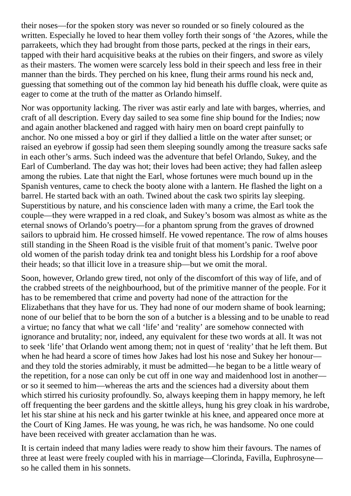their noses—for the spoken story was never so rounded or so finely coloured as the written. Especially he loved to hear them volley forth their songs of 'the Azores, while the parrakeets, which they had brought from those parts, pecked at the rings in their ears, tapped with their hard acquisitive beaks at the rubies on their fingers, and swore as vilely as their masters. The women were scarcely less bold in their speech and less free in their manner than the birds. They perched on his knee, flung their arms round his neck and, guessing that something out of the common lay hid beneath his duffle cloak, were quite as eager to come at the truth of the matter as Orlando himself.

Nor was opportunity lacking. The river was astir early and late with barges, wherries, and craft of all description. Every day sailed to sea some fine ship bound for the Indies; now and again another blackened and ragged with hairy men on board crept painfully to anchor. No one missed a boy or girl if they dallied a little on the water after sunset; or raised an eyebrow if gossip had seen them sleeping soundly among the treasure sacks safe in each other's arms. Such indeed was the adventure that befel Orlando, Sukey, and the Earl of Cumberland. The day was hot; their loves had been active; they had fallen asleep among the rubies. Late that night the Earl, whose fortunes were much bound up in the Spanish ventures, came to check the booty alone with a lantern. He flashed the light on a barrel. He started back with an oath. Twined about the cask two spirits lay sleeping. Superstitious by nature, and his conscience laden with many a crime, the Earl took the couple—they were wrapped in a red cloak, and Sukey's bosom was almost as white as the eternal snows of Orlando's poetry—for a phantom sprung from the graves of drowned sailors to upbraid him. He crossed himself. He vowed repentance. The row of alms houses still standing in the Sheen Road is the visible fruit of that moment's panic. Twelve poor old women of the parish today drink tea and tonight bless his Lordship for a roof above their heads; so that illicit love in a treasure ship—but we omit the moral.

Soon, however, Orlando grew tired, not only of the discomfort of this way of life, and of the crabbed streets of the neighbourhood, but of the primitive manner of the people. For it has to be remembered that crime and poverty had none of the attraction for the Elizabethans that they have for us. They had none of our modern shame of book learning; none of our belief that to be born the son of a butcher is a blessing and to be unable to read a virtue; no fancy that what we call 'life' and 'reality' are somehow connected with ignorance and brutality; nor, indeed, any equivalent for these two words at all. It was not to seek 'life' that Orlando went among them; not in quest of 'reality' that he left them. But when he had heard a score of times how Jakes had lost his nose and Sukey her honour and they told the stories admirably, it must be admitted—he began to be a little weary of the repetition, for a nose can only be cut off in one way and maidenhood lost in another or so it seemed to him—whereas the arts and the sciences had a diversity about them which stirred his curiosity profoundly. So, always keeping them in happy memory, he left off frequenting the beer gardens and the skittle alleys, hung his grey cloak in his wardrobe, let his star shine at his neck and his garter twinkle at his knee, and appeared once more at the Court of King James. He was young, he was rich, he was handsome. No one could have been received with greater acclamation than he was.

It is certain indeed that many ladies were ready to show him their favours. The names of three at least were freely coupled with his in marriage—Clorinda, Favilla, Euphrosyne so he called them in his sonnets.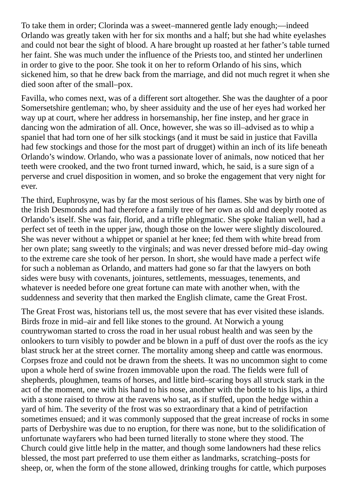To take them in order; Clorinda was a sweet–mannered gentle lady enough;—indeed Orlando was greatly taken with her for six months and a half; but she had white eyelashes and could not bear the sight of blood. A hare brought up roasted at her father's table turned her faint. She was much under the influence of the Priests too, and stinted her underlinen in order to give to the poor. She took it on her to reform Orlando of his sins, which sickened him, so that he drew back from the marriage, and did not much regret it when she died soon after of the small–pox.

Favilla, who comes next, was of a different sort altogether. She was the daughter of a poor Somersetshire gentleman; who, by sheer assiduity and the use of her eyes had worked her way up at court, where her address in horsemanship, her fine instep, and her grace in dancing won the admiration of all. Once, however, she was so ill–advised as to whip a spaniel that had torn one of her silk stockings (and it must be said in justice that Favilla had few stockings and those for the most part of drugget) within an inch of its life beneath Orlando's window. Orlando, who was a passionate lover of animals, now noticed that her teeth were crooked, and the two front turned inward, which, he said, is a sure sign of a perverse and cruel disposition in women, and so broke the engagement that very night for ever.

The third, Euphrosyne, was by far the most serious of his flames. She was by birth one of the Irish Desmonds and had therefore a family tree of her own as old and deeply rooted as Orlando's itself. She was fair, florid, and a trifle phlegmatic. She spoke Italian well, had a perfect set of teeth in the upper jaw, though those on the lower were slightly discoloured. She was never without a whippet or spaniel at her knee; fed them with white bread from her own plate; sang sweetly to the virginals; and was never dressed before mid–day owing to the extreme care she took of her person. In short, she would have made a perfect wife for such a nobleman as Orlando, and matters had gone so far that the lawyers on both sides were busy with covenants, jointures, settlements, messuages, tenements, and whatever is needed before one great fortune can mate with another when, with the suddenness and severity that then marked the English climate, came the Great Frost.

The Great Frost was, historians tell us, the most severe that has ever visited these islands. Birds froze in mid–air and fell like stones to the ground. At Norwich a young countrywoman started to cross the road in her usual robust health and was seen by the onlookers to turn visibly to powder and be blown in a puff of dust over the roofs as the icy blast struck her at the street corner. The mortality among sheep and cattle was enormous. Corpses froze and could not be drawn from the sheets. It was no uncommon sight to come upon a whole herd of swine frozen immovable upon the road. The fields were full of shepherds, ploughmen, teams of horses, and little bird–scaring boys all struck stark in the act of the moment, one with his hand to his nose, another with the bottle to his lips, a third with a stone raised to throw at the ravens who sat, as if stuffed, upon the hedge within a yard of him. The severity of the frost was so extraordinary that a kind of petrifaction sometimes ensued; and it was commonly supposed that the great increase of rocks in some parts of Derbyshire was due to no eruption, for there was none, but to the solidification of unfortunate wayfarers who had been turned literally to stone where they stood. The Church could give little help in the matter, and though some landowners had these relics blessed, the most part preferred to use them either as landmarks, scratching–posts for sheep, or, when the form of the stone allowed, drinking troughs for cattle, which purposes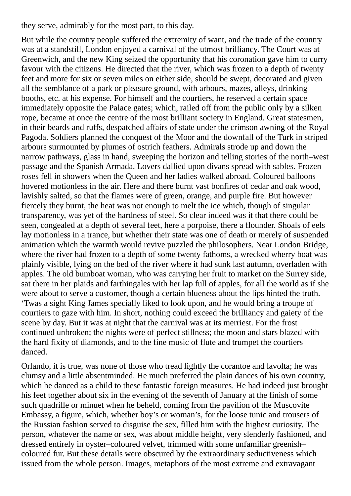they serve, admirably for the most part, to this day.

But while the country people suffered the extremity of want, and the trade of the country was at a standstill, London enjoyed a carnival of the utmost brilliancy. The Court was at Greenwich, and the new King seized the opportunity that his coronation gave him to curry favour with the citizens. He directed that the river, which was frozen to a depth of twenty feet and more for six or seven miles on either side, should be swept, decorated and given all the semblance of a park or pleasure ground, with arbours, mazes, alleys, drinking booths, etc. at his expense. For himself and the courtiers, he reserved a certain space immediately opposite the Palace gates; which, railed off from the public only by a silken rope, became at once the centre of the most brilliant society in England. Great statesmen, in their beards and ruffs, despatched affairs of state under the crimson awning of the Royal Pagoda. Soldiers planned the conquest of the Moor and the downfall of the Turk in striped arbours surmounted by plumes of ostrich feathers. Admirals strode up and down the narrow pathways, glass in hand, sweeping the horizon and telling stories of the north–west passage and the Spanish Armada. Lovers dallied upon divans spread with sables. Frozen roses fell in showers when the Queen and her ladies walked abroad. Coloured balloons hovered motionless in the air. Here and there burnt vast bonfires of cedar and oak wood, lavishly salted, so that the flames were of green, orange, and purple fire. But however fiercely they burnt, the heat was not enough to melt the ice which, though of singular transparency, was yet of the hardness of steel. So clear indeed was it that there could be seen, congealed at a depth of several feet, here a porpoise, there a flounder. Shoals of eels lay motionless in a trance, but whether their state was one of death or merely of suspended animation which the warmth would revive puzzled the philosophers. Near London Bridge, where the river had frozen to a depth of some twenty fathoms, a wrecked wherry boat was plainly visible, lying on the bed of the river where it had sunk last autumn, overladen with apples. The old bumboat woman, who was carrying her fruit to market on the Surrey side, sat there in her plaids and farthingales with her lap full of apples, for all the world as if she were about to serve a customer, though a certain blueness about the lips hinted the truth. 'Twas a sight King James specially liked to look upon, and he would bring a troupe of courtiers to gaze with him. In short, nothing could exceed the brilliancy and gaiety of the scene by day. But it was at night that the carnival was at its merriest. For the frost continued unbroken; the nights were of perfect stillness; the moon and stars blazed with the hard fixity of diamonds, and to the fine music of flute and trumpet the courtiers danced.

Orlando, it is true, was none of those who tread lightly the corantoe and lavolta; he was clumsy and a little absentminded. He much preferred the plain dances of his own country, which he danced as a child to these fantastic foreign measures. He had indeed just brought his feet together about six in the evening of the seventh of January at the finish of some such quadrille or minuet when he beheld, coming from the pavilion of the Muscovite Embassy, a figure, which, whether boy's or woman's, for the loose tunic and trousers of the Russian fashion served to disguise the sex, filled him with the highest curiosity. The person, whatever the name or sex, was about middle height, very slenderly fashioned, and dressed entirely in oyster–coloured velvet, trimmed with some unfamiliar greenish– coloured fur. But these details were obscured by the extraordinary seductiveness which issued from the whole person. Images, metaphors of the most extreme and extravagant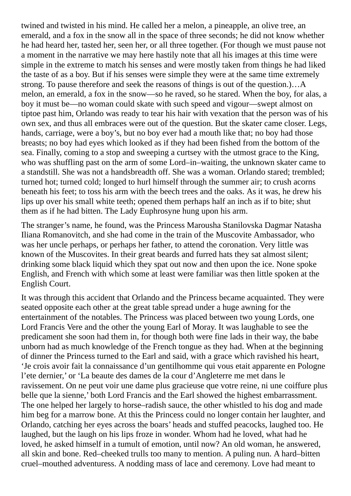twined and twisted in his mind. He called her a melon, a pineapple, an olive tree, an emerald, and a fox in the snow all in the space of three seconds; he did not know whether he had heard her, tasted her, seen her, or all three together. (For though we must pause not a moment in the narrative we may here hastily note that all his images at this time were simple in the extreme to match his senses and were mostly taken from things he had liked the taste of as a boy. But if his senses were simple they were at the same time extremely strong. To pause therefore and seek the reasons of things is out of the question.)…A melon, an emerald, a fox in the snow—so he raved, so he stared. When the boy, for alas, a boy it must be—no woman could skate with such speed and vigour—swept almost on tiptoe past him, Orlando was ready to tear his hair with vexation that the person was of his own sex, and thus all embraces were out of the question. But the skater came closer. Legs, hands, carriage, were a boy's, but no boy ever had a mouth like that; no boy had those breasts; no boy had eyes which looked as if they had been fished from the bottom of the sea. Finally, coming to a stop and sweeping a curtsey with the utmost grace to the King, who was shuffling past on the arm of some Lord–in–waiting, the unknown skater came to a standstill. She was not a handsbreadth off. She was a woman. Orlando stared; trembled; turned hot; turned cold; longed to hurl himself through the summer air; to crush acorns beneath his feet; to toss his arm with the beech trees and the oaks. As it was, he drew his lips up over his small white teeth; opened them perhaps half an inch as if to bite; shut them as if he had bitten. The Lady Euphrosyne hung upon his arm.

The stranger's name, he found, was the Princess Marousha Stanilovska Dagmar Natasha Iliana Romanovitch, and she had come in the train of the Muscovite Ambassador, who was her uncle perhaps, or perhaps her father, to attend the coronation. Very little was known of the Muscovites. In their great beards and furred hats they sat almost silent; drinking some black liquid which they spat out now and then upon the ice. None spoke English, and French with which some at least were familiar was then little spoken at the English Court.

It was through this accident that Orlando and the Princess became acquainted. They were seated opposite each other at the great table spread under a huge awning for the entertainment of the notables. The Princess was placed between two young Lords, one Lord Francis Vere and the other the young Earl of Moray. It was laughable to see the predicament she soon had them in, for though both were fine lads in their way, the babe unborn had as much knowledge of the French tongue as they had. When at the beginning of dinner the Princess turned to the Earl and said, with a grace which ravished his heart, 'Je crois avoir fait la connaissance d'un gentilhomme qui vous etait apparente en Pologne l'ete dernier,' or 'La beaute des dames de la cour d'Angleterre me met dans le ravissement. On ne peut voir une dame plus gracieuse que votre reine, ni une coiffure plus belle que la sienne,' both Lord Francis and the Earl showed the highest embarrassment. The one helped her largely to horse–radish sauce, the other whistled to his dog and made him beg for a marrow bone. At this the Princess could no longer contain her laughter, and Orlando, catching her eyes across the boars' heads and stuffed peacocks, laughed too. He laughed, but the laugh on his lips froze in wonder. Whom had he loved, what had he loved, he asked himself in a tumult of emotion, until now? An old woman, he answered, all skin and bone. Red–cheeked trulls too many to mention. A puling nun. A hard–bitten cruel–mouthed adventuress. A nodding mass of lace and ceremony. Love had meant to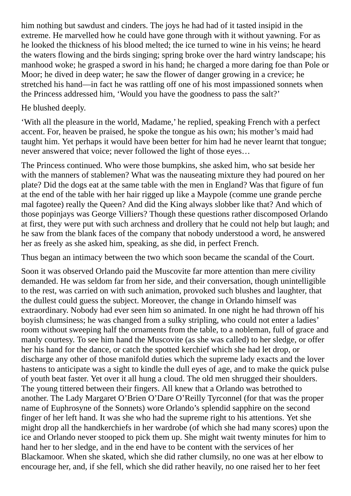him nothing but sawdust and cinders. The joys he had had of it tasted insipid in the extreme. He marvelled how he could have gone through with it without yawning. For as he looked the thickness of his blood melted; the ice turned to wine in his veins; he heard the waters flowing and the birds singing; spring broke over the hard wintry landscape; his manhood woke; he grasped a sword in his hand; he charged a more daring foe than Pole or Moor; he dived in deep water; he saw the flower of danger growing in a crevice; he stretched his hand—in fact he was rattling off one of his most impassioned sonnets when the Princess addressed him, 'Would you have the goodness to pass the salt?'

#### He blushed deeply.

'With all the pleasure in the world, Madame,' he replied, speaking French with a perfect accent. For, heaven be praised, he spoke the tongue as his own; his mother's maid had taught him. Yet perhaps it would have been better for him had he never learnt that tongue; never answered that voice; never followed the light of those eyes…

The Princess continued. Who were those bumpkins, she asked him, who sat beside her with the manners of stablemen? What was the nauseating mixture they had poured on her plate? Did the dogs eat at the same table with the men in England? Was that figure of fun at the end of the table with her hair rigged up like a Maypole (comme une grande perche mal fagotee) really the Queen? And did the King always slobber like that? And which of those popinjays was George Villiers? Though these questions rather discomposed Orlando at first, they were put with such archness and drollery that he could not help but laugh; and he saw from the blank faces of the company that nobody understood a word, he answered her as freely as she asked him, speaking, as she did, in perfect French.

Thus began an intimacy between the two which soon became the scandal of the Court.

Soon it was observed Orlando paid the Muscovite far more attention than mere civility demanded. He was seldom far from her side, and their conversation, though unintelligible to the rest, was carried on with such animation, provoked such blushes and laughter, that the dullest could guess the subject. Moreover, the change in Orlando himself was extraordinary. Nobody had ever seen him so animated. In one night he had thrown off his boyish clumsiness; he was changed from a sulky stripling, who could not enter a ladies' room without sweeping half the ornaments from the table, to a nobleman, full of grace and manly courtesy. To see him hand the Muscovite (as she was called) to her sledge, or offer her his hand for the dance, or catch the spotted kerchief which she had let drop, or discharge any other of those manifold duties which the supreme lady exacts and the lover hastens to anticipate was a sight to kindle the dull eyes of age, and to make the quick pulse of youth beat faster. Yet over it all hung a cloud. The old men shrugged their shoulders. The young tittered between their fingers. All knew that a Orlando was betrothed to another. The Lady Margaret O'Brien O'Dare O'Reilly Tyrconnel (for that was the proper name of Euphrosyne of the Sonnets) wore Orlando's splendid sapphire on the second finger of her left hand. It was she who had the supreme right to his attentions. Yet she might drop all the handkerchiefs in her wardrobe (of which she had many scores) upon the ice and Orlando never stooped to pick them up. She might wait twenty minutes for him to hand her to her sledge, and in the end have to be content with the services of her Blackamoor. When she skated, which she did rather clumsily, no one was at her elbow to encourage her, and, if she fell, which she did rather heavily, no one raised her to her feet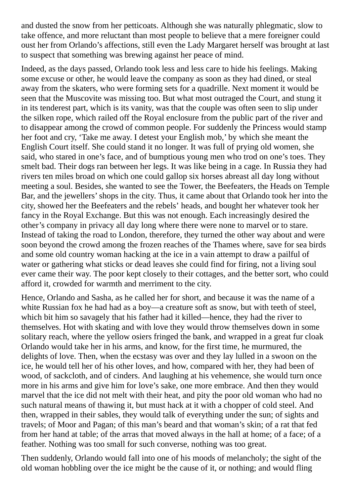and dusted the snow from her petticoats. Although she was naturally phlegmatic, slow to take offence, and more reluctant than most people to believe that a mere foreigner could oust her from Orlando's affections, still even the Lady Margaret herself was brought at last to suspect that something was brewing against her peace of mind.

Indeed, as the days passed, Orlando took less and less care to hide his feelings. Making some excuse or other, he would leave the company as soon as they had dined, or steal away from the skaters, who were forming sets for a quadrille. Next moment it would be seen that the Muscovite was missing too. But what most outraged the Court, and stung it in its tenderest part, which is its vanity, was that the couple was often seen to slip under the silken rope, which railed off the Royal enclosure from the public part of the river and to disappear among the crowd of common people. For suddenly the Princess would stamp her foot and cry, 'Take me away. I detest your English mob,' by which she meant the English Court itself. She could stand it no longer. It was full of prying old women, she said, who stared in one's face, and of bumptious young men who trod on one's toes. They smelt bad. Their dogs ran between her legs. It was like being in a cage. In Russia they had rivers ten miles broad on which one could gallop six horses abreast all day long without meeting a soul. Besides, she wanted to see the Tower, the Beefeaters, the Heads on Temple Bar, and the jewellers'shops in the city. Thus, it came about that Orlando took her into the city, showed her the Beefeaters and the rebels' heads, and bought her whatever took her fancy in the Royal Exchange. But this was not enough. Each increasingly desired the other's company in privacy all day long where there were none to marvel or to stare. Instead of taking the road to London, therefore, they turned the other way about and were soon beyond the crowd among the frozen reaches of the Thames where, save for sea birds and some old country woman hacking at the ice in a vain attempt to draw a pailful of water or gathering what sticks or dead leaves she could find for firing, not a living soul ever came their way. The poor kept closely to their cottages, and the better sort, who could afford it, crowded for warmth and merriment to the city.

Hence, Orlando and Sasha, as he called her for short, and because it was the name of a white Russian fox he had had as a boy—a creature soft as snow, but with teeth of steel, which bit him so savagely that his father had it killed—hence, they had the river to themselves. Hot with skating and with love they would throw themselves down in some solitary reach, where the yellow osiers fringed the bank, and wrapped in a great fur cloak Orlando would take her in his arms, and know, for the first time, he murmured, the delights of love. Then, when the ecstasy was over and they lay lulled in a swoon on the ice, he would tell her of his other loves, and how, compared with her, they had been of wood, of sackcloth, and of cinders. And laughing at his vehemence, she would turn once more in his arms and give him for love's sake, one more embrace. And then they would marvel that the ice did not melt with their heat, and pity the poor old woman who had no such natural means of thawing it, but must hack at it with a chopper of cold steel. And then, wrapped in their sables, they would talk of everything under the sun; of sights and travels; of Moor and Pagan; of this man's beard and that woman's skin; of a rat that fed from her hand at table; of the arras that moved always in the hall at home; of a face; of a feather. Nothing was too small for such converse, nothing was too great.

Then suddenly, Orlando would fall into one of his moods of melancholy; the sight of the old woman hobbling over the ice might be the cause of it, or nothing; and would fling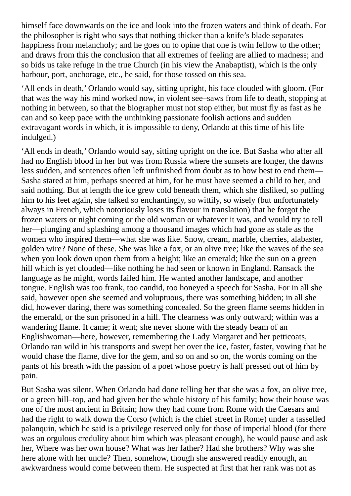himself face downwards on the ice and look into the frozen waters and think of death. For the philosopher is right who says that nothing thicker than a knife's blade separates happiness from melancholy; and he goes on to opine that one is twin fellow to the other; and draws from this the conclusion that all extremes of feeling are allied to madness; and so bids us take refuge in the true Church (in his view the Anabaptist), which is the only harbour, port, anchorage, etc., he said, for those tossed on this sea.

'All ends in death,' Orlando would say, sitting upright, his face clouded with gloom. (For that was the way his mind worked now, in violent see–saws from life to death, stopping at nothing in between, so that the biographer must not stop either, but must fly as fast as he can and so keep pace with the unthinking passionate foolish actions and sudden extravagant words in which, it is impossible to deny, Orlando at this time of his life indulged.)

'All ends in death,' Orlando would say, sitting upright on the ice. But Sasha who after all had no English blood in her but was from Russia where the sunsets are longer, the dawns less sudden, and sentences often left unfinished from doubt as to how best to end them— Sasha stared at him, perhaps sneered at him, for he must have seemed a child to her, and said nothing. But at length the ice grew cold beneath them, which she disliked, so pulling him to his feet again, she talked so enchantingly, so wittily, so wisely (but unfortunately always in French, which notoriously loses its flavour in translation) that he forgot the frozen waters or night coming or the old woman or whatever it was, and would try to tell her—plunging and splashing among a thousand images which had gone as stale as the women who inspired them—what she was like. Snow, cream, marble, cherries, alabaster, golden wire? None of these. She was like a fox, or an olive tree; like the waves of the sea when you look down upon them from a height; like an emerald; like the sun on a green hill which is yet clouded—like nothing he had seen or known in England. Ransack the language as he might, words failed him. He wanted another landscape, and another tongue. English was too frank, too candid, too honeyed a speech for Sasha. For in all she said, however open she seemed and voluptuous, there was something hidden; in all she did, however daring, there was something concealed. So the green flame seems hidden in the emerald, or the sun prisoned in a hill. The clearness was only outward; within was a wandering flame. It came; it went; she never shone with the steady beam of an Englishwoman—here, however, remembering the Lady Margaret and her petticoats, Orlando ran wild in his transports and swept her over the ice, faster, faster, vowing that he would chase the flame, dive for the gem, and so on and so on, the words coming on the pants of his breath with the passion of a poet whose poetry is half pressed out of him by pain.

But Sasha was silent. When Orlando had done telling her that she was a fox, an olive tree, or a green hill–top, and had given her the whole history of his family; how their house was one of the most ancient in Britain; how they had come from Rome with the Caesars and had the right to walk down the Corso (which is the chief street in Rome) under a tasselled palanquin, which he said is a privilege reserved only for those of imperial blood (for there was an orgulous credulity about him which was pleasant enough), he would pause and ask her, Where was her own house? What was her father? Had she brothers? Why was she here alone with her uncle? Then, somehow, though she answered readily enough, an awkwardness would come between them. He suspected at first that her rank was not as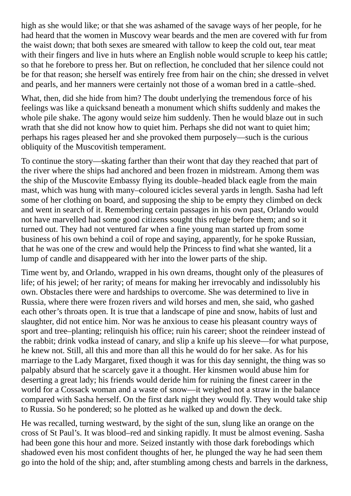high as she would like; or that she was ashamed of the savage ways of her people, for he had heard that the women in Muscovy wear beards and the men are covered with fur from the waist down; that both sexes are smeared with tallow to keep the cold out, tear meat with their fingers and live in huts where an English noble would scruple to keep his cattle; so that he forebore to press her. But on reflection, he concluded that her silence could not be for that reason; she herself was entirely free from hair on the chin; she dressed in velvet and pearls, and her manners were certainly not those of a woman bred in a cattle–shed.

What, then, did she hide from him? The doubt underlying the tremendous force of his feelings was like a quicksand beneath a monument which shifts suddenly and makes the whole pile shake. The agony would seize him suddenly. Then he would blaze out in such wrath that she did not know how to quiet him. Perhaps she did not want to quiet him; perhaps his rages pleased her and she provoked them purposely—such is the curious obliquity of the Muscovitish temperament.

To continue the story—skating farther than their wont that day they reached that part of the river where the ships had anchored and been frozen in midstream. Among them was the ship of the Muscovite Embassy flying its double–headed black eagle from the main mast, which was hung with many–coloured icicles several yards in length. Sasha had left some of her clothing on board, and supposing the ship to be empty they climbed on deck and went in search of it. Remembering certain passages in his own past, Orlando would not have marvelled had some good citizens sought this refuge before them; and so it turned out. They had not ventured far when a fine young man started up from some business of his own behind a coil of rope and saying, apparently, for he spoke Russian, that he was one of the crew and would help the Princess to find what she wanted, lit a lump of candle and disappeared with her into the lower parts of the ship.

Time went by, and Orlando, wrapped in his own dreams, thought only of the pleasures of life; of his jewel; of her rarity; of means for making her irrevocably and indissolubly his own. Obstacles there were and hardships to overcome. She was determined to live in Russia, where there were frozen rivers and wild horses and men, she said, who gashed each other's throats open. It is true that a landscape of pine and snow, habits of lust and slaughter, did not entice him. Nor was he anxious to cease his pleasant country ways of sport and tree–planting; relinquish his office; ruin his career; shoot the reindeer instead of the rabbit; drink vodka instead of canary, and slip a knife up his sleeve—for what purpose, he knew not. Still, all this and more than all this he would do for her sake. As for his marriage to the Lady Margaret, fixed though it was for this day sennight, the thing was so palpably absurd that he scarcely gave it a thought. Her kinsmen would abuse him for deserting a great lady; his friends would deride him for ruining the finest career in the world for a Cossack woman and a waste of snow—it weighed not a straw in the balance compared with Sasha herself. On the first dark night they would fly. They would take ship to Russia. So he pondered; so he plotted as he walked up and down the deck.

He was recalled, turning westward, by the sight of the sun, slung like an orange on the cross of St Paul's. It was blood–red and sinking rapidly. It must be almost evening. Sasha had been gone this hour and more. Seized instantly with those dark forebodings which shadowed even his most confident thoughts of her, he plunged the way he had seen them go into the hold of the ship; and, after stumbling among chests and barrels in the darkness,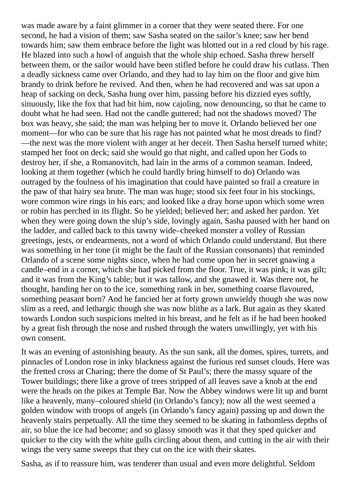was made aware by a faint glimmer in a corner that they were seated there. For one second, he had a vision of them; saw Sasha seated on the sailor's knee; saw her bend towards him; saw them embrace before the light was blotted out in a red cloud by his rage. He blazed into such a howl of anguish that the whole ship echoed. Sasha threw herself between them, or the sailor would have been stifled before he could draw his cutlass. Then a deadly sickness came over Orlando, and they had to lay him on the floor and give him brandy to drink before he revived. And then, when he had recovered and was sat upon a heap of sacking on deck, Sasha hung over him, passing before his dizzied eyes softly, sinuously, like the fox that had bit him, now cajoling, now denouncing, so that he came to doubt what he had seen. Had not the candle guttered; had not the shadows moved? The box was heavy, she said; the man was helping her to move it. Orlando believed her one moment—for who can be sure that his rage has not painted what he most dreads to find? —the next was the more violent with anger at her deceit. Then Sasha herself turned white; stamped her foot on deck; said she would go that night, and called upon her Gods to destroy her, if she, a Romanovitch, had lain in the arms of a common seaman. Indeed, looking at them together (which he could hardly bring himself to do) Orlando was outraged by the foulness of his imagination that could have painted so frail a creature in the paw of that hairy sea brute. The man was huge; stood six feet four in his stockings, wore common wire rings in his ears; and looked like a dray horse upon which some wren or robin has perched in its flight. So he yielded; believed her; and asked her pardon. Yet when they were going down the ship's side, lovingly again, Sasha paused with her hand on the ladder, and called back to this tawny wide–cheeked monster a volley of Russian greetings, jests, or endearments, not a word of which Orlando could understand. But there was something in her tone (it might be the fault of the Russian consonants) that reminded Orlando of a scene some nights since, when he had come upon her in secret gnawing a candle–end in a corner, which she had picked from the floor. True, it was pink; it was gilt; and it was from the King's table; but it was tallow, and she gnawed it. Was there not, he thought, handing her on to the ice, something rank in her, something coarse flavoured, something peasant born? And he fancied her at forty grown unwieldy though she was now slim as a reed, and lethargic though she was now blithe as a lark. But again as they skated towards London such suspicions melted in his breast, and he felt as if he had been hooked by a great fish through the nose and rushed through the waters unwillingly, yet with his own consent.

It was an evening of astonishing beauty. As the sun sank, all the domes, spires, turrets, and pinnacles of London rose in inky blackness against the furious red sunset clouds. Here was the fretted cross at Charing; there the dome of St Paul's; there the massy square of the Tower buildings; there like a grove of trees stripped of all leaves save a knob at the end were the heads on the pikes at Temple Bar. Now the Abbey windows were lit up and burnt like a heavenly, many–coloured shield (in Orlando's fancy); now all the west seemed a golden window with troops of angels (in Orlando's fancy again) passing up and down the heavenly stairs perpetually. All the time they seemed to be skating in fathomless depths of air, so blue the ice had become; and so glassy smooth was it that they sped quicker and quicker to the city with the white gulls circling about them, and cutting in the air with their wings the very same sweeps that they cut on the ice with their skates.

Sasha, as if to reassure him, was tenderer than usual and even more delightful. Seldom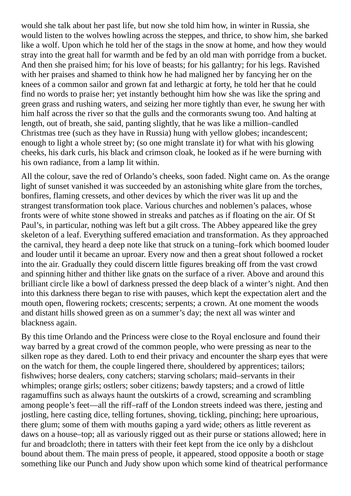would she talk about her past life, but now she told him how, in winter in Russia, she would listen to the wolves howling across the steppes, and thrice, to show him, she barked like a wolf. Upon which he told her of the stags in the snow at home, and how they would stray into the great hall for warmth and be fed by an old man with porridge from a bucket. And then she praised him; for his love of beasts; for his gallantry; for his legs. Ravished with her praises and shamed to think how he had maligned her by fancying her on the knees of a common sailor and grown fat and lethargic at forty, he told her that he could find no words to praise her; yet instantly bethought him how she was like the spring and green grass and rushing waters, and seizing her more tightly than ever, he swung her with him half across the river so that the gulls and the cormorants swung too. And halting at length, out of breath, she said, panting slightly, that he was like a million–candled Christmas tree (such as they have in Russia) hung with yellow globes; incandescent; enough to light a whole street by; (so one might translate it) for what with his glowing cheeks, his dark curls, his black and crimson cloak, he looked as if he were burning with his own radiance, from a lamp lit within.

All the colour, save the red of Orlando's cheeks, soon faded. Night came on. As the orange light of sunset vanished it was succeeded by an astonishing white glare from the torches, bonfires, flaming cressets, and other devices by which the river was lit up and the strangest transformation took place. Various churches and noblemen's palaces, whose fronts were of white stone showed in streaks and patches as if floating on the air. Of St Paul's, in particular, nothing was left but a gilt cross. The Abbey appeared like the grey skeleton of a leaf. Everything suffered emaciation and transformation. As they approached the carnival, they heard a deep note like that struck on a tuning–fork which boomed louder and louder until it became an uproar. Every now and then a great shout followed a rocket into the air. Gradually they could discern little figures breaking off from the vast crowd and spinning hither and thither like gnats on the surface of a river. Above and around this brilliant circle like a bowl of darkness pressed the deep black of a winter's night. And then into this darkness there began to rise with pauses, which kept the expectation alert and the mouth open, flowering rockets; crescents; serpents; a crown. At one moment the woods and distant hills showed green as on a summer's day; the next all was winter and blackness again.

By this time Orlando and the Princess were close to the Royal enclosure and found their way barred by a great crowd of the common people, who were pressing as near to the silken rope as they dared. Loth to end their privacy and encounter the sharp eyes that were on the watch for them, the couple lingered there, shouldered by apprentices; tailors; fishwives; horse dealers, cony catchers; starving scholars; maid–servants in their whimples; orange girls; ostlers; sober citizens; bawdy tapsters; and a crowd of little ragamuffins such as always haunt the outskirts of a crowd, screaming and scrambling among people's feet—all the riff–raff of the London streets indeed was there, jesting and jostling, here casting dice, telling fortunes, shoving, tickling, pinching; here uproarious, there glum; some of them with mouths gaping a yard wide; others as little reverent as daws on a house–top; all as variously rigged out as their purse or stations allowed; here in fur and broadcloth; there in tatters with their feet kept from the ice only by a dishclout bound about them. The main press of people, it appeared, stood opposite a booth or stage something like our Punch and Judy show upon which some kind of theatrical performance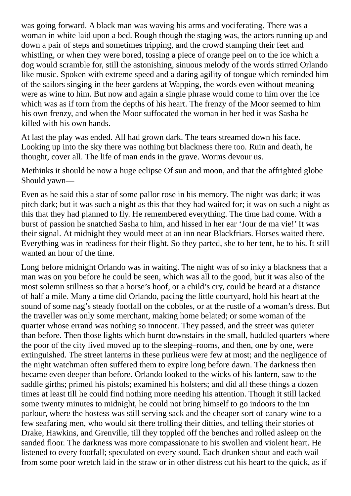was going forward. A black man was waving his arms and vociferating. There was a woman in white laid upon a bed. Rough though the staging was, the actors running up and down a pair of steps and sometimes tripping, and the crowd stamping their feet and whistling, or when they were bored, tossing a piece of orange peel on to the ice which a dog would scramble for, still the astonishing, sinuous melody of the words stirred Orlando like music. Spoken with extreme speed and a daring agility of tongue which reminded him of the sailors singing in the beer gardens at Wapping, the words even without meaning were as wine to him. But now and again a single phrase would come to him over the ice which was as if torn from the depths of his heart. The frenzy of the Moor seemed to him his own frenzy, and when the Moor suffocated the woman in her bed it was Sasha he killed with his own hands.

At last the play was ended. All had grown dark. The tears streamed down his face. Looking up into the sky there was nothing but blackness there too. Ruin and death, he thought, cover all. The life of man ends in the grave. Worms devour us.

Methinks it should be now a huge eclipse Of sun and moon, and that the affrighted globe Should yawn—

Even as he said this a star of some pallor rose in his memory. The night was dark; it was pitch dark; but it was such a night as this that they had waited for; it was on such a night as this that they had planned to fly. He remembered everything. The time had come. With a burst of passion he snatched Sasha to him, and hissed in her ear 'Jour de ma vie!' It was their signal. At midnight they would meet at an inn near Blackfriars. Horses waited there. Everything was in readiness for their flight. So they parted, she to her tent, he to his. It still wanted an hour of the time.

Long before midnight Orlando was in waiting. The night was of so inky a blackness that a man was on you before he could be seen, which was all to the good, but it was also of the most solemn stillness so that a horse's hoof, or a child's cry, could be heard at a distance of half a mile. Many a time did Orlando, pacing the little courtyard, hold his heart at the sound of some nag's steady footfall on the cobbles, or at the rustle of a woman's dress. But the traveller was only some merchant, making home belated; or some woman of the quarter whose errand was nothing so innocent. They passed, and the street was quieter than before. Then those lights which burnt downstairs in the small, huddled quarters where the poor of the city lived moved up to the sleeping–rooms, and then, one by one, were extinguished. The street lanterns in these purlieus were few at most; and the negligence of the night watchman often suffered them to expire long before dawn. The darkness then became even deeper than before. Orlando looked to the wicks of his lantern, saw to the saddle girths; primed his pistols; examined his holsters; and did all these things a dozen times at least till he could find nothing more needing his attention. Though it still lacked some twenty minutes to midnight, he could not bring himself to go indoors to the inn parlour, where the hostess was still serving sack and the cheaper sort of canary wine to a few seafaring men, who would sit there trolling their ditties, and telling their stories of Drake, Hawkins, and Grenville, till they toppled off the benches and rolled asleep on the sanded floor. The darkness was more compassionate to his swollen and violent heart. He listened to every footfall; speculated on every sound. Each drunken shout and each wail from some poor wretch laid in the straw or in other distress cut his heart to the quick, as if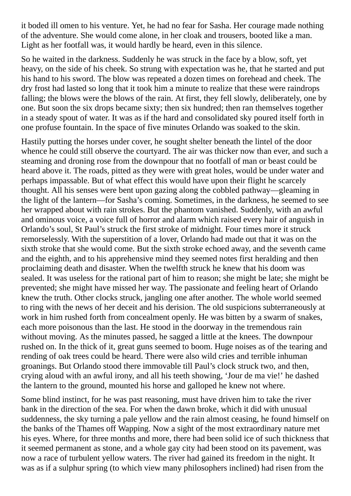it boded ill omen to his venture. Yet, he had no fear for Sasha. Her courage made nothing of the adventure. She would come alone, in her cloak and trousers, booted like a man. Light as her footfall was, it would hardly be heard, even in this silence.

So he waited in the darkness. Suddenly he was struck in the face by a blow, soft, yet heavy, on the side of his cheek. So strung with expectation was he, that he started and put his hand to his sword. The blow was repeated a dozen times on forehead and cheek. The dry frost had lasted so long that it took him a minute to realize that these were raindrops falling; the blows were the blows of the rain. At first, they fell slowly, deliberately, one by one. But soon the six drops became sixty; then six hundred; then ran themselves together in a steady spout of water. It was as if the hard and consolidated sky poured itself forth in one profuse fountain. In the space of five minutes Orlando was soaked to the skin.

Hastily putting the horses under cover, he sought shelter beneath the lintel of the door whence he could still observe the courtyard. The air was thicker now than ever, and such a steaming and droning rose from the downpour that no footfall of man or beast could be heard above it. The roads, pitted as they were with great holes, would be under water and perhaps impassable. But of what effect this would have upon their flight he scarcely thought. All his senses were bent upon gazing along the cobbled pathway—gleaming in the light of the lantern—for Sasha's coming. Sometimes, in the darkness, he seemed to see her wrapped about with rain strokes. But the phantom vanished. Suddenly, with an awful and ominous voice, a voice full of horror and alarm which raised every hair of anguish in Orlando's soul, St Paul's struck the first stroke of midnight. Four times more it struck remorselessly. With the superstition of a lover, Orlando had made out that it was on the sixth stroke that she would come. But the sixth stroke echoed away, and the seventh came and the eighth, and to his apprehensive mind they seemed notes first heralding and then proclaiming death and disaster. When the twelfth struck he knew that his doom was sealed. It was useless for the rational part of him to reason; she might be late; she might be prevented; she might have missed her way. The passionate and feeling heart of Orlando knew the truth. Other clocks struck, jangling one after another. The whole world seemed to ring with the news of her deceit and his derision. The old suspicions subterraneously at work in him rushed forth from concealment openly. He was bitten by a swarm of snakes, each more poisonous than the last. He stood in the doorway in the tremendous rain without moving. As the minutes passed, he sagged a little at the knees. The downpour rushed on. In the thick of it, great guns seemed to boom. Huge noises as of the tearing and rending of oak trees could be heard. There were also wild cries and terrible inhuman groanings. But Orlando stood there immovable till Paul's clock struck two, and then, crying aloud with an awful irony, and all his teeth showing, 'Jour de ma vie!' he dashed the lantern to the ground, mounted his horse and galloped he knew not where.

Some blind instinct, for he was past reasoning, must have driven him to take the river bank in the direction of the sea. For when the dawn broke, which it did with unusual suddenness, the sky turning a pale yellow and the rain almost ceasing, he found himself on the banks of the Thames off Wapping. Now a sight of the most extraordinary nature met his eyes. Where, for three months and more, there had been solid ice of such thickness that it seemed permanent as stone, and a whole gay city had been stood on its pavement, was now a race of turbulent yellow waters. The river had gained its freedom in the night. It was as if a sulphur spring (to which view many philosophers inclined) had risen from the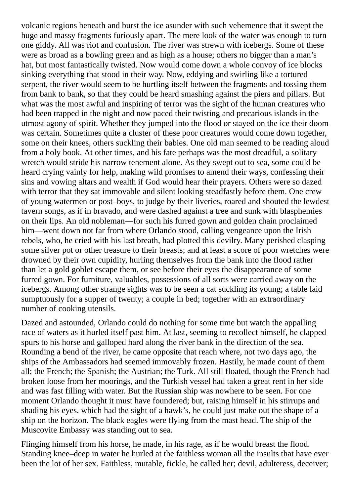volcanic regions beneath and burst the ice asunder with such vehemence that it swept the huge and massy fragments furiously apart. The mere look of the water was enough to turn one giddy. All was riot and confusion. The river was strewn with icebergs. Some of these were as broad as a bowling green and as high as a house; others no bigger than a man's hat, but most fantastically twisted. Now would come down a whole convoy of ice blocks sinking everything that stood in their way. Now, eddying and swirling like a tortured serpent, the river would seem to be hurtling itself between the fragments and tossing them from bank to bank, so that they could be heard smashing against the piers and pillars. But what was the most awful and inspiring of terror was the sight of the human creatures who had been trapped in the night and now paced their twisting and precarious islands in the utmost agony of spirit. Whether they jumped into the flood or stayed on the ice their doom was certain. Sometimes quite a cluster of these poor creatures would come down together, some on their knees, others suckling their babies. One old man seemed to be reading aloud from a holy book. At other times, and his fate perhaps was the most dreadful, a solitary wretch would stride his narrow tenement alone. As they swept out to sea, some could be heard crying vainly for help, making wild promises to amend their ways, confessing their sins and vowing altars and wealth if God would hear their prayers. Others were so dazed with terror that they sat immovable and silent looking steadfastly before them. One crew of young watermen or post–boys, to judge by their liveries, roared and shouted the lewdest tavern songs, as if in bravado, and were dashed against a tree and sunk with blasphemies on their lips. An old nobleman—for such his furred gown and golden chain proclaimed him—went down not far from where Orlando stood, calling vengeance upon the Irish rebels, who, he cried with his last breath, had plotted this devilry. Many perished clasping some silver pot or other treasure to their breasts; and at least a score of poor wretches were drowned by their own cupidity, hurling themselves from the bank into the flood rather than let a gold goblet escape them, or see before their eyes the disappearance of some furred gown. For furniture, valuables, possessions of all sorts were carried away on the icebergs. Among other strange sights was to be seen a cat suckling its young; a table laid sumptuously for a supper of twenty; a couple in bed; together with an extraordinary number of cooking utensils.

Dazed and astounded, Orlando could do nothing for some time but watch the appalling race of waters as it hurled itself past him. At last, seeming to recollect himself, he clapped spurs to his horse and galloped hard along the river bank in the direction of the sea. Rounding a bend of the river, he came opposite that reach where, not two days ago, the ships of the Ambassadors had seemed immovably frozen. Hastily, he made count of them all; the French; the Spanish; the Austrian; the Turk. All still floated, though the French had broken loose from her moorings, and the Turkish vessel had taken a great rent in her side and was fast filling with water. But the Russian ship was nowhere to be seen. For one moment Orlando thought it must have foundered; but, raising himself in his stirrups and shading his eyes, which had the sight of a hawk's, he could just make out the shape of a ship on the horizon. The black eagles were flying from the mast head. The ship of the Muscovite Embassy was standing out to sea.

Flinging himself from his horse, he made, in his rage, as if he would breast the flood. Standing knee–deep in water he hurled at the faithless woman all the insults that have ever been the lot of her sex. Faithless, mutable, fickle, he called her; devil, adulteress, deceiver;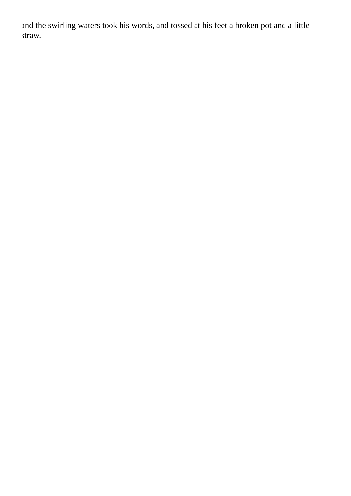and the swirling waters took his words, and tossed at his feet a broken pot and a little straw.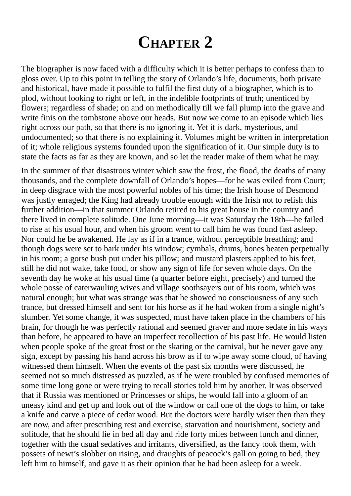# **CHAPTER 2**

<span id="page-23-0"></span>The biographer is now faced with a difficulty which it is better perhaps to confess than to gloss over. Up to this point in telling the story of Orlando's life, documents, both private and historical, have made it possible to fulfil the first duty of a biographer, which is to plod, without looking to right or left, in the indelible footprints of truth; unenticed by flowers; regardless of shade; on and on methodically till we fall plump into the grave and write finis on the tombstone above our heads. But now we come to an episode which lies right across our path, so that there is no ignoring it. Yet it is dark, mysterious, and undocumented; so that there is no explaining it. Volumes might be written in interpretation of it; whole religious systems founded upon the signification of it. Our simple duty is to state the facts as far as they are known, and so let the reader make of them what he may.

In the summer of that disastrous winter which saw the frost, the flood, the deaths of many thousands, and the complete downfall of Orlando's hopes—for he was exiled from Court; in deep disgrace with the most powerful nobles of his time; the Irish house of Desmond was justly enraged; the King had already trouble enough with the Irish not to relish this further addition—in that summer Orlando retired to his great house in the country and there lived in complete solitude. One June morning—it was Saturday the 18th—he failed to rise at his usual hour, and when his groom went to call him he was found fast asleep. Nor could he be awakened. He lay as if in a trance, without perceptible breathing; and though dogs were set to bark under his window; cymbals, drums, bones beaten perpetually in his room; a gorse bush put under his pillow; and mustard plasters applied to his feet, still he did not wake, take food, or show any sign of life for seven whole days. On the seventh day he woke at his usual time (a quarter before eight, precisely) and turned the whole posse of caterwauling wives and village soothsayers out of his room, which was natural enough; but what was strange was that he showed no consciousness of any such trance, but dressed himself and sent for his horse as if he had woken from a single night's slumber. Yet some change, it was suspected, must have taken place in the chambers of his brain, for though he was perfectly rational and seemed graver and more sedate in his ways than before, he appeared to have an imperfect recollection of his past life. He would listen when people spoke of the great frost or the skating or the carnival, but he never gave any sign, except by passing his hand across his brow as if to wipe away some cloud, of having witnessed them himself. When the events of the past six months were discussed, he seemed not so much distressed as puzzled, as if he were troubled by confused memories of some time long gone or were trying to recall stories told him by another. It was observed that if Russia was mentioned or Princesses or ships, he would fall into a gloom of an uneasy kind and get up and look out of the window or call one of the dogs to him, or take a knife and carve a piece of cedar wood. But the doctors were hardly wiser then than they are now, and after prescribing rest and exercise, starvation and nourishment, society and solitude, that he should lie in bed all day and ride forty miles between lunch and dinner, together with the usual sedatives and irritants, diversified, as the fancy took them, with possets of newt's slobber on rising, and draughts of peacock's gall on going to bed, they left him to himself, and gave it as their opinion that he had been asleep for a week.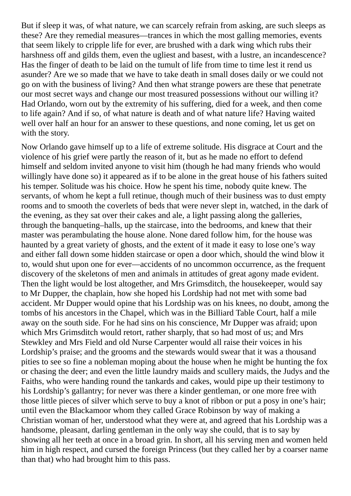But if sleep it was, of what nature, we can scarcely refrain from asking, are such sleeps as these? Are they remedial measures—trances in which the most galling memories, events that seem likely to cripple life for ever, are brushed with a dark wing which rubs their harshness off and gilds them, even the ugliest and basest, with a lustre, an incandescence? Has the finger of death to be laid on the tumult of life from time to time lest it rend us asunder? Are we so made that we have to take death in small doses daily or we could not go on with the business of living? And then what strange powers are these that penetrate our most secret ways and change our most treasured possessions without our willing it? Had Orlando, worn out by the extremity of his suffering, died for a week, and then come to life again? And if so, of what nature is death and of what nature life? Having waited well over half an hour for an answer to these questions, and none coming, let us get on with the story.

Now Orlando gave himself up to a life of extreme solitude. His disgrace at Court and the violence of his grief were partly the reason of it, but as he made no effort to defend himself and seldom invited anyone to visit him (though he had many friends who would willingly have done so) it appeared as if to be alone in the great house of his fathers suited his temper. Solitude was his choice. How he spent his time, nobody quite knew. The servants, of whom he kept a full retinue, though much of their business was to dust empty rooms and to smooth the coverlets of beds that were never slept in, watched, in the dark of the evening, as they sat over their cakes and ale, a light passing along the galleries, through the banqueting–halls, up the staircase, into the bedrooms, and knew that their master was perambulating the house alone. None dared follow him, for the house was haunted by a great variety of ghosts, and the extent of it made it easy to lose one's way and either fall down some hidden staircase or open a door which, should the wind blow it to, would shut upon one for ever—accidents of no uncommon occurrence, as the frequent discovery of the skeletons of men and animals in attitudes of great agony made evident. Then the light would be lost altogether, and Mrs Grimsditch, the housekeeper, would say to Mr Dupper, the chaplain, how she hoped his Lordship had not met with some bad accident. Mr Dupper would opine that his Lordship was on his knees, no doubt, among the tombs of his ancestors in the Chapel, which was in the Billiard Table Court, half a mile away on the south side. For he had sins on his conscience, Mr Dupper was afraid; upon which Mrs Grimsditch would retort, rather sharply, that so had most of us; and Mrs Stewkley and Mrs Field and old Nurse Carpenter would all raise their voices in his Lordship's praise; and the grooms and the stewards would swear that it was a thousand pities to see so fine a nobleman moping about the house when he might be hunting the fox or chasing the deer; and even the little laundry maids and scullery maids, the Judys and the Faiths, who were handing round the tankards and cakes, would pipe up their testimony to his Lordship's gallantry; for never was there a kinder gentleman, or one more free with those little pieces of silver which serve to buy a knot of ribbon or put a posy in one's hair; until even the Blackamoor whom they called Grace Robinson by way of making a Christian woman of her, understood what they were at, and agreed that his Lordship was a handsome, pleasant, darling gentleman in the only way she could, that is to say by showing all her teeth at once in a broad grin. In short, all his serving men and women held him in high respect, and cursed the foreign Princess (but they called her by a coarser name than that) who had brought him to this pass.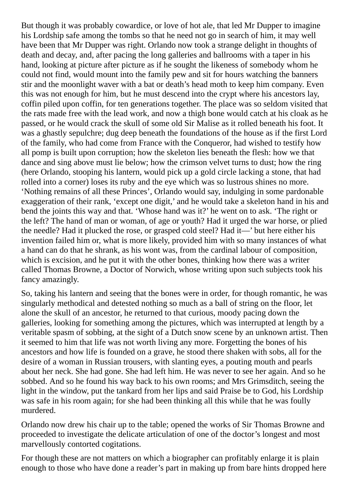But though it was probably cowardice, or love of hot ale, that led Mr Dupper to imagine his Lordship safe among the tombs so that he need not go in search of him, it may well have been that Mr Dupper was right. Orlando now took a strange delight in thoughts of death and decay, and, after pacing the long galleries and ballrooms with a taper in his hand, looking at picture after picture as if he sought the likeness of somebody whom he could not find, would mount into the family pew and sit for hours watching the banners stir and the moonlight waver with a bat or death's head moth to keep him company. Even this was not enough for him, but he must descend into the crypt where his ancestors lay, coffin piled upon coffin, for ten generations together. The place was so seldom visited that the rats made free with the lead work, and now a thigh bone would catch at his cloak as he passed, or he would crack the skull of some old Sir Malise as it rolled beneath his foot. It was a ghastly sepulchre; dug deep beneath the foundations of the house as if the first Lord of the family, who had come from France with the Conqueror, had wished to testify how all pomp is built upon corruption; how the skeleton lies beneath the flesh: how we that dance and sing above must lie below; how the crimson velvet turns to dust; how the ring (here Orlando, stooping his lantern, would pick up a gold circle lacking a stone, that had rolled into a corner) loses its ruby and the eye which was so lustrous shines no more. 'Nothing remains of all these Princes', Orlando would say, indulging in some pardonable exaggeration of their rank, 'except one digit,' and he would take a skeleton hand in his and bend the joints this way and that. 'Whose hand was it?' he went on to ask. 'The right or the left? The hand of man or woman, of age or youth? Had it urged the war horse, or plied the needle? Had it plucked the rose, or grasped cold steel? Had it—' but here either his invention failed him or, what is more likely, provided him with so many instances of what a hand can do that he shrank, as his wont was, from the cardinal labour of composition, which is excision, and he put it with the other bones, thinking how there was a writer called Thomas Browne, a Doctor of Norwich, whose writing upon such subjects took his fancy amazingly.

So, taking his lantern and seeing that the bones were in order, for though romantic, he was singularly methodical and detested nothing so much as a ball of string on the floor, let alone the skull of an ancestor, he returned to that curious, moody pacing down the galleries, looking for something among the pictures, which was interrupted at length by a veritable spasm of sobbing, at the sight of a Dutch snow scene by an unknown artist. Then it seemed to him that life was not worth living any more. Forgetting the bones of his ancestors and how life is founded on a grave, he stood there shaken with sobs, all for the desire of a woman in Russian trousers, with slanting eyes, a pouting mouth and pearls about her neck. She had gone. She had left him. He was never to see her again. And so he sobbed. And so he found his way back to his own rooms; and Mrs Grimsditch, seeing the light in the window, put the tankard from her lips and said Praise be to God, his Lordship was safe in his room again; for she had been thinking all this while that he was foully murdered.

Orlando now drew his chair up to the table; opened the works of Sir Thomas Browne and proceeded to investigate the delicate articulation of one of the doctor's longest and most marvellously contorted cogitations.

For though these are not matters on which a biographer can profitably enlarge it is plain enough to those who have done a reader's part in making up from bare hints dropped here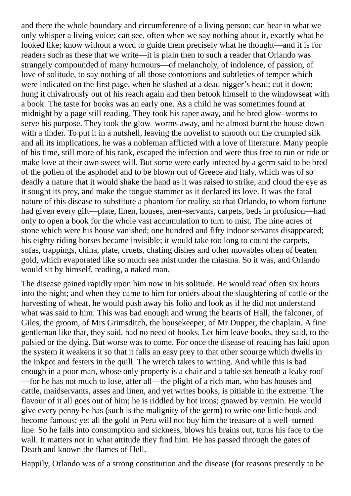and there the whole boundary and circumference of a living person; can hear in what we only whisper a living voice; can see, often when we say nothing about it, exactly what he looked like; know without a word to guide them precisely what he thought—and it is for readers such as these that we write—it is plain then to such a reader that Orlando was strangely compounded of many humours—of melancholy, of indolence, of passion, of love of solitude, to say nothing of all those contortions and subtleties of temper which were indicated on the first page, when he slashed at a dead nigger's head; cut it down; hung it chivalrously out of his reach again and then betook himself to the windowseat with a book. The taste for books was an early one. As a child he was sometimes found at midnight by a page still reading. They took his taper away, and he bred glow–worms to serve his purpose. They took the glow–worms away, and he almost burnt the house down with a tinder. To put it in a nutshell, leaving the novelist to smooth out the crumpled silk and all its implications, he was a nobleman afflicted with a love of literature. Many people of his time, still more of his rank, escaped the infection and were thus free to run or ride or make love at their own sweet will. But some were early infected by a germ said to be bred of the pollen of the asphodel and to be blown out of Greece and Italy, which was of so deadly a nature that it would shake the hand as it was raised to strike, and cloud the eye as it sought its prey, and make the tongue stammer as it declared its love. It was the fatal nature of this disease to substitute a phantom for reality, so that Orlando, to whom fortune had given every gift—plate, linen, houses, men–servants, carpets, beds in profusion—had only to open a book for the whole vast accumulation to turn to mist. The nine acres of stone which were his house vanished; one hundred and fifty indoor servants disappeared; his eighty riding horses became invisible; it would take too long to count the carpets, sofas, trappings, china, plate, cruets, chafing dishes and other movables often of beaten gold, which evaporated like so much sea mist under the miasma. So it was, and Orlando would sit by himself, reading, a naked man.

The disease gained rapidly upon him now in his solitude. He would read often six hours into the night; and when they came to him for orders about the slaughtering of cattle or the harvesting of wheat, he would push away his folio and look as if he did not understand what was said to him. This was bad enough and wrung the hearts of Hall, the falconer, of Giles, the groom, of Mrs Grimsditch, the housekeeper, of Mr Dupper, the chaplain. A fine gentleman like that, they said, had no need of books. Let him leave books, they said, to the palsied or the dying. But worse was to come. For once the disease of reading has laid upon the system it weakens it so that it falls an easy prey to that other scourge which dwells in the inkpot and festers in the quill. The wretch takes to writing. And while this is bad enough in a poor man, whose only property is a chair and a table set beneath a leaky roof —for he has not much to lose, after all—the plight of a rich man, who has houses and cattle, maidservants, asses and linen, and yet writes books, is pitiable in the extreme. The flavour of it all goes out of him; he is riddled by hot irons; gnawed by vermin. He would give every penny he has (such is the malignity of the germ) to write one little book and become famous; yet all the gold in Peru will not buy him the treasure of a well–turned line. So he falls into consumption and sickness, blows his brains out, turns his face to the wall. It matters not in what attitude they find him. He has passed through the gates of Death and known the flames of Hell.

Happily, Orlando was of a strong constitution and the disease (for reasons presently to be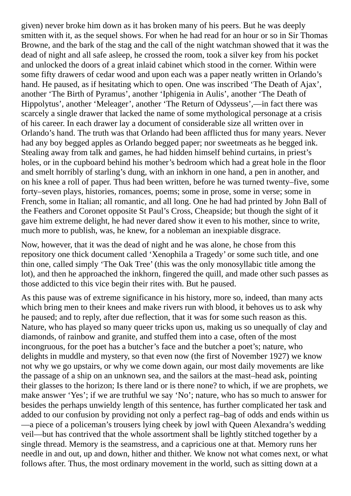given) never broke him down as it has broken many of his peers. But he was deeply smitten with it, as the sequel shows. For when he had read for an hour or so in Sir Thomas Browne, and the bark of the stag and the call of the night watchman showed that it was the dead of night and all safe asleep, he crossed the room, took a silver key from his pocket and unlocked the doors of a great inlaid cabinet which stood in the corner. Within were some fifty drawers of cedar wood and upon each was a paper neatly written in Orlando's hand. He paused, as if hesitating which to open. One was inscribed 'The Death of Ajax', another 'The Birth of Pyramus', another 'Iphigenia in Aulis', another 'The Death of Hippolytus', another 'Meleager', another 'The Return of Odysseus',—in fact there was scarcely a single drawer that lacked the name of some mythological personage at a crisis of his career. In each drawer lay a document of considerable size all written over in Orlando's hand. The truth was that Orlando had been afflicted thus for many years. Never had any boy begged apples as Orlando begged paper; nor sweetmeats as he begged ink. Stealing away from talk and games, he had hidden himself behind curtains, in priest's holes, or in the cupboard behind his mother's bedroom which had a great hole in the floor and smelt horribly of starling's dung, with an inkhorn in one hand, a pen in another, and on his knee a roll of paper. Thus had been written, before he was turned twenty–five, some forty–seven plays, histories, romances, poems; some in prose, some in verse; some in French, some in Italian; all romantic, and all long. One he had had printed by John Ball of the Feathers and Coronet opposite St Paul's Cross, Cheapside; but though the sight of it gave him extreme delight, he had never dared show it even to his mother, since to write, much more to publish, was, he knew, for a nobleman an inexpiable disgrace.

Now, however, that it was the dead of night and he was alone, he chose from this repository one thick document called 'Xenophila a Tragedy' or some such title, and one thin one, called simply 'The Oak Tree' (this was the only monosyllabic title among the lot), and then he approached the inkhorn, fingered the quill, and made other such passes as those addicted to this vice begin their rites with. But he paused.

As this pause was of extreme significance in his history, more so, indeed, than many acts which bring men to their knees and make rivers run with blood, it behoves us to ask why he paused; and to reply, after due reflection, that it was for some such reason as this. Nature, who has played so many queer tricks upon us, making us so unequally of clay and diamonds, of rainbow and granite, and stuffed them into a case, often of the most incongruous, for the poet has a butcher's face and the butcher a poet's; nature, who delights in muddle and mystery, so that even now (the first of November 1927) we know not why we go upstairs, or why we come down again, our most daily movements are like the passage of a ship on an unknown sea, and the sailors at the mast–head ask, pointing their glasses to the horizon; Is there land or is there none? to which, if we are prophets, we make answer 'Yes'; if we are truthful we say 'No'; nature, who has so much to answer for besides the perhaps unwieldy length of this sentence, has further complicated her task and added to our confusion by providing not only a perfect rag–bag of odds and ends within us —a piece of a policeman's trousers lying cheek by jowl with Queen Alexandra's wedding veil—but has contrived that the whole assortment shall be lightly stitched together by a single thread. Memory is the seamstress, and a capricious one at that. Memory runs her needle in and out, up and down, hither and thither. We know not what comes next, or what follows after. Thus, the most ordinary movement in the world, such as sitting down at a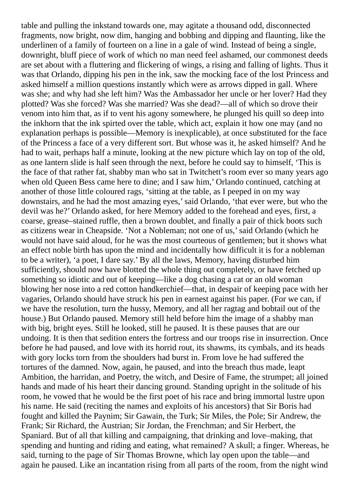table and pulling the inkstand towards one, may agitate a thousand odd, disconnected fragments, now bright, now dim, hanging and bobbing and dipping and flaunting, like the underlinen of a family of fourteen on a line in a gale of wind. Instead of being a single, downright, bluff piece of work of which no man need feel ashamed, our commonest deeds are set about with a fluttering and flickering of wings, a rising and falling of lights. Thus it was that Orlando, dipping his pen in the ink, saw the mocking face of the lost Princess and asked himself a million questions instantly which were as arrows dipped in gall. Where was she; and why had she left him? Was the Ambassador her uncle or her lover? Had they plotted? Was she forced? Was she married? Was she dead?—all of which so drove their venom into him that, as if to vent his agony somewhere, he plunged his quill so deep into the inkhorn that the ink spirted over the table, which act, explain it how one may (and no explanation perhaps is possible—Memory is inexplicable), at once substituted for the face of the Princess a face of a very different sort. But whose was it, he asked himself? And he had to wait, perhaps half a minute, looking at the new picture which lay on top of the old, as one lantern slide is half seen through the next, before he could say to himself, 'This is the face of that rather fat, shabby man who sat in Twitchett's room ever so many years ago when old Queen Bess came here to dine; and I saw him,' Orlando continued, catching at another of those little coloured rags, 'sitting at the table, as I peeped in on my way downstairs, and he had the most amazing eyes,'said Orlando, 'that ever were, but who the devil was he?' Orlando asked, for here Memory added to the forehead and eyes, first, a coarse, grease–stained ruffle, then a brown doublet, and finally a pair of thick boots such as citizens wear in Cheapside. 'Not a Nobleman; not one of us,'said Orlando (which he would not have said aloud, for he was the most courteous of gentlemen; but it shows what an effect noble birth has upon the mind and incidentally how difficult it is for a nobleman to be a writer), 'a poet, I dare say.' By all the laws, Memory, having disturbed him sufficiently, should now have blotted the whole thing out completely, or have fetched up something so idiotic and out of keeping—like a dog chasing a cat or an old woman blowing her nose into a red cotton handkerchief—that, in despair of keeping pace with her vagaries, Orlando should have struck his pen in earnest against his paper. (For we can, if we have the resolution, turn the hussy, Memory, and all her ragtag and bobtail out of the house.) But Orlando paused. Memory still held before him the image of a shabby man with big, bright eyes. Still he looked, still he paused. It is these pauses that are our undoing. It is then that sedition enters the fortress and our troops rise in insurrection. Once before he had paused, and love with its horrid rout, its shawms, its cymbals, and its heads with gory locks torn from the shoulders had burst in. From love he had suffered the tortures of the damned. Now, again, he paused, and into the breach thus made, leapt Ambition, the harridan, and Poetry, the witch, and Desire of Fame, the strumpet; all joined hands and made of his heart their dancing ground. Standing upright in the solitude of his room, he vowed that he would be the first poet of his race and bring immortal lustre upon his name. He said (reciting the names and exploits of his ancestors) that Sir Boris had fought and killed the Paynim; Sir Gawain, the Turk; Sir Miles, the Pole; Sir Andrew, the Frank; Sir Richard, the Austrian; Sir Jordan, the Frenchman; and Sir Herbert, the Spaniard. But of all that killing and campaigning, that drinking and love–making, that spending and hunting and riding and eating, what remained? A skull; a finger. Whereas, he said, turning to the page of Sir Thomas Browne, which lay open upon the table—and again he paused. Like an incantation rising from all parts of the room, from the night wind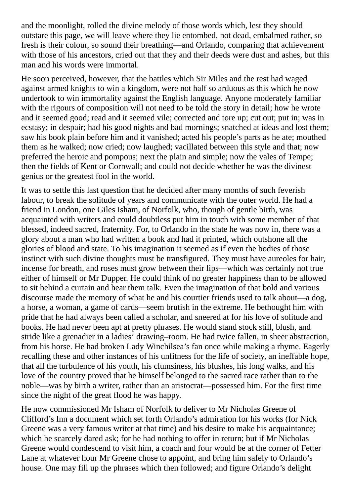and the moonlight, rolled the divine melody of those words which, lest they should outstare this page, we will leave where they lie entombed, not dead, embalmed rather, so fresh is their colour, so sound their breathing—and Orlando, comparing that achievement with those of his ancestors, cried out that they and their deeds were dust and ashes, but this man and his words were immortal.

He soon perceived, however, that the battles which Sir Miles and the rest had waged against armed knights to win a kingdom, were not half so arduous as this which he now undertook to win immortality against the English language. Anyone moderately familiar with the rigours of composition will not need to be told the story in detail; how he wrote and it seemed good; read and it seemed vile; corrected and tore up; cut out; put in; was in ecstasy; in despair; had his good nights and bad mornings; snatched at ideas and lost them; saw his book plain before him and it vanished; acted his people's parts as he ate; mouthed them as he walked; now cried; now laughed; vacillated between this style and that; now preferred the heroic and pompous; next the plain and simple; now the vales of Tempe; then the fields of Kent or Cornwall; and could not decide whether he was the divinest genius or the greatest fool in the world.

It was to settle this last question that he decided after many months of such feverish labour, to break the solitude of years and communicate with the outer world. He had a friend in London, one Giles Isham, of Norfolk, who, though of gentle birth, was acquainted with writers and could doubtless put him in touch with some member of that blessed, indeed sacred, fraternity. For, to Orlando in the state he was now in, there was a glory about a man who had written a book and had it printed, which outshone all the glories of blood and state. To his imagination it seemed as if even the bodies of those instinct with such divine thoughts must be transfigured. They must have aureoles for hair, incense for breath, and roses must grow between their lips—which was certainly not true either of himself or Mr Dupper. He could think of no greater happiness than to be allowed to sit behind a curtain and hear them talk. Even the imagination of that bold and various discourse made the memory of what he and his courtier friends used to talk about—a dog, a horse, a woman, a game of cards—seem brutish in the extreme. He bethought him with pride that he had always been called a scholar, and sneered at for his love of solitude and books. He had never been apt at pretty phrases. He would stand stock still, blush, and stride like a grenadier in a ladies' drawing–room. He had twice fallen, in sheer abstraction, from his horse. He had broken Lady Winchilsea's fan once while making a rhyme. Eagerly recalling these and other instances of his unfitness for the life of society, an ineffable hope, that all the turbulence of his youth, his clumsiness, his blushes, his long walks, and his love of the country proved that he himself belonged to the sacred race rather than to the noble—was by birth a writer, rather than an aristocrat—possessed him. For the first time since the night of the great flood he was happy.

He now commissioned Mr Isham of Norfolk to deliver to Mr Nicholas Greene of Clifford's Inn a document which set forth Orlando's admiration for his works (for Nick Greene was a very famous writer at that time) and his desire to make his acquaintance; which he scarcely dared ask; for he had nothing to offer in return; but if Mr Nicholas Greene would condescend to visit him, a coach and four would be at the corner of Fetter Lane at whatever hour Mr Greene chose to appoint, and bring him safely to Orlando's house. One may fill up the phrases which then followed; and figure Orlando's delight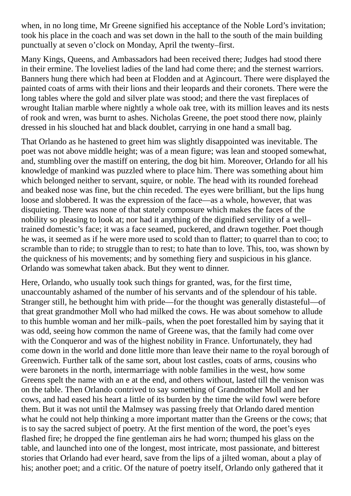when, in no long time, Mr Greene signified his acceptance of the Noble Lord's invitation; took his place in the coach and was set down in the hall to the south of the main building punctually at seven o'clock on Monday, April the twenty–first.

Many Kings, Queens, and Ambassadors had been received there; Judges had stood there in their ermine. The loveliest ladies of the land had come there; and the sternest warriors. Banners hung there which had been at Flodden and at Agincourt. There were displayed the painted coats of arms with their lions and their leopards and their coronets. There were the long tables where the gold and silver plate was stood; and there the vast fireplaces of wrought Italian marble where nightly a whole oak tree, with its million leaves and its nests of rook and wren, was burnt to ashes. Nicholas Greene, the poet stood there now, plainly dressed in his slouched hat and black doublet, carrying in one hand a small bag.

That Orlando as he hastened to greet him was slightly disappointed was inevitable. The poet was not above middle height; was of a mean figure; was lean and stooped somewhat, and, stumbling over the mastiff on entering, the dog bit him. Moreover, Orlando for all his knowledge of mankind was puzzled where to place him. There was something about him which belonged neither to servant, squire, or noble. The head with its rounded forehead and beaked nose was fine, but the chin receded. The eyes were brilliant, but the lips hung loose and slobbered. It was the expression of the face—as a whole, however, that was disquieting. There was none of that stately composure which makes the faces of the nobility so pleasing to look at; nor had it anything of the dignified servility of a well– trained domestic's face; it was a face seamed, puckered, and drawn together. Poet though he was, it seemed as if he were more used to scold than to flatter; to quarrel than to coo; to scramble than to ride; to struggle than to rest; to hate than to love. This, too, was shown by the quickness of his movements; and by something fiery and suspicious in his glance. Orlando was somewhat taken aback. But they went to dinner.

Here, Orlando, who usually took such things for granted, was, for the first time, unaccountably ashamed of the number of his servants and of the splendour of his table. Stranger still, he bethought him with pride—for the thought was generally distasteful—of that great grandmother Moll who had milked the cows. He was about somehow to allude to this humble woman and her milk–pails, when the poet forestalled him by saying that it was odd, seeing how common the name of Greene was, that the family had come over with the Conqueror and was of the highest nobility in France. Unfortunately, they had come down in the world and done little more than leave their name to the royal borough of Greenwich. Further talk of the same sort, about lost castles, coats of arms, cousins who were baronets in the north, intermarriage with noble families in the west, how some Greens spelt the name with an e at the end, and others without, lasted till the venison was on the table. Then Orlando contrived to say something of Grandmother Moll and her cows, and had eased his heart a little of its burden by the time the wild fowl were before them. But it was not until the Malmsey was passing freely that Orlando dared mention what he could not help thinking a more important matter than the Greens or the cows; that is to say the sacred subject of poetry. At the first mention of the word, the poet's eyes flashed fire; he dropped the fine gentleman airs he had worn; thumped his glass on the table, and launched into one of the longest, most intricate, most passionate, and bitterest stories that Orlando had ever heard, save from the lips of a jilted woman, about a play of his; another poet; and a critic. Of the nature of poetry itself, Orlando only gathered that it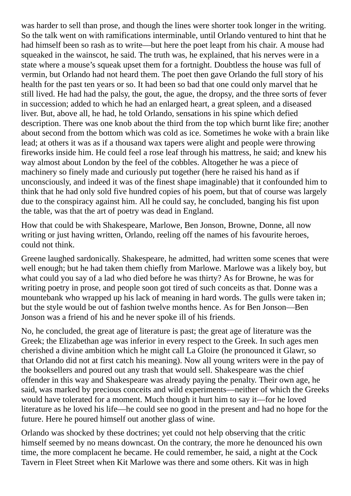was harder to sell than prose, and though the lines were shorter took longer in the writing. So the talk went on with ramifications interminable, until Orlando ventured to hint that he had himself been so rash as to write—but here the poet leapt from his chair. A mouse had squeaked in the wainscot, he said. The truth was, he explained, that his nerves were in a state where a mouse's squeak upset them for a fortnight. Doubtless the house was full of vermin, but Orlando had not heard them. The poet then gave Orlando the full story of his health for the past ten years or so. It had been so bad that one could only marvel that he still lived. He had had the palsy, the gout, the ague, the dropsy, and the three sorts of fever in succession; added to which he had an enlarged heart, a great spleen, and a diseased liver. But, above all, he had, he told Orlando, sensations in his spine which defied description. There was one knob about the third from the top which burnt like fire; another about second from the bottom which was cold as ice. Sometimes he woke with a brain like lead; at others it was as if a thousand wax tapers were alight and people were throwing fireworks inside him. He could feel a rose leaf through his mattress, he said; and knew his way almost about London by the feel of the cobbles. Altogether he was a piece of machinery so finely made and curiously put together (here he raised his hand as if unconsciously, and indeed it was of the finest shape imaginable) that it confounded him to think that he had only sold five hundred copies of his poem, but that of course was largely due to the conspiracy against him. All he could say, he concluded, banging his fist upon the table, was that the art of poetry was dead in England.

How that could be with Shakespeare, Marlowe, Ben Jonson, Browne, Donne, all now writing or just having written, Orlando, reeling off the names of his favourite heroes, could not think.

Greene laughed sardonically. Shakespeare, he admitted, had written some scenes that were well enough; but he had taken them chiefly from Marlowe. Marlowe was a likely boy, but what could you say of a lad who died before he was thirty? As for Browne, he was for writing poetry in prose, and people soon got tired of such conceits as that. Donne was a mountebank who wrapped up his lack of meaning in hard words. The gulls were taken in; but the style would be out of fashion twelve months hence. As for Ben Jonson—Ben Jonson was a friend of his and he never spoke ill of his friends.

No, he concluded, the great age of literature is past; the great age of literature was the Greek; the Elizabethan age was inferior in every respect to the Greek. In such ages men cherished a divine ambition which he might call La Gloire (he pronounced it Glawr, so that Orlando did not at first catch his meaning). Now all young writers were in the pay of the booksellers and poured out any trash that would sell. Shakespeare was the chief offender in this way and Shakespeare was already paying the penalty. Their own age, he said, was marked by precious conceits and wild experiments—neither of which the Greeks would have tolerated for a moment. Much though it hurt him to say it—for he loved literature as he loved his life—he could see no good in the present and had no hope for the future. Here he poured himself out another glass of wine.

Orlando was shocked by these doctrines; yet could not help observing that the critic himself seemed by no means downcast. On the contrary, the more he denounced his own time, the more complacent he became. He could remember, he said, a night at the Cock Tavern in Fleet Street when Kit Marlowe was there and some others. Kit was in high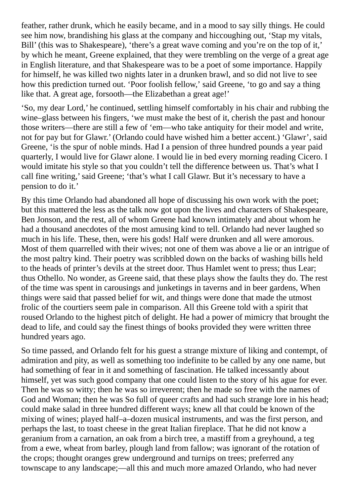feather, rather drunk, which he easily became, and in a mood to say silly things. He could see him now, brandishing his glass at the company and hiccoughing out, 'Stap my vitals, Bill' (this was to Shakespeare), 'there's a great wave coming and you're on the top of it,' by which he meant, Greene explained, that they were trembling on the verge of a great age in English literature, and that Shakespeare was to be a poet of some importance. Happily for himself, he was killed two nights later in a drunken brawl, and so did not live to see how this prediction turned out. 'Poor foolish fellow,' said Greene, 'to go and say a thing like that. A great age, forsooth—the Elizabethan a great age!'

'So, my dear Lord,' he continued, settling himself comfortably in his chair and rubbing the wine–glass between his fingers, 'we must make the best of it, cherish the past and honour those writers—there are still a few of 'em—who take antiquity for their model and write, not for pay but for Glawr.' (Orlando could have wished him a better accent.) 'Glawr', said Greene, 'is the spur of noble minds. Had I a pension of three hundred pounds a year paid quarterly, I would live for Glawr alone. I would lie in bed every morning reading Cicero. I would imitate his style so that you couldn't tell the difference between us. That's what I call fine writing,'said Greene; 'that's what I call Glawr. But it's necessary to have a pension to do it.'

By this time Orlando had abandoned all hope of discussing his own work with the poet; but this mattered the less as the talk now got upon the lives and characters of Shakespeare, Ben Jonson, and the rest, all of whom Greene had known intimately and about whom he had a thousand anecdotes of the most amusing kind to tell. Orlando had never laughed so much in his life. These, then, were his gods! Half were drunken and all were amorous. Most of them quarrelled with their wives; not one of them was above a lie or an intrigue of the most paltry kind. Their poetry was scribbled down on the backs of washing bills held to the heads of printer's devils at the street door. Thus Hamlet went to press; thus Lear; thus Othello. No wonder, as Greene said, that these plays show the faults they do. The rest of the time was spent in carousings and junketings in taverns and in beer gardens, When things were said that passed belief for wit, and things were done that made the utmost frolic of the courtiers seem pale in comparison. All this Greene told with a spirit that roused Orlando to the highest pitch of delight. He had a power of mimicry that brought the dead to life, and could say the finest things of books provided they were written three hundred years ago.

So time passed, and Orlando felt for his guest a strange mixture of liking and contempt, of admiration and pity, as well as something too indefinite to be called by any one name, but had something of fear in it and something of fascination. He talked incessantly about himself, yet was such good company that one could listen to the story of his ague for ever. Then he was so witty; then he was so irreverent; then he made so free with the names of God and Woman; then he was So full of queer crafts and had such strange lore in his head; could make salad in three hundred different ways; knew all that could be known of the mixing of wines; played half–a–dozen musical instruments, and was the first person, and perhaps the last, to toast cheese in the great Italian fireplace. That he did not know a geranium from a carnation, an oak from a birch tree, a mastiff from a greyhound, a teg from a ewe, wheat from barley, plough land from fallow; was ignorant of the rotation of the crops; thought oranges grew underground and turnips on trees; preferred any townscape to any landscape;—all this and much more amazed Orlando, who had never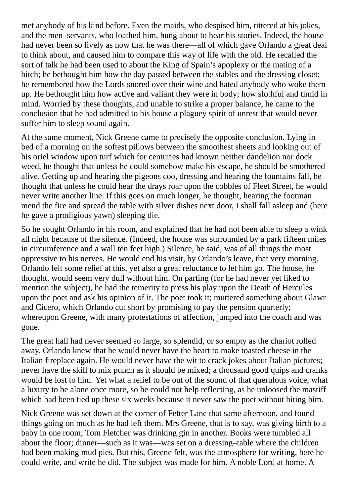met anybody of his kind before. Even the maids, who despised him, tittered at his jokes, and the men–servants, who loathed him, hung about to hear his stories. Indeed, the house had never been so lively as now that he was there—all of which gave Orlando a great deal to think about, and caused him to compare this way of life with the old. He recalled the sort of talk he had been used to about the King of Spain's apoplexy or the mating of a bitch; he bethought him how the day passed between the stables and the dressing closet; he remembered how the Lords snored over their wine and hated anybody who woke them up. He bethought him how active and valiant they were in body; how slothful and timid in mind. Worried by these thoughts, and unable to strike a proper balance, he came to the conclusion that he had admitted to his house a plaguey spirit of unrest that would never suffer him to sleep sound again.

At the same moment, Nick Greene came to precisely the opposite conclusion. Lying in bed of a morning on the softest pillows between the smoothest sheets and looking out of his oriel window upon turf which for centuries had known neither dandelion nor dock weed, he thought that unless he could somehow make his escape, he should be smothered alive. Getting up and hearing the pigeons coo, dressing and hearing the fountains fall, he thought that unless he could hear the drays roar upon the cobbles of Fleet Street, he would never write another line. If this goes on much longer, he thought, hearing the footman mend the fire and spread the table with silver dishes next door, I shall fall asleep and (here he gave a prodigious yawn) sleeping die.

So he sought Orlando in his room, and explained that he had not been able to sleep a wink all night because of the silence. (Indeed, the house was surrounded by a park fifteen miles in circumference and a wall ten feet high.) Silence, he said, was of all things the most oppressive to his nerves. He would end his visit, by Orlando's leave, that very morning. Orlando felt some relief at this, yet also a great reluctance to let him go. The house, he thought, would seem very dull without him. On parting (for he had never yet liked to mention the subject), he had the temerity to press his play upon the Death of Hercules upon the poet and ask his opinion of it. The poet took it; muttered something about Glawr and Cicero, which Orlando cut short by promising to pay the pension quarterly; whereupon Greene, with many protestations of affection, jumped into the coach and was gone.

The great hall had never seemed so large, so splendid, or so empty as the chariot rolled away. Orlando knew that he would never have the heart to make toasted cheese in the Italian fireplace again. He would never have the wit to crack jokes about Italian pictures; never have the skill to mix punch as it should be mixed; a thousand good quips and cranks would be lost to him. Yet what a relief to be out of the sound of that querulous voice, what a luxury to be alone once more, so he could not help reflecting, as he unloosed the mastiff which had been tied up these six weeks because it never saw the poet without biting him.

Nick Greene was set down at the corner of Fetter Lane that same afternoon, and found things going on much as he had left them. Mrs Greene, that is to say, was giving birth to a baby in one room; Tom Fletcher was drinking gin in another. Books were tumbled all about the floor; dinner—such as it was—was set on a dressing–table where the children had been making mud pies. But this, Greene felt, was the atmosphere for writing, here he could write, and write he did. The subject was made for him. A noble Lord at home. A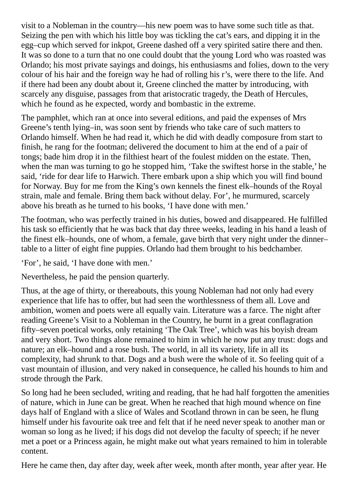visit to a Nobleman in the country—his new poem was to have some such title as that. Seizing the pen with which his little boy was tickling the cat's ears, and dipping it in the egg–cup which served for inkpot, Greene dashed off a very spirited satire there and then. It was so done to a turn that no one could doubt that the young Lord who was roasted was Orlando; his most private sayings and doings, his enthusiasms and folies, down to the very colour of his hair and the foreign way he had of rolling his r's, were there to the life. And if there had been any doubt about it, Greene clinched the matter by introducing, with scarcely any disguise, passages from that aristocratic tragedy, the Death of Hercules, which he found as he expected, wordy and bombastic in the extreme.

The pamphlet, which ran at once into several editions, and paid the expenses of Mrs Greene's tenth lying–in, was soon sent by friends who take care of such matters to Orlando himself. When he had read it, which he did with deadly composure from start to finish, he rang for the footman; delivered the document to him at the end of a pair of tongs; bade him drop it in the filthiest heart of the foulest midden on the estate. Then, when the man was turning to go he stopped him, 'Take the swiftest horse in the stable,' he said, 'ride for dear life to Harwich. There embark upon a ship which you will find bound for Norway. Buy for me from the King's own kennels the finest elk–hounds of the Royal strain, male and female. Bring them back without delay. For', he murmured, scarcely above his breath as he turned to his books, 'I have done with men.'

The footman, who was perfectly trained in his duties, bowed and disappeared. He fulfilled his task so efficiently that he was back that day three weeks, leading in his hand a leash of the finest elk–hounds, one of whom, a female, gave birth that very night under the dinner– table to a litter of eight fine puppies. Orlando had them brought to his bedchamber.

'For', he said, 'I have done with men.'

Nevertheless, he paid the pension quarterly.

Thus, at the age of thirty, or thereabouts, this young Nobleman had not only had every experience that life has to offer, but had seen the worthlessness of them all. Love and ambition, women and poets were all equally vain. Literature was a farce. The night after reading Greene's Visit to a Nobleman in the Country, he burnt in a great conflagration fifty–seven poetical works, only retaining 'The Oak Tree', which was his boyish dream and very short. Two things alone remained to him in which he now put any trust: dogs and nature; an elk–hound and a rose bush. The world, in all its variety, life in all its complexity, had shrunk to that. Dogs and a bush were the whole of it. So feeling quit of a vast mountain of illusion, and very naked in consequence, he called his hounds to him and strode through the Park.

So long had he been secluded, writing and reading, that he had half forgotten the amenities of nature, which in June can be great. When he reached that high mound whence on fine days half of England with a slice of Wales and Scotland thrown in can be seen, he flung himself under his favourite oak tree and felt that if he need never speak to another man or woman so long as he lived; if his dogs did not develop the faculty of speech; if he never met a poet or a Princess again, he might make out what years remained to him in tolerable content.

Here he came then, day after day, week after week, month after month, year after year. He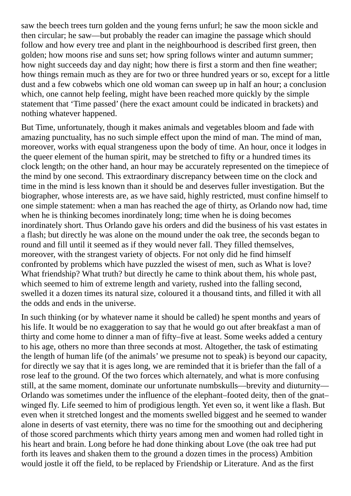saw the beech trees turn golden and the young ferns unfurl; he saw the moon sickle and then circular; he saw—but probably the reader can imagine the passage which should follow and how every tree and plant in the neighbourhood is described first green, then golden; how moons rise and suns set; how spring follows winter and autumn summer; how night succeeds day and day night; how there is first a storm and then fine weather; how things remain much as they are for two or three hundred years or so, except for a little dust and a few cobwebs which one old woman can sweep up in half an hour; a conclusion which, one cannot help feeling, might have been reached more quickly by the simple statement that 'Time passed' (here the exact amount could be indicated in brackets) and nothing whatever happened.

But Time, unfortunately, though it makes animals and vegetables bloom and fade with amazing punctuality, has no such simple effect upon the mind of man. The mind of man, moreover, works with equal strangeness upon the body of time. An hour, once it lodges in the queer element of the human spirit, may be stretched to fifty or a hundred times its clock length; on the other hand, an hour may be accurately represented on the timepiece of the mind by one second. This extraordinary discrepancy between time on the clock and time in the mind is less known than it should be and deserves fuller investigation. But the biographer, whose interests are, as we have said, highly restricted, must confine himself to one simple statement: when a man has reached the age of thirty, as Orlando now had, time when he is thinking becomes inordinately long; time when he is doing becomes inordinately short. Thus Orlando gave his orders and did the business of his vast estates in a flash; but directly he was alone on the mound under the oak tree, the seconds began to round and fill until it seemed as if they would never fall. They filled themselves, moreover, with the strangest variety of objects. For not only did he find himself confronted by problems which have puzzled the wisest of men, such as What is love? What friendship? What truth? but directly he came to think about them, his whole past, which seemed to him of extreme length and variety, rushed into the falling second, swelled it a dozen times its natural size, coloured it a thousand tints, and filled it with all the odds and ends in the universe.

In such thinking (or by whatever name it should be called) he spent months and years of his life. It would be no exaggeration to say that he would go out after breakfast a man of thirty and come home to dinner a man of fifty–five at least. Some weeks added a century to his age, others no more than three seconds at most. Altogether, the task of estimating the length of human life (of the animals' we presume not to speak) is beyond our capacity, for directly we say that it is ages long, we are reminded that it is briefer than the fall of a rose leaf to the ground. Of the two forces which alternately, and what is more confusing still, at the same moment, dominate our unfortunate numbskulls—brevity and diuturnity— Orlando was sometimes under the influence of the elephant–footed deity, then of the gnat– winged fly. Life seemed to him of prodigious length. Yet even so, it went like a flash. But even when it stretched longest and the moments swelled biggest and he seemed to wander alone in deserts of vast eternity, there was no time for the smoothing out and deciphering of those scored parchments which thirty years among men and women had rolled tight in his heart and brain. Long before he had done thinking about Love (the oak tree had put forth its leaves and shaken them to the ground a dozen times in the process) Ambition would jostle it off the field, to be replaced by Friendship or Literature. And as the first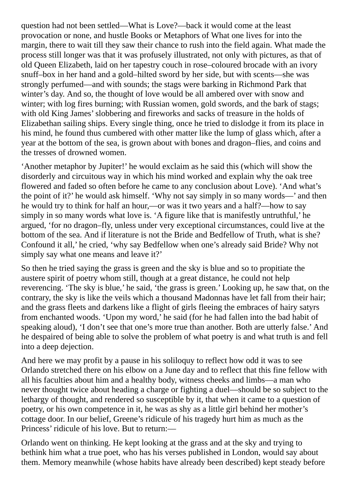question had not been settled—What is Love?—back it would come at the least provocation or none, and hustle Books or Metaphors of What one lives for into the margin, there to wait till they saw their chance to rush into the field again. What made the process still longer was that it was profusely illustrated, not only with pictures, as that of old Queen Elizabeth, laid on her tapestry couch in rose–coloured brocade with an ivory snuff–box in her hand and a gold–hilted sword by her side, but with scents—she was strongly perfumed—and with sounds; the stags were barking in Richmond Park that winter's day. And so, the thought of love would be all ambered over with snow and winter; with log fires burning; with Russian women, gold swords, and the bark of stags; with old King James' slobbering and fireworks and sacks of treasure in the holds of Elizabethan sailing ships. Every single thing, once he tried to dislodge it from its place in his mind, he found thus cumbered with other matter like the lump of glass which, after a year at the bottom of the sea, is grown about with bones and dragon–flies, and coins and the tresses of drowned women.

'Another metaphor by Jupiter!' he would exclaim as he said this (which will show the disorderly and circuitous way in which his mind worked and explain why the oak tree flowered and faded so often before he came to any conclusion about Love). 'And what's the point of it?' he would ask himself. 'Why not say simply in so many words—' and then he would try to think for half an hour,—or was it two years and a half?—how to say simply in so many words what love is. 'A figure like that is manifestly untruthful,' he argued, 'for no dragon–fly, unless under very exceptional circumstances, could live at the bottom of the sea. And if literature is not the Bride and Bedfellow of Truth, what is she? Confound it all,' he cried, 'why say Bedfellow when one's already said Bride? Why not simply say what one means and leave it?'

So then he tried saying the grass is green and the sky is blue and so to propitiate the austere spirit of poetry whom still, though at a great distance, he could not help reverencing. 'The sky is blue,' he said, 'the grass is green.' Looking up, he saw that, on the contrary, the sky is like the veils which a thousand Madonnas have let fall from their hair; and the grass fleets and darkens like a flight of girls fleeing the embraces of hairy satyrs from enchanted woods. 'Upon my word,' he said (for he had fallen into the bad habit of speaking aloud), 'I don't see that one's more true than another. Both are utterly false.' And he despaired of being able to solve the problem of what poetry is and what truth is and fell into a deep dejection.

And here we may profit by a pause in his soliloquy to reflect how odd it was to see Orlando stretched there on his elbow on a June day and to reflect that this fine fellow with all his faculties about him and a healthy body, witness cheeks and limbs—a man who never thought twice about heading a charge or fighting a duel—should be so subject to the lethargy of thought, and rendered so susceptible by it, that when it came to a question of poetry, or his own competence in it, he was as shy as a little girl behind her mother's cottage door. In our belief, Greene's ridicule of his tragedy hurt him as much as the Princess' ridicule of his love. But to return:—

Orlando went on thinking. He kept looking at the grass and at the sky and trying to bethink him what a true poet, who has his verses published in London, would say about them. Memory meanwhile (whose habits have already been described) kept steady before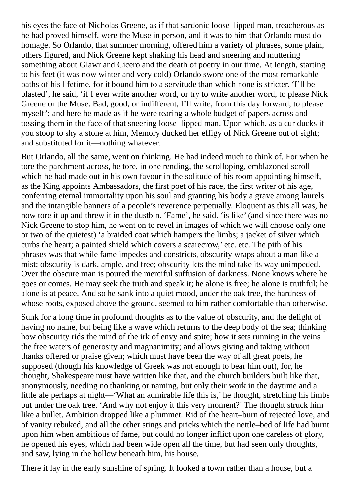his eyes the face of Nicholas Greene, as if that sardonic loose–lipped man, treacherous as he had proved himself, were the Muse in person, and it was to him that Orlando must do homage. So Orlando, that summer morning, offered him a variety of phrases, some plain, others figured, and Nick Greene kept shaking his head and sneering and muttering something about Glawr and Cicero and the death of poetry in our time. At length, starting to his feet (it was now winter and very cold) Orlando swore one of the most remarkable oaths of his lifetime, for it bound him to a servitude than which none is stricter. 'I'll be blasted', he said, 'if I ever write another word, or try to write another word, to please Nick Greene or the Muse. Bad, good, or indifferent, I'll write, from this day forward, to please myself'; and here he made as if he were tearing a whole budget of papers across and tossing them in the face of that sneering loose–lipped man. Upon which, as a cur ducks if you stoop to shy a stone at him, Memory ducked her effigy of Nick Greene out of sight; and substituted for it—nothing whatever.

But Orlando, all the same, went on thinking. He had indeed much to think of. For when he tore the parchment across, he tore, in one rending, the scrolloping, emblazoned scroll which he had made out in his own favour in the solitude of his room appointing himself, as the King appoints Ambassadors, the first poet of his race, the first writer of his age, conferring eternal immortality upon his soul and granting his body a grave among laurels and the intangible banners of a people's reverence perpetually. Eloquent as this all was, he now tore it up and threw it in the dustbin. 'Fame', he said. 'is like' (and since there was no Nick Greene to stop him, he went on to revel in images of which we will choose only one or two of the quietest) 'a braided coat which hampers the limbs; a jacket of silver which curbs the heart; a painted shield which covers a scarecrow,' etc. etc. The pith of his phrases was that while fame impedes and constricts, obscurity wraps about a man like a mist; obscurity is dark, ample, and free; obscurity lets the mind take its way unimpeded. Over the obscure man is poured the merciful suffusion of darkness. None knows where he goes or comes. He may seek the truth and speak it; he alone is free; he alone is truthful; he alone is at peace. And so he sank into a quiet mood, under the oak tree, the hardness of whose roots, exposed above the ground, seemed to him rather comfortable than otherwise.

Sunk for a long time in profound thoughts as to the value of obscurity, and the delight of having no name, but being like a wave which returns to the deep body of the sea; thinking how obscurity rids the mind of the irk of envy and spite; how it sets running in the veins the free waters of generosity and magnanimity; and allows giving and taking without thanks offered or praise given; which must have been the way of all great poets, he supposed (though his knowledge of Greek was not enough to bear him out), for, he thought, Shakespeare must have written like that, and the church builders built like that, anonymously, needing no thanking or naming, but only their work in the daytime and a little ale perhaps at night—'What an admirable life this is,' he thought, stretching his limbs out under the oak tree. 'And why not enjoy it this very moment?' The thought struck him like a bullet. Ambition dropped like a plummet. Rid of the heart–burn of rejected love, and of vanity rebuked, and all the other stings and pricks which the nettle–bed of life had burnt upon him when ambitious of fame, but could no longer inflict upon one careless of glory, he opened his eyes, which had been wide open all the time, but had seen only thoughts, and saw, lying in the hollow beneath him, his house.

There it lay in the early sunshine of spring. It looked a town rather than a house, but a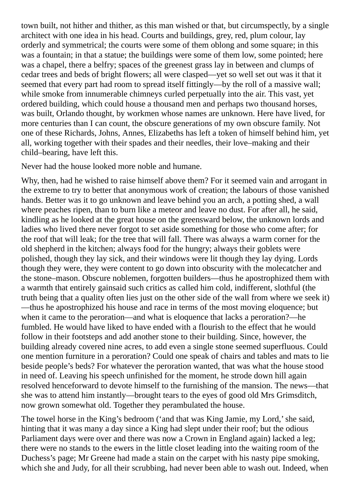town built, not hither and thither, as this man wished or that, but circumspectly, by a single architect with one idea in his head. Courts and buildings, grey, red, plum colour, lay orderly and symmetrical; the courts were some of them oblong and some square; in this was a fountain; in that a statue; the buildings were some of them low, some pointed; here was a chapel, there a belfry; spaces of the greenest grass lay in between and clumps of cedar trees and beds of bright flowers; all were clasped—yet so well set out was it that it seemed that every part had room to spread itself fittingly—by the roll of a massive wall; while smoke from innumerable chimneys curled perpetually into the air. This vast, yet ordered building, which could house a thousand men and perhaps two thousand horses, was built, Orlando thought, by workmen whose names are unknown. Here have lived, for more centuries than I can count, the obscure generations of my own obscure family. Not one of these Richards, Johns, Annes, Elizabeths has left a token of himself behind him, yet all, working together with their spades and their needles, their love–making and their child–bearing, have left this.

Never had the house looked more noble and humane.

Why, then, had he wished to raise himself above them? For it seemed vain and arrogant in the extreme to try to better that anonymous work of creation; the labours of those vanished hands. Better was it to go unknown and leave behind you an arch, a potting shed, a wall where peaches ripen, than to burn like a meteor and leave no dust. For after all, he said, kindling as he looked at the great house on the greensward below, the unknown lords and ladies who lived there never forgot to set aside something for those who come after; for the roof that will leak; for the tree that will fall. There was always a warm corner for the old shepherd in the kitchen; always food for the hungry; always their goblets were polished, though they lay sick, and their windows were lit though they lay dying. Lords though they were, they were content to go down into obscurity with the molecatcher and the stone–mason. Obscure noblemen, forgotten builders—thus he apostrophized them with a warmth that entirely gainsaid such critics as called him cold, indifferent, slothful (the truth being that a quality often lies just on the other side of the wall from where we seek it) —thus he apostrophized his house and race in terms of the most moving eloquence; but when it came to the peroration—and what is eloquence that lacks a peroration?—he fumbled. He would have liked to have ended with a flourish to the effect that he would follow in their footsteps and add another stone to their building. Since, however, the building already covered nine acres, to add even a single stone seemed superfluous. Could one mention furniture in a peroration? Could one speak of chairs and tables and mats to lie beside people's beds? For whatever the peroration wanted, that was what the house stood in need of. Leaving his speech unfinished for the moment, he strode down hill again resolved henceforward to devote himself to the furnishing of the mansion. The news—that she was to attend him instantly—brought tears to the eyes of good old Mrs Grimsditch, now grown somewhat old. Together they perambulated the house.

The towel horse in the King's bedroom ('and that was King Jamie, my Lord,'she said, hinting that it was many a day since a King had slept under their roof; but the odious Parliament days were over and there was now a Crown in England again) lacked a leg; there were no stands to the ewers in the little closet leading into the waiting room of the Duchess's page; Mr Greene had made a stain on the carpet with his nasty pipe smoking, which she and Judy, for all their scrubbing, had never been able to wash out. Indeed, when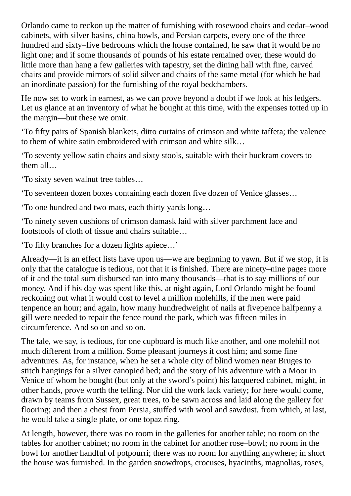Orlando came to reckon up the matter of furnishing with rosewood chairs and cedar–wood cabinets, with silver basins, china bowls, and Persian carpets, every one of the three hundred and sixty–five bedrooms which the house contained, he saw that it would be no light one; and if some thousands of pounds of his estate remained over, these would do little more than hang a few galleries with tapestry, set the dining hall with fine, carved chairs and provide mirrors of solid silver and chairs of the same metal (for which he had an inordinate passion) for the furnishing of the royal bedchambers.

He now set to work in earnest, as we can prove beyond a doubt if we look at his ledgers. Let us glance at an inventory of what he bought at this time, with the expenses totted up in the margin—but these we omit.

'To fifty pairs of Spanish blankets, ditto curtains of crimson and white taffeta; the valence to them of white satin embroidered with crimson and white silk…

'To seventy yellow satin chairs and sixty stools, suitable with their buckram covers to them all…

'To sixty seven walnut tree tables…

'To seventeen dozen boxes containing each dozen five dozen of Venice glasses…

'To one hundred and two mats, each thirty yards long…

'To ninety seven cushions of crimson damask laid with silver parchment lace and footstools of cloth of tissue and chairs suitable…

'To fifty branches for a dozen lights apiece…'

Already—it is an effect lists have upon us—we are beginning to yawn. But if we stop, it is only that the catalogue is tedious, not that it is finished. There are ninety–nine pages more of it and the total sum disbursed ran into many thousands—that is to say millions of our money. And if his day was spent like this, at night again, Lord Orlando might be found reckoning out what it would cost to level a million molehills, if the men were paid tenpence an hour; and again, how many hundredweight of nails at fivepence halfpenny a gill were needed to repair the fence round the park, which was fifteen miles in circumference. And so on and so on.

The tale, we say, is tedious, for one cupboard is much like another, and one molehill not much different from a million. Some pleasant journeys it cost him; and some fine adventures. As, for instance, when he set a whole city of blind women near Bruges to stitch hangings for a silver canopied bed; and the story of his adventure with a Moor in Venice of whom he bought (but only at the sword's point) his lacquered cabinet, might, in other hands, prove worth the telling. Nor did the work lack variety; for here would come, drawn by teams from Sussex, great trees, to be sawn across and laid along the gallery for flooring; and then a chest from Persia, stuffed with wool and sawdust. from which, at last, he would take a single plate, or one topaz ring.

At length, however, there was no room in the galleries for another table; no room on the tables for another cabinet; no room in the cabinet for another rose–bowl; no room in the bowl for another handful of potpourri; there was no room for anything anywhere; in short the house was furnished. In the garden snowdrops, crocuses, hyacinths, magnolias, roses,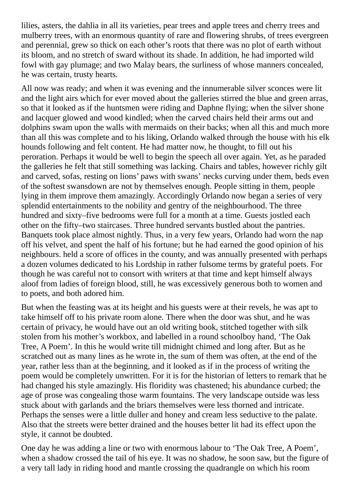lilies, asters, the dahlia in all its varieties, pear trees and apple trees and cherry trees and mulberry trees, with an enormous quantity of rare and flowering shrubs, of trees evergreen and perennial, grew so thick on each other's roots that there was no plot of earth without its bloom, and no stretch of sward without its shade. In addition, he had imported wild fowl with gay plumage; and two Malay bears, the surliness of whose manners concealed, he was certain, trusty hearts.

All now was ready; and when it was evening and the innumerable silver sconces were lit and the light airs which for ever moved about the galleries stirred the blue and green arras, so that it looked as if the huntsmen were riding and Daphne flying; when the silver shone and lacquer glowed and wood kindled; when the carved chairs held their arms out and dolphins swam upon the walls with mermaids on their backs; when all this and much more than all this was complete and to his liking, Orlando walked through the house with his elk hounds following and felt content. He had matter now, he thought, to fill out his peroration. Perhaps it would be well to begin the speech all over again. Yet, as he paraded the galleries he felt that still something was lacking. Chairs and tables, however richly gilt and carved, sofas, resting on lions' paws with swans' necks curving under them, beds even of the softest swansdown are not by themselves enough. People sitting in them, people lying in them improve them amazingly. Accordingly Orlando now began a series of very splendid entertainments to the nobility and gentry of the neighbourhood. The three hundred and sixty–five bedrooms were full for a month at a time. Guests jostled each other on the fifty–two staircases. Three hundred servants bustled about the pantries. Banquets took place almost nightly. Thus, in a very few years, Orlando had worn the nap off his velvet, and spent the half of his fortune; but he had earned the good opinion of his neighbours. held a score of offices in the county, and was annually presented with perhaps a dozen volumes dedicated to his Lordship in rather fulsome terms by grateful poets. For though he was careful not to consort with writers at that time and kept himself always aloof from ladies of foreign blood, still, he was excessively generous both to women and to poets, and both adored him.

But when the feasting was at its height and his guests were at their revels, he was apt to take himself off to his private room alone. There when the door was shut, and he was certain of privacy, he would have out an old writing book, stitched together with silk stolen from his mother's workbox, and labelled in a round schoolboy hand, 'The Oak Tree, A Poem'. In this he would write till midnight chimed and long after. But as he scratched out as many lines as he wrote in, the sum of them was often, at the end of the year, rather less than at the beginning, and it looked as if in the process of writing the poem would be completely unwritten. For it is for the historian of letters to remark that he had changed his style amazingly. His floridity was chastened; his abundance curbed; the age of prose was congealing those warm fountains. The very landscape outside was less stuck about with garlands and the briars themselves were less thorned and intricate. Perhaps the senses were a little duller and honey and cream less seductive to the palate. Also that the streets were better drained and the houses better lit had its effect upon the style, it cannot be doubted.

One day he was adding a line or two with enormous labour to 'The Oak Tree, A Poem', when a shadow crossed the tail of his eye. It was no shadow, he soon saw, but the figure of a very tall lady in riding hood and mantle crossing the quadrangle on which his room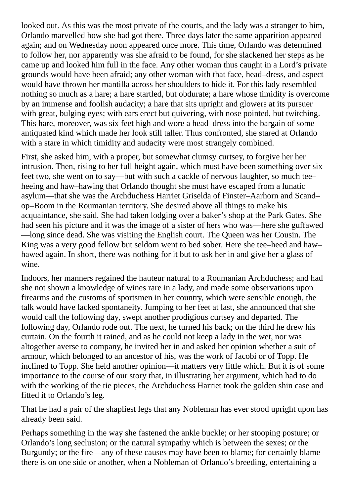looked out. As this was the most private of the courts, and the lady was a stranger to him, Orlando marvelled how she had got there. Three days later the same apparition appeared again; and on Wednesday noon appeared once more. This time, Orlando was determined to follow her, nor apparently was she afraid to be found, for she slackened her steps as he came up and looked him full in the face. Any other woman thus caught in a Lord's private grounds would have been afraid; any other woman with that face, head–dress, and aspect would have thrown her mantilla across her shoulders to hide it. For this lady resembled nothing so much as a hare; a hare startled, but obdurate; a hare whose timidity is overcome by an immense and foolish audacity; a hare that sits upright and glowers at its pursuer with great, bulging eyes; with ears erect but quivering, with nose pointed, but twitching. This hare, moreover, was six feet high and wore a head–dress into the bargain of some antiquated kind which made her look still taller. Thus confronted, she stared at Orlando with a stare in which timidity and audacity were most strangely combined.

First, she asked him, with a proper, but somewhat clumsy curtsey, to forgive her her intrusion. Then, rising to her full height again, which must have been something over six feet two, she went on to say—but with such a cackle of nervous laughter, so much tee– heeing and haw–hawing that Orlando thought she must have escaped from a lunatic asylum—that she was the Archduchess Harriet Griselda of Finster–Aarhorn and Scand– op–Boom in the Roumanian territory. She desired above all things to make his acquaintance, she said. She had taken lodging over a baker's shop at the Park Gates. She had seen his picture and it was the image of a sister of hers who was—here she guffawed —long since dead. She was visiting the English court. The Queen was her Cousin. The King was a very good fellow but seldom went to bed sober. Here she tee–heed and haw– hawed again. In short, there was nothing for it but to ask her in and give her a glass of wine.

Indoors, her manners regained the hauteur natural to a Roumanian Archduchess; and had she not shown a knowledge of wines rare in a lady, and made some observations upon firearms and the customs of sportsmen in her country, which were sensible enough, the talk would have lacked spontaneity. Jumping to her feet at last, she announced that she would call the following day, swept another prodigious curtsey and departed. The following day, Orlando rode out. The next, he turned his back; on the third he drew his curtain. On the fourth it rained, and as he could not keep a lady in the wet, nor was altogether averse to company, he invited her in and asked her opinion whether a suit of armour, which belonged to an ancestor of his, was the work of Jacobi or of Topp. He inclined to Topp. She held another opinion—it matters very little which. But it is of some importance to the course of our story that, in illustrating her argument, which had to do with the working of the tie pieces, the Archduchess Harriet took the golden shin case and fitted it to Orlando's leg.

That he had a pair of the shapliest legs that any Nobleman has ever stood upright upon has already been said.

Perhaps something in the way she fastened the ankle buckle; or her stooping posture; or Orlando's long seclusion; or the natural sympathy which is between the sexes; or the Burgundy; or the fire—any of these causes may have been to blame; for certainly blame there is on one side or another, when a Nobleman of Orlando's breeding, entertaining a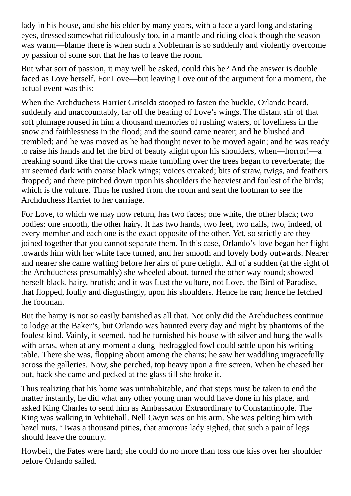lady in his house, and she his elder by many years, with a face a yard long and staring eyes, dressed somewhat ridiculously too, in a mantle and riding cloak though the season was warm—blame there is when such a Nobleman is so suddenly and violently overcome by passion of some sort that he has to leave the room.

But what sort of passion, it may well be asked, could this be? And the answer is double faced as Love herself. For Love—but leaving Love out of the argument for a moment, the actual event was this:

When the Archduchess Harriet Griselda stooped to fasten the buckle, Orlando heard, suddenly and unaccountably, far off the beating of Love's wings. The distant stir of that soft plumage roused in him a thousand memories of rushing waters, of loveliness in the snow and faithlessness in the flood; and the sound came nearer; and he blushed and trembled; and he was moved as he had thought never to be moved again; and he was ready to raise his hands and let the bird of beauty alight upon his shoulders, when—horror!—a creaking sound like that the crows make tumbling over the trees began to reverberate; the air seemed dark with coarse black wings; voices croaked; bits of straw, twigs, and feathers dropped; and there pitched down upon his shoulders the heaviest and foulest of the birds; which is the vulture. Thus he rushed from the room and sent the footman to see the Archduchess Harriet to her carriage.

For Love, to which we may now return, has two faces; one white, the other black; two bodies; one smooth, the other hairy. It has two hands, two feet, two nails, two, indeed, of every member and each one is the exact opposite of the other. Yet, so strictly are they joined together that you cannot separate them. In this case, Orlando's love began her flight towards him with her white face turned, and her smooth and lovely body outwards. Nearer and nearer she came wafting before her airs of pure delight. All of a sudden (at the sight of the Archduchess presumably) she wheeled about, turned the other way round; showed herself black, hairy, brutish; and it was Lust the vulture, not Love, the Bird of Paradise, that flopped, foully and disgustingly, upon his shoulders. Hence he ran; hence he fetched the footman.

But the harpy is not so easily banished as all that. Not only did the Archduchess continue to lodge at the Baker's, but Orlando was haunted every day and night by phantoms of the foulest kind. Vainly, it seemed, had he furnished his house with silver and hung the walls with arras, when at any moment a dung–bedraggled fowl could settle upon his writing table. There she was, flopping about among the chairs; he saw her waddling ungracefully across the galleries. Now, she perched, top heavy upon a fire screen. When he chased her out, back she came and pecked at the glass till she broke it.

Thus realizing that his home was uninhabitable, and that steps must be taken to end the matter instantly, he did what any other young man would have done in his place, and asked King Charles to send him as Ambassador Extraordinary to Constantinople. The King was walking in Whitehall. Nell Gwyn was on his arm. She was pelting him with hazel nuts. 'Twas a thousand pities, that amorous lady sighed, that such a pair of legs should leave the country.

Howbeit, the Fates were hard; she could do no more than toss one kiss over her shoulder before Orlando sailed.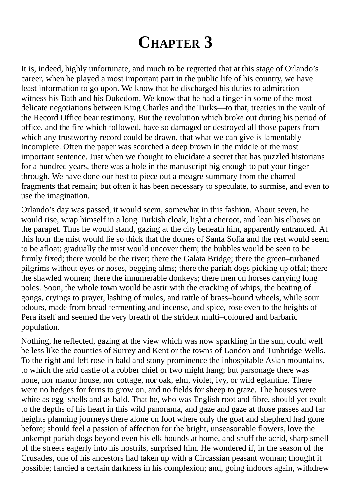## **CHAPTER 3**

It is, indeed, highly unfortunate, and much to be regretted that at this stage of Orlando's career, when he played a most important part in the public life of his country, we have least information to go upon. We know that he discharged his duties to admiration witness his Bath and his Dukedom. We know that he had a finger in some of the most delicate negotiations between King Charles and the Turks—to that, treaties in the vault of the Record Office bear testimony. But the revolution which broke out during his period of office, and the fire which followed, have so damaged or destroyed all those papers from which any trustworthy record could be drawn, that what we can give is lamentably incomplete. Often the paper was scorched a deep brown in the middle of the most important sentence. Just when we thought to elucidate a secret that has puzzled historians for a hundred years, there was a hole in the manuscript big enough to put your finger through. We have done our best to piece out a meagre summary from the charred fragments that remain; but often it has been necessary to speculate, to surmise, and even to use the imagination.

Orlando's day was passed, it would seem, somewhat in this fashion. About seven, he would rise, wrap himself in a long Turkish cloak, light a cheroot, and lean his elbows on the parapet. Thus he would stand, gazing at the city beneath him, apparently entranced. At this hour the mist would lie so thick that the domes of Santa Sofia and the rest would seem to be afloat; gradually the mist would uncover them; the bubbles would be seen to be firmly fixed; there would be the river; there the Galata Bridge; there the green–turbaned pilgrims without eyes or noses, begging alms; there the pariah dogs picking up offal; there the shawled women; there the innumerable donkeys; there men on horses carrying long poles. Soon, the whole town would be astir with the cracking of whips, the beating of gongs, cryings to prayer, lashing of mules, and rattle of brass–bound wheels, while sour odours, made from bread fermenting and incense, and spice, rose even to the heights of Pera itself and seemed the very breath of the strident multi–coloured and barbaric population.

Nothing, he reflected, gazing at the view which was now sparkling in the sun, could well be less like the counties of Surrey and Kent or the towns of London and Tunbridge Wells. To the right and left rose in bald and stony prominence the inhospitable Asian mountains, to which the arid castle of a robber chief or two might hang; but parsonage there was none, nor manor house, nor cottage, nor oak, elm, violet, ivy, or wild eglantine. There were no hedges for ferns to grow on, and no fields for sheep to graze. The houses were white as egg–shells and as bald. That he, who was English root and fibre, should yet exult to the depths of his heart in this wild panorama, and gaze and gaze at those passes and far heights planning journeys there alone on foot where only the goat and shepherd had gone before; should feel a passion of affection for the bright, unseasonable flowers, love the unkempt pariah dogs beyond even his elk hounds at home, and snuff the acrid, sharp smell of the streets eagerly into his nostrils, surprised him. He wondered if, in the season of the Crusades, one of his ancestors had taken up with a Circassian peasant woman; thought it possible; fancied a certain darkness in his complexion; and, going indoors again, withdrew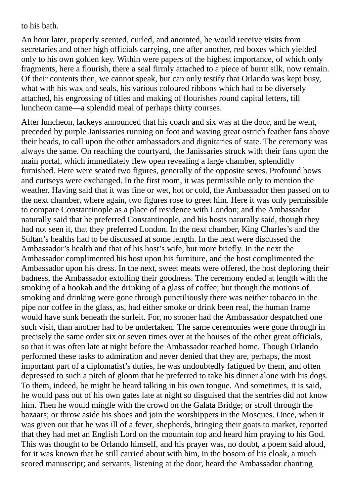to his bath.

An hour later, properly scented, curled, and anointed, he would receive visits from secretaries and other high officials carrying, one after another, red boxes which yielded only to his own golden key. Within were papers of the highest importance, of which only fragments, here a flourish, there a seal firmly attached to a piece of burnt silk, now remain. Of their contents then, we cannot speak, but can only testify that Orlando was kept busy, what with his wax and seals, his various coloured ribbons which had to be diversely attached, his engrossing of titles and making of flourishes round capital letters, till luncheon came—a splendid meal of perhaps thirty courses.

After luncheon, lackeys announced that his coach and six was at the door, and he went, preceded by purple Janissaries running on foot and waving great ostrich feather fans above their heads, to call upon the other ambassadors and dignitaries of state. The ceremony was always the same. On reaching the courtyard, the Janissaries struck with their fans upon the main portal, which immediately flew open revealing a large chamber, splendidly furnished. Here were seated two figures, generally of the opposite sexes. Profound bows and curtseys were exchanged. In the first room, it was permissible only to mention the weather. Having said that it was fine or wet, hot or cold, the Ambassador then passed on to the next chamber, where again, two figures rose to greet him. Here it was only permissible to compare Constantinople as a place of residence with London; and the Ambassador naturally said that he preferred Constantinople, and his hosts naturally said, though they had not seen it, that they preferred London. In the next chamber, King Charles's and the Sultan's healths had to be discussed at some length. In the next were discussed the Ambassador's health and that of his host's wife, but more briefly. In the next the Ambassador complimented his host upon his furniture, and the host complimented the Ambassador upon his dress. In the next, sweet meats were offered, the host deploring their badness, the Ambassador extolling their goodness. The ceremony ended at length with the smoking of a hookah and the drinking of a glass of coffee; but though the motions of smoking and drinking were gone through punctiliously there was neither tobacco in the pipe nor coffee in the glass, as, had either smoke or drink been real, the human frame would have sunk beneath the surfeit. For, no sooner had the Ambassador despatched one such visit, than another had to be undertaken. The same ceremonies were gone through in precisely the same order six or seven times over at the houses of the other great officials, so that it was often late at night before the Ambassador reached home. Though Orlando performed these tasks to admiration and never denied that they are, perhaps, the most important part of a diplomatist's duties, he was undoubtedly fatigued by them, and often depressed to such a pitch of gloom that he preferred to take his dinner alone with his dogs. To them, indeed, he might be heard talking in his own tongue. And sometimes, it is said, he would pass out of his own gates late at night so disguised that the sentries did not know him. Then he would mingle with the crowd on the Galata Bridge; or stroll through the bazaars; or throw aside his shoes and join the worshippers in the Mosques. Once, when it was given out that he was ill of a fever, shepherds, bringing their goats to market, reported that they had met an English Lord on the mountain top and heard him praying to his God. This was thought to be Orlando himself, and his prayer was, no doubt, a poem said aloud, for it was known that he still carried about with him, in the bosom of his cloak, a much scored manuscript; and servants, listening at the door, heard the Ambassador chanting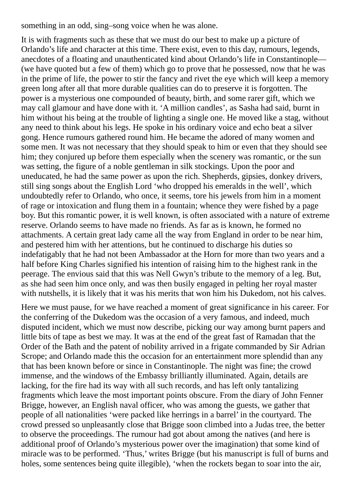something in an odd, sing–song voice when he was alone.

It is with fragments such as these that we must do our best to make up a picture of Orlando's life and character at this time. There exist, even to this day, rumours, legends, anecdotes of a floating and unauthenticated kind about Orlando's life in Constantinople— (we have quoted but a few of them) which go to prove that he possessed, now that he was in the prime of life, the power to stir the fancy and rivet the eye which will keep a memory green long after all that more durable qualities can do to preserve it is forgotten. The power is a mysterious one compounded of beauty, birth, and some rarer gift, which we may call glamour and have done with it. 'A million candles', as Sasha had said, burnt in him without his being at the trouble of lighting a single one. He moved like a stag, without any need to think about his legs. He spoke in his ordinary voice and echo beat a silver gong. Hence rumours gathered round him. He became the adored of many women and some men. It was not necessary that they should speak to him or even that they should see him; they conjured up before them especially when the scenery was romantic, or the sun was setting, the figure of a noble gentleman in silk stockings. Upon the poor and uneducated, he had the same power as upon the rich. Shepherds, gipsies, donkey drivers, still sing songs about the English Lord 'who dropped his emeralds in the well', which undoubtedly refer to Orlando, who once, it seems, tore his jewels from him in a moment of rage or intoxication and flung them in a fountain; whence they were fished by a page boy. But this romantic power, it is well known, is often associated with a nature of extreme reserve. Orlando seems to have made no friends. As far as is known, he formed no attachments. A certain great lady came all the way from England in order to be near him, and pestered him with her attentions, but he continued to discharge his duties so indefatigably that he had not been Ambassador at the Horn for more than two years and a half before King Charles signified his intention of raising him to the highest rank in the peerage. The envious said that this was Nell Gwyn's tribute to the memory of a leg. But, as she had seen him once only, and was then busily engaged in pelting her royal master with nutshells, it is likely that it was his merits that won him his Dukedom, not his calves.

Here we must pause, for we have reached a moment of great significance in his career. For the conferring of the Dukedom was the occasion of a very famous, and indeed, much disputed incident, which we must now describe, picking our way among burnt papers and little bits of tape as best we may. It was at the end of the great fast of Ramadan that the Order of the Bath and the patent of nobility arrived in a frigate commanded by Sir Adrian Scrope; and Orlando made this the occasion for an entertainment more splendid than any that has been known before or since in Constantinople. The night was fine; the crowd immense, and the windows of the Embassy brilliantly illuminated. Again, details are lacking, for the fire had its way with all such records, and has left only tantalizing fragments which leave the most important points obscure. From the diary of John Fenner Brigge, however, an English naval officer, who was among the guests, we gather that people of all nationalities 'were packed like herrings in a barrel' in the courtyard. The crowd pressed so unpleasantly close that Brigge soon climbed into a Judas tree, the better to observe the proceedings. The rumour had got about among the natives (and here is additional proof of Orlando's mysterious power over the imagination) that some kind of miracle was to be performed. 'Thus,' writes Brigge (but his manuscript is full of burns and holes, some sentences being quite illegible), 'when the rockets began to soar into the air,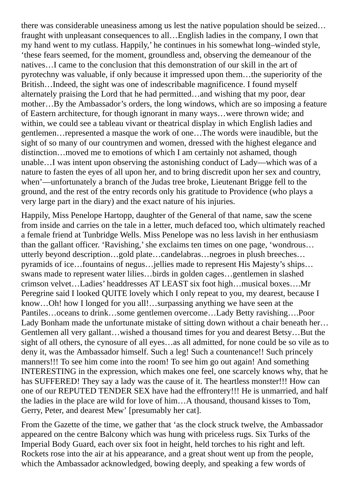there was considerable uneasiness among us lest the native population should be seized… fraught with unpleasant consequences to all…English ladies in the company, I own that my hand went to my cutlass. Happily,' he continues in his somewhat long–winded style, 'these fears seemed, for the moment, groundless and, observing the demeanour of the natives…I came to the conclusion that this demonstration of our skill in the art of pyrotechny was valuable, if only because it impressed upon them…the superiority of the British…Indeed, the sight was one of indescribable magnificence. I found myself alternately praising the Lord that he had permitted…and wishing that my poor, dear mother…By the Ambassador's orders, the long windows, which are so imposing a feature of Eastern architecture, for though ignorant in many ways…were thrown wide; and within, we could see a tableau vivant or theatrical display in which English ladies and gentlemen…represented a masque the work of one…The words were inaudible, but the sight of so many of our countrymen and women, dressed with the highest elegance and distinction…moved me to emotions of which I am certainly not ashamed, though unable…I was intent upon observing the astonishing conduct of Lady—which was of a nature to fasten the eyes of all upon her, and to bring discredit upon her sex and country, when'—unfortunately a branch of the Judas tree broke, Lieutenant Brigge fell to the ground, and the rest of the entry records only his gratitude to Providence (who plays a very large part in the diary) and the exact nature of his injuries.

Happily, Miss Penelope Hartopp, daughter of the General of that name, saw the scene from inside and carries on the tale in a letter, much defaced too, which ultimately reached a female friend at Tunbridge Wells. Miss Penelope was no less lavish in her enthusiasm than the gallant officer. 'Ravishing,'she exclaims ten times on one page, 'wondrous… utterly beyond description…gold plate…candelabras…negroes in plush breeches… pyramids of ice…fountains of negus…jellies made to represent His Majesty's ships… swans made to represent water lilies…birds in golden cages…gentlemen in slashed crimson velvet…Ladies' headdresses AT LEAST six foot high…musical boxes….Mr Peregrine said I looked QUITE lovely which I only repeat to you, my dearest, because I know…Oh! how I longed for you all!…surpassing anything we have seen at the Pantiles…oceans to drink…some gentlemen overcome…Lady Betty ravishing….Poor Lady Bonham made the unfortunate mistake of sitting down without a chair beneath her… Gentlemen all very gallant…wished a thousand times for you and dearest Betsy…But the sight of all others, the cynosure of all eyes…as all admitted, for none could be so vile as to deny it, was the Ambassador himself. Such a leg! Such a countenance!! Such princely manners!!! To see him come into the room! To see him go out again! And something INTERESTING in the expression, which makes one feel, one scarcely knows why, that he has SUFFERED! They say a lady was the cause of it. The heartless monster!!! How can one of our REPUTED TENDER SEX have had the effrontery!!! He is unmarried, and half the ladies in the place are wild for love of him…A thousand, thousand kisses to Tom, Gerry, Peter, and dearest Mew' [presumably her cat].

From the Gazette of the time, we gather that 'as the clock struck twelve, the Ambassador appeared on the centre Balcony which was hung with priceless rugs. Six Turks of the Imperial Body Guard, each over six foot in height, held torches to his right and left. Rockets rose into the air at his appearance, and a great shout went up from the people, which the Ambassador acknowledged, bowing deeply, and speaking a few words of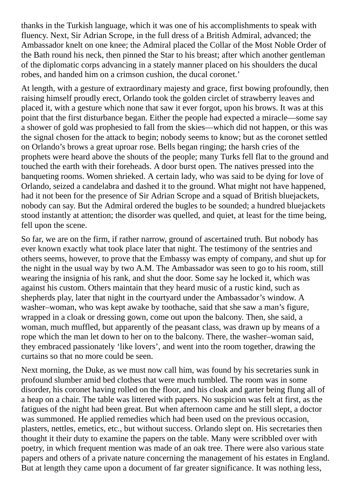thanks in the Turkish language, which it was one of his accomplishments to speak with fluency. Next, Sir Adrian Scrope, in the full dress of a British Admiral, advanced; the Ambassador knelt on one knee; the Admiral placed the Collar of the Most Noble Order of the Bath round his neck, then pinned the Star to his breast; after which another gentleman of the diplomatic corps advancing in a stately manner placed on his shoulders the ducal robes, and handed him on a crimson cushion, the ducal coronet.'

At length, with a gesture of extraordinary majesty and grace, first bowing profoundly, then raising himself proudly erect, Orlando took the golden circlet of strawberry leaves and placed it, with a gesture which none that saw it ever forgot, upon his brows. It was at this point that the first disturbance began. Either the people had expected a miracle—some say a shower of gold was prophesied to fall from the skies—which did not happen, or this was the signal chosen for the attack to begin; nobody seems to know; but as the coronet settled on Orlando's brows a great uproar rose. Bells began ringing; the harsh cries of the prophets were heard above the shouts of the people; many Turks fell flat to the ground and touched the earth with their foreheads. A door burst open. The natives pressed into the banqueting rooms. Women shrieked. A certain lady, who was said to be dying for love of Orlando, seized a candelabra and dashed it to the ground. What might not have happened, had it not been for the presence of Sir Adrian Scrope and a squad of British bluejackets, nobody can say. But the Admiral ordered the bugles to be sounded; a hundred bluejackets stood instantly at attention; the disorder was quelled, and quiet, at least for the time being, fell upon the scene.

So far, we are on the firm, if rather narrow, ground of ascertained truth. But nobody has ever known exactly what took place later that night. The testimony of the sentries and others seems, however, to prove that the Embassy was empty of company, and shut up for the night in the usual way by two A.M. The Ambassador was seen to go to his room, still wearing the insignia of his rank, and shut the door. Some say he locked it, which was against his custom. Others maintain that they heard music of a rustic kind, such as shepherds play, later that night in the courtyard under the Ambassador's window. A washer–woman, who was kept awake by toothache, said that she saw a man's figure, wrapped in a cloak or dressing gown, come out upon the balcony. Then, she said, a woman, much muffled, but apparently of the peasant class, was drawn up by means of a rope which the man let down to her on to the balcony. There, the washer–woman said, they embraced passionately 'like lovers', and went into the room together, drawing the curtains so that no more could be seen.

Next morning, the Duke, as we must now call him, was found by his secretaries sunk in profound slumber amid bed clothes that were much tumbled. The room was in some disorder, his coronet having rolled on the floor, and his cloak and garter being flung all of a heap on a chair. The table was littered with papers. No suspicion was felt at first, as the fatigues of the night had been great. But when afternoon came and he still slept, a doctor was summoned. He applied remedies which had been used on the previous occasion, plasters, nettles, emetics, etc., but without success. Orlando slept on. His secretaries then thought it their duty to examine the papers on the table. Many were scribbled over with poetry, in which frequent mention was made of an oak tree. There were also various state papers and others of a private nature concerning the management of his estates in England. But at length they came upon a document of far greater significance. It was nothing less,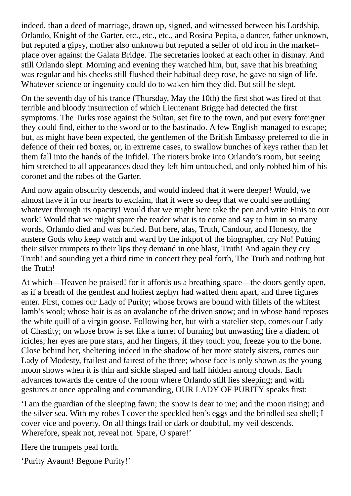indeed, than a deed of marriage, drawn up, signed, and witnessed between his Lordship, Orlando, Knight of the Garter, etc., etc., etc., and Rosina Pepita, a dancer, father unknown, but reputed a gipsy, mother also unknown but reputed a seller of old iron in the market– place over against the Galata Bridge. The secretaries looked at each other in dismay. And still Orlando slept. Morning and evening they watched him, but, save that his breathing was regular and his cheeks still flushed their habitual deep rose, he gave no sign of life. Whatever science or ingenuity could do to waken him they did. But still he slept.

On the seventh day of his trance (Thursday, May the 10th) the first shot was fired of that terrible and bloody insurrection of which Lieutenant Brigge had detected the first symptoms. The Turks rose against the Sultan, set fire to the town, and put every foreigner they could find, either to the sword or to the bastinado. A few English managed to escape; but, as might have been expected, the gentlemen of the British Embassy preferred to die in defence of their red boxes, or, in extreme cases, to swallow bunches of keys rather than let them fall into the hands of the Infidel. The rioters broke into Orlando's room, but seeing him stretched to all appearances dead they left him untouched, and only robbed him of his coronet and the robes of the Garter.

And now again obscurity descends, and would indeed that it were deeper! Would, we almost have it in our hearts to exclaim, that it were so deep that we could see nothing whatever through its opacity! Would that we might here take the pen and write Finis to our work! Would that we might spare the reader what is to come and say to him in so many words, Orlando died and was buried. But here, alas, Truth, Candour, and Honesty, the austere Gods who keep watch and ward by the inkpot of the biographer, cry No! Putting their silver trumpets to their lips they demand in one blast, Truth! And again they cry Truth! and sounding yet a third time in concert they peal forth, The Truth and nothing but the Truth!

At which—Heaven be praised! for it affords us a breathing space—the doors gently open, as if a breath of the gentlest and holiest zephyr had wafted them apart, and three figures enter. First, comes our Lady of Purity; whose brows are bound with fillets of the whitest lamb's wool; whose hair is as an avalanche of the driven snow; and in whose hand reposes the white quill of a virgin goose. Following her, but with a statelier step, comes our Lady of Chastity; on whose brow is set like a turret of burning but unwasting fire a diadem of icicles; her eyes are pure stars, and her fingers, if they touch you, freeze you to the bone. Close behind her, sheltering indeed in the shadow of her more stately sisters, comes our Lady of Modesty, frailest and fairest of the three; whose face is only shown as the young moon shows when it is thin and sickle shaped and half hidden among clouds. Each advances towards the centre of the room where Orlando still lies sleeping; and with gestures at once appealing and commanding, OUR LADY OF PURITY speaks first:

'I am the guardian of the sleeping fawn; the snow is dear to me; and the moon rising; and the silver sea. With my robes I cover the speckled hen's eggs and the brindled sea shell; I cover vice and poverty. On all things frail or dark or doubtful, my veil descends. Wherefore, speak not, reveal not. Spare, O spare!'

Here the trumpets peal forth.

'Purity Avaunt! Begone Purity!'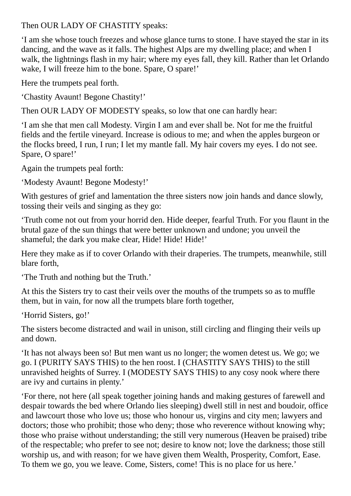Then OUR LADY OF CHASTITY speaks:

'I am she whose touch freezes and whose glance turns to stone. I have stayed the star in its dancing, and the wave as it falls. The highest Alps are my dwelling place; and when I walk, the lightnings flash in my hair; where my eyes fall, they kill. Rather than let Orlando wake, I will freeze him to the bone. Spare, O spare!'

Here the trumpets peal forth.

'Chastity Avaunt! Begone Chastity!'

Then OUR LADY OF MODESTY speaks, so low that one can hardly hear:

'I am she that men call Modesty. Virgin I am and ever shall be. Not for me the fruitful fields and the fertile vineyard. Increase is odious to me; and when the apples burgeon or the flocks breed, I run, I run; I let my mantle fall. My hair covers my eyes. I do not see. Spare, O spare!'

Again the trumpets peal forth:

'Modesty Avaunt! Begone Modesty!'

With gestures of grief and lamentation the three sisters now join hands and dance slowly, tossing their veils and singing as they go:

'Truth come not out from your horrid den. Hide deeper, fearful Truth. For you flaunt in the brutal gaze of the sun things that were better unknown and undone; you unveil the shameful; the dark you make clear, Hide! Hide! Hide!'

Here they make as if to cover Orlando with their draperies. The trumpets, meanwhile, still blare forth,

'The Truth and nothing but the Truth.'

At this the Sisters try to cast their veils over the mouths of the trumpets so as to muffle them, but in vain, for now all the trumpets blare forth together,

'Horrid Sisters, go!'

The sisters become distracted and wail in unison, still circling and flinging their veils up and down.

'It has not always been so! But men want us no longer; the women detest us. We go; we go. I (PURITY SAYS THIS) to the hen roost. I (CHASTITY SAYS THIS) to the still unravished heights of Surrey. I (MODESTY SAYS THIS) to any cosy nook where there are ivy and curtains in plenty.'

'For there, not here (all speak together joining hands and making gestures of farewell and despair towards the bed where Orlando lies sleeping) dwell still in nest and boudoir, office and lawcourt those who love us; those who honour us, virgins and city men; lawyers and doctors; those who prohibit; those who deny; those who reverence without knowing why; those who praise without understanding; the still very numerous (Heaven be praised) tribe of the respectable; who prefer to see not; desire to know not; love the darkness; those still worship us, and with reason; for we have given them Wealth, Prosperity, Comfort, Ease. To them we go, you we leave. Come, Sisters, come! This is no place for us here.'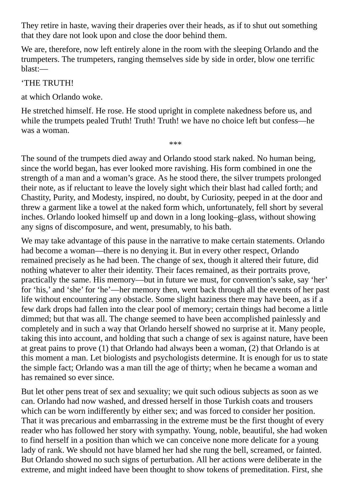They retire in haste, waving their draperies over their heads, as if to shut out something that they dare not look upon and close the door behind them.

We are, therefore, now left entirely alone in the room with the sleeping Orlando and the trumpeters. The trumpeters, ranging themselves side by side in order, blow one terrific blast:—

## 'THE TRUTH!

at which Orlando woke.

He stretched himself. He rose. He stood upright in complete nakedness before us, and while the trumpets pealed Truth! Truth! Truth! we have no choice left but confess—he was a woman.

\*\*\*

The sound of the trumpets died away and Orlando stood stark naked. No human being, since the world began, has ever looked more ravishing. His form combined in one the strength of a man and a woman's grace. As he stood there, the silver trumpets prolonged their note, as if reluctant to leave the lovely sight which their blast had called forth; and Chastity, Purity, and Modesty, inspired, no doubt, by Curiosity, peeped in at the door and threw a garment like a towel at the naked form which, unfortunately, fell short by several inches. Orlando looked himself up and down in a long looking–glass, without showing any signs of discomposure, and went, presumably, to his bath.

We may take advantage of this pause in the narrative to make certain statements. Orlando had become a woman—there is no denying it. But in every other respect, Orlando remained precisely as he had been. The change of sex, though it altered their future, did nothing whatever to alter their identity. Their faces remained, as their portraits prove, practically the same. His memory—but in future we must, for convention's sake, say 'her' for 'his,' and 'she' for 'he'—her memory then, went back through all the events of her past life without encountering any obstacle. Some slight haziness there may have been, as if a few dark drops had fallen into the clear pool of memory; certain things had become a little dimmed; but that was all. The change seemed to have been accomplished painlessly and completely and in such a way that Orlando herself showed no surprise at it. Many people, taking this into account, and holding that such a change of sex is against nature, have been at great pains to prove (1) that Orlando had always been a woman, (2) that Orlando is at this moment a man. Let biologists and psychologists determine. It is enough for us to state the simple fact; Orlando was a man till the age of thirty; when he became a woman and has remained so ever since.

But let other pens treat of sex and sexuality; we quit such odious subjects as soon as we can. Orlando had now washed, and dressed herself in those Turkish coats and trousers which can be worn indifferently by either sex; and was forced to consider her position. That it was precarious and embarrassing in the extreme must be the first thought of every reader who has followed her story with sympathy. Young, noble, beautiful, she had woken to find herself in a position than which we can conceive none more delicate for a young lady of rank. We should not have blamed her had she rung the bell, screamed, or fainted. But Orlando showed no such signs of perturbation. All her actions were deliberate in the extreme, and might indeed have been thought to show tokens of premeditation. First, she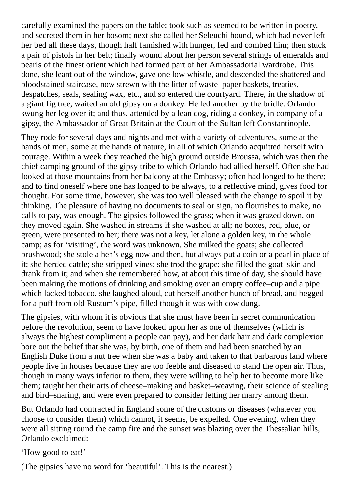carefully examined the papers on the table; took such as seemed to be written in poetry, and secreted them in her bosom; next she called her Seleuchi hound, which had never left her bed all these days, though half famished with hunger, fed and combed him; then stuck a pair of pistols in her belt; finally wound about her person several strings of emeralds and pearls of the finest orient which had formed part of her Ambassadorial wardrobe. This done, she leant out of the window, gave one low whistle, and descended the shattered and bloodstained staircase, now strewn with the litter of waste–paper baskets, treaties, despatches, seals, sealing wax, etc., and so entered the courtyard. There, in the shadow of a giant fig tree, waited an old gipsy on a donkey. He led another by the bridle. Orlando swung her leg over it; and thus, attended by a lean dog, riding a donkey, in company of a gipsy, the Ambassador of Great Britain at the Court of the Sultan left Constantinople.

They rode for several days and nights and met with a variety of adventures, some at the hands of men, some at the hands of nature, in all of which Orlando acquitted herself with courage. Within a week they reached the high ground outside Broussa, which was then the chief camping ground of the gipsy tribe to which Orlando had allied herself. Often she had looked at those mountains from her balcony at the Embassy; often had longed to be there; and to find oneself where one has longed to be always, to a reflective mind, gives food for thought. For some time, however, she was too well pleased with the change to spoil it by thinking. The pleasure of having no documents to seal or sign, no flourishes to make, no calls to pay, was enough. The gipsies followed the grass; when it was grazed down, on they moved again. She washed in streams if she washed at all; no boxes, red, blue, or green, were presented to her; there was not a key, let alone a golden key, in the whole camp; as for 'visiting', the word was unknown. She milked the goats; she collected brushwood; she stole a hen's egg now and then, but always put a coin or a pearl in place of it; she herded cattle; she stripped vines; she trod the grape; she filled the goat–skin and drank from it; and when she remembered how, at about this time of day, she should have been making the motions of drinking and smoking over an empty coffee–cup and a pipe which lacked tobacco, she laughed aloud, cut herself another hunch of bread, and begged for a puff from old Rustum's pipe, filled though it was with cow dung.

The gipsies, with whom it is obvious that she must have been in secret communication before the revolution, seem to have looked upon her as one of themselves (which is always the highest compliment a people can pay), and her dark hair and dark complexion bore out the belief that she was, by birth, one of them and had been snatched by an English Duke from a nut tree when she was a baby and taken to that barbarous land where people live in houses because they are too feeble and diseased to stand the open air. Thus, though in many ways inferior to them, they were willing to help her to become more like them; taught her their arts of cheese–making and basket–weaving, their science of stealing and bird–snaring, and were even prepared to consider letting her marry among them.

But Orlando had contracted in England some of the customs or diseases (whatever you choose to consider them) which cannot, it seems, be expelled. One evening, when they were all sitting round the camp fire and the sunset was blazing over the Thessalian hills, Orlando exclaimed:

'How good to eat!'

(The gipsies have no word for 'beautiful'. This is the nearest.)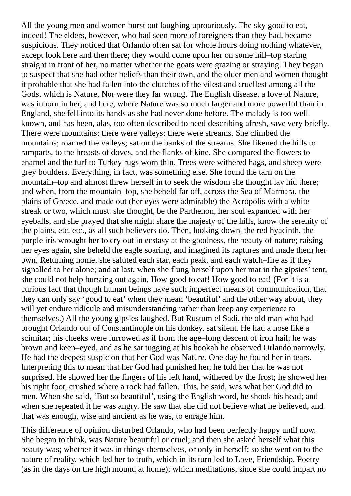All the young men and women burst out laughing uproariously. The sky good to eat, indeed! The elders, however, who had seen more of foreigners than they had, became suspicious. They noticed that Orlando often sat for whole hours doing nothing whatever, except look here and then there; they would come upon her on some hill–top staring straight in front of her, no matter whether the goats were grazing or straying. They began to suspect that she had other beliefs than their own, and the older men and women thought it probable that she had fallen into the clutches of the vilest and cruellest among all the Gods, which is Nature. Nor were they far wrong. The English disease, a love of Nature, was inborn in her, and here, where Nature was so much larger and more powerful than in England, she fell into its hands as she had never done before. The malady is too well known, and has been, alas, too often described to need describing afresh, save very briefly. There were mountains; there were valleys; there were streams. She climbed the mountains; roamed the valleys; sat on the banks of the streams. She likened the hills to ramparts, to the breasts of doves, and the flanks of kine. She compared the flowers to enamel and the turf to Turkey rugs worn thin. Trees were withered hags, and sheep were grey boulders. Everything, in fact, was something else. She found the tarn on the mountain–top and almost threw herself in to seek the wisdom she thought lay hid there; and when, from the mountain–top, she beheld far off, across the Sea of Marmara, the plains of Greece, and made out (her eyes were admirable) the Acropolis with a white streak or two, which must, she thought, be the Parthenon, her soul expanded with her eyeballs, and she prayed that she might share the majesty of the hills, know the serenity of the plains, etc. etc., as all such believers do. Then, looking down, the red hyacinth, the purple iris wrought her to cry out in ecstasy at the goodness, the beauty of nature; raising her eyes again, she beheld the eagle soaring, and imagined its raptures and made them her own. Returning home, she saluted each star, each peak, and each watch–fire as if they signalled to her alone; and at last, when she flung herself upon her mat in the gipsies' tent, she could not help bursting out again, How good to eat! How good to eat! (For it is a curious fact that though human beings have such imperfect means of communication, that they can only say 'good to eat' when they mean 'beautiful' and the other way about, they will yet endure ridicule and misunderstanding rather than keep any experience to themselves.) All the young gipsies laughed. But Rustum el Sadi, the old man who had brought Orlando out of Constantinople on his donkey, sat silent. He had a nose like a scimitar; his cheeks were furrowed as if from the age–long descent of iron hail; he was brown and keen–eyed, and as he sat tugging at his hookah he observed Orlando narrowly. He had the deepest suspicion that her God was Nature. One day he found her in tears. Interpreting this to mean that her God had punished her, he told her that he was not surprised. He showed her the fingers of his left hand, withered by the frost; he showed her his right foot, crushed where a rock had fallen. This, he said, was what her God did to men. When she said, 'But so beautiful', using the English word, he shook his head; and when she repeated it he was angry. He saw that she did not believe what he believed, and that was enough, wise and ancient as he was, to enrage him.

This difference of opinion disturbed Orlando, who had been perfectly happy until now. She began to think, was Nature beautiful or cruel; and then she asked herself what this beauty was; whether it was in things themselves, or only in herself; so she went on to the nature of reality, which led her to truth, which in its turn led to Love, Friendship, Poetry (as in the days on the high mound at home); which meditations, since she could impart no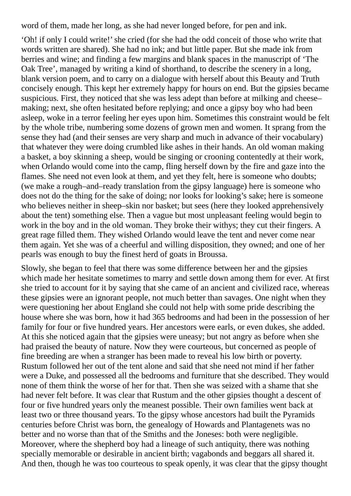word of them, made her long, as she had never longed before, for pen and ink.

'Oh! if only I could write!'she cried (for she had the odd conceit of those who write that words written are shared). She had no ink; and but little paper. But she made ink from berries and wine; and finding a few margins and blank spaces in the manuscript of 'The Oak Tree', managed by writing a kind of shorthand, to describe the scenery in a long, blank version poem, and to carry on a dialogue with herself about this Beauty and Truth concisely enough. This kept her extremely happy for hours on end. But the gipsies became suspicious. First, they noticed that she was less adept than before at milking and cheese– making; next, she often hesitated before replying; and once a gipsy boy who had been asleep, woke in a terror feeling her eyes upon him. Sometimes this constraint would be felt by the whole tribe, numbering some dozens of grown men and women. It sprang from the sense they had (and their senses are very sharp and much in advance of their vocabulary) that whatever they were doing crumbled like ashes in their hands. An old woman making a basket, a boy skinning a sheep, would be singing or crooning contentedly at their work, when Orlando would come into the camp, fling herself down by the fire and gaze into the flames. She need not even look at them, and yet they felt, here is someone who doubts; (we make a rough–and–ready translation from the gipsy language) here is someone who does not do the thing for the sake of doing; nor looks for looking's sake; here is someone who believes neither in sheep–skin nor basket; but sees (here they looked apprehensively about the tent) something else. Then a vague but most unpleasant feeling would begin to work in the boy and in the old woman. They broke their withys; they cut their fingers. A great rage filled them. They wished Orlando would leave the tent and never come near them again. Yet she was of a cheerful and willing disposition, they owned; and one of her pearls was enough to buy the finest herd of goats in Broussa.

Slowly, she began to feel that there was some difference between her and the gipsies which made her hesitate sometimes to marry and settle down among them for ever. At first she tried to account for it by saying that she came of an ancient and civilized race, whereas these gipsies were an ignorant people, not much better than savages. One night when they were questioning her about England she could not help with some pride describing the house where she was born, how it had 365 bedrooms and had been in the possession of her family for four or five hundred years. Her ancestors were earls, or even dukes, she added. At this she noticed again that the gipsies were uneasy; but not angry as before when she had praised the beauty of nature. Now they were courteous, but concerned as people of fine breeding are when a stranger has been made to reveal his low birth or poverty. Rustum followed her out of the tent alone and said that she need not mind if her father were a Duke, and possessed all the bedrooms and furniture that she described. They would none of them think the worse of her for that. Then she was seized with a shame that she had never felt before. It was clear that Rustum and the other gipsies thought a descent of four or five hundred years only the meanest possible. Their own families went back at least two or three thousand years. To the gipsy whose ancestors had built the Pyramids centuries before Christ was born, the genealogy of Howards and Plantagenets was no better and no worse than that of the Smiths and the Joneses: both were negligible. Moreover, where the shepherd boy had a lineage of such antiquity, there was nothing specially memorable or desirable in ancient birth; vagabonds and beggars all shared it. And then, though he was too courteous to speak openly, it was clear that the gipsy thought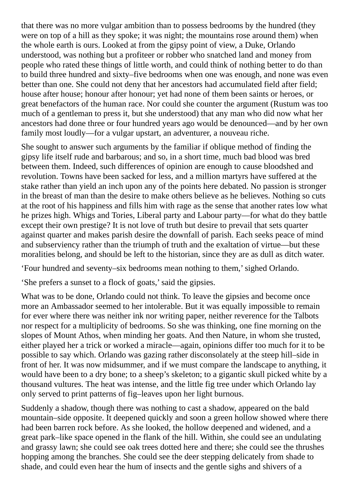that there was no more vulgar ambition than to possess bedrooms by the hundred (they were on top of a hill as they spoke; it was night; the mountains rose around them) when the whole earth is ours. Looked at from the gipsy point of view, a Duke, Orlando understood, was nothing but a profiteer or robber who snatched land and money from people who rated these things of little worth, and could think of nothing better to do than to build three hundred and sixty–five bedrooms when one was enough, and none was even better than one. She could not deny that her ancestors had accumulated field after field; house after house; honour after honour; yet had none of them been saints or heroes, or great benefactors of the human race. Nor could she counter the argument (Rustum was too much of a gentleman to press it, but she understood) that any man who did now what her ancestors had done three or four hundred years ago would be denounced—and by her own family most loudly—for a vulgar upstart, an adventurer, a nouveau riche.

She sought to answer such arguments by the familiar if oblique method of finding the gipsy life itself rude and barbarous; and so, in a short time, much bad blood was bred between them. Indeed, such differences of opinion are enough to cause bloodshed and revolution. Towns have been sacked for less, and a million martyrs have suffered at the stake rather than yield an inch upon any of the points here debated. No passion is stronger in the breast of man than the desire to make others believe as he believes. Nothing so cuts at the root of his happiness and fills him with rage as the sense that another rates low what he prizes high. Whigs and Tories, Liberal party and Labour party—for what do they battle except their own prestige? It is not love of truth but desire to prevail that sets quarter against quarter and makes parish desire the downfall of parish. Each seeks peace of mind and subserviency rather than the triumph of truth and the exaltation of virtue—but these moralities belong, and should be left to the historian, since they are as dull as ditch water.

'Four hundred and seventy–six bedrooms mean nothing to them,'sighed Orlando.

'She prefers a sunset to a flock of goats,'said the gipsies.

What was to be done, Orlando could not think. To leave the gipsies and become once more an Ambassador seemed to her intolerable. But it was equally impossible to remain for ever where there was neither ink nor writing paper, neither reverence for the Talbots nor respect for a multiplicity of bedrooms. So she was thinking, one fine morning on the slopes of Mount Athos, when minding her goats. And then Nature, in whom she trusted, either played her a trick or worked a miracle—again, opinions differ too much for it to be possible to say which. Orlando was gazing rather disconsolately at the steep hill–side in front of her. It was now midsummer, and if we must compare the landscape to anything, it would have been to a dry bone; to a sheep's skeleton; to a gigantic skull picked white by a thousand vultures. The heat was intense, and the little fig tree under which Orlando lay only served to print patterns of fig–leaves upon her light burnous.

Suddenly a shadow, though there was nothing to cast a shadow, appeared on the bald mountain–side opposite. It deepened quickly and soon a green hollow showed where there had been barren rock before. As she looked, the hollow deepened and widened, and a great park–like space opened in the flank of the hill. Within, she could see an undulating and grassy lawn; she could see oak trees dotted here and there; she could see the thrushes hopping among the branches. She could see the deer stepping delicately from shade to shade, and could even hear the hum of insects and the gentle sighs and shivers of a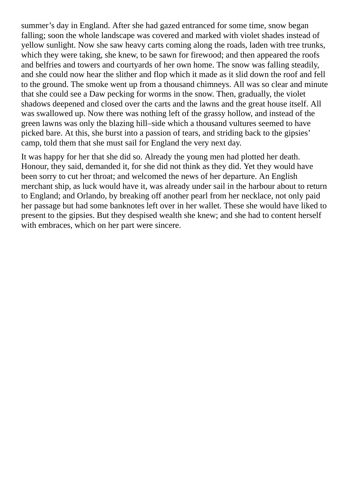summer's day in England. After she had gazed entranced for some time, snow began falling; soon the whole landscape was covered and marked with violet shades instead of yellow sunlight. Now she saw heavy carts coming along the roads, laden with tree trunks, which they were taking, she knew, to be sawn for firewood; and then appeared the roofs and belfries and towers and courtyards of her own home. The snow was falling steadily, and she could now hear the slither and flop which it made as it slid down the roof and fell to the ground. The smoke went up from a thousand chimneys. All was so clear and minute that she could see a Daw pecking for worms in the snow. Then, gradually, the violet shadows deepened and closed over the carts and the lawns and the great house itself. All was swallowed up. Now there was nothing left of the grassy hollow, and instead of the green lawns was only the blazing hill–side which a thousand vultures seemed to have picked bare. At this, she burst into a passion of tears, and striding back to the gipsies' camp, told them that she must sail for England the very next day.

It was happy for her that she did so. Already the young men had plotted her death. Honour, they said, demanded it, for she did not think as they did. Yet they would have been sorry to cut her throat; and welcomed the news of her departure. An English merchant ship, as luck would have it, was already under sail in the harbour about to return to England; and Orlando, by breaking off another pearl from her necklace, not only paid her passage but had some banknotes left over in her wallet. These she would have liked to present to the gipsies. But they despised wealth she knew; and she had to content herself with embraces, which on her part were sincere.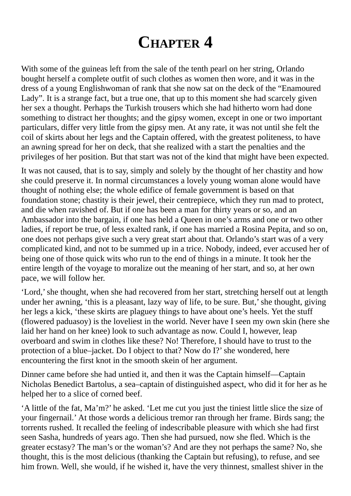## **CHAPTER 4**

With some of the guineas left from the sale of the tenth pearl on her string, Orlando bought herself a complete outfit of such clothes as women then wore, and it was in the dress of a young Englishwoman of rank that she now sat on the deck of the "Enamoured Lady". It is a strange fact, but a true one, that up to this moment she had scarcely given her sex a thought. Perhaps the Turkish trousers which she had hitherto worn had done something to distract her thoughts; and the gipsy women, except in one or two important particulars, differ very little from the gipsy men. At any rate, it was not until she felt the coil of skirts about her legs and the Captain offered, with the greatest politeness, to have an awning spread for her on deck, that she realized with a start the penalties and the privileges of her position. But that start was not of the kind that might have been expected.

It was not caused, that is to say, simply and solely by the thought of her chastity and how she could preserve it. In normal circumstances a lovely young woman alone would have thought of nothing else; the whole edifice of female government is based on that foundation stone; chastity is their jewel, their centrepiece, which they run mad to protect, and die when ravished of. But if one has been a man for thirty years or so, and an Ambassador into the bargain, if one has held a Queen in one's arms and one or two other ladies, if report be true, of less exalted rank, if one has married a Rosina Pepita, and so on, one does not perhaps give such a very great start about that. Orlando's start was of a very complicated kind, and not to be summed up in a trice. Nobody, indeed, ever accused her of being one of those quick wits who run to the end of things in a minute. It took her the entire length of the voyage to moralize out the meaning of her start, and so, at her own pace, we will follow her.

'Lord,'she thought, when she had recovered from her start, stretching herself out at length under her awning, 'this is a pleasant, lazy way of life, to be sure. But,' she thought, giving her legs a kick, 'these skirts are plaguey things to have about one's heels. Yet the stuff (flowered paduasoy) is the loveliest in the world. Never have I seen my own skin (here she laid her hand on her knee) look to such advantage as now. Could I, however, leap overboard and swim in clothes like these? No! Therefore, I should have to trust to the protection of a blue–jacket. Do I object to that? Now do I?'she wondered, here encountering the first knot in the smooth skein of her argument.

Dinner came before she had untied it, and then it was the Captain himself—Captain Nicholas Benedict Bartolus, a sea–captain of distinguished aspect, who did it for her as he helped her to a slice of corned beef.

'A little of the fat, Ma'm?' he asked. 'Let me cut you just the tiniest little slice the size of your fingernail.' At those words a delicious tremor ran through her frame. Birds sang; the torrents rushed. It recalled the feeling of indescribable pleasure with which she had first seen Sasha, hundreds of years ago. Then she had pursued, now she fled. Which is the greater ecstasy? The man's or the woman's? And are they not perhaps the same? No, she thought, this is the most delicious (thanking the Captain but refusing), to refuse, and see him frown. Well, she would, if he wished it, have the very thinnest, smallest shiver in the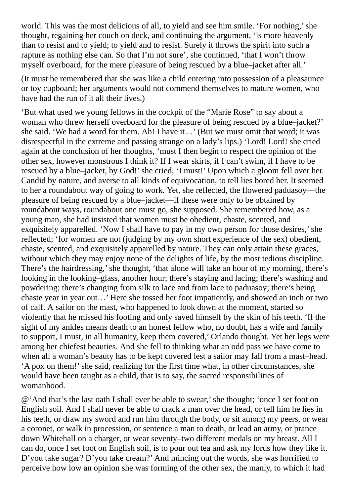world. This was the most delicious of all, to yield and see him smile. 'For nothing,'she thought, regaining her couch on deck, and continuing the argument, 'is more heavenly than to resist and to yield; to yield and to resist. Surely it throws the spirit into such a rapture as nothing else can. So that I'm not sure', she continued, 'that I won't throw myself overboard, for the mere pleasure of being rescued by a blue–jacket after all.'

(It must be remembered that she was like a child entering into possession of a pleasaunce or toy cupboard; her arguments would not commend themselves to mature women, who have had the run of it all their lives.)

'But what used we young fellows in the cockpit of the "Marie Rose" to say about a woman who threw herself overboard for the pleasure of being rescued by a blue–jacket?' she said. 'We had a word for them. Ah! I have it…' (But we must omit that word; it was disrespectful in the extreme and passing strange on a lady's lips.) 'Lord! Lord! she cried again at the conclusion of her thoughts, 'must I then begin to respect the opinion of the other sex, however monstrous I think it? If I wear skirts, if I can't swim, if I have to be rescued by a blue–jacket, by God!'she cried, 'I must!' Upon which a gloom fell over her. Candid by nature, and averse to all kinds of equivocation, to tell lies bored her. It seemed to her a roundabout way of going to work. Yet, she reflected, the flowered paduasoy—the pleasure of being rescued by a blue–jacket—if these were only to be obtained by roundabout ways, roundabout one must go, she supposed. She remembered how, as a young man, she had insisted that women must be obedient, chaste, scented, and exquisitely apparelled. 'Now I shall have to pay in my own person for those desires,'she reflected; 'for women are not (judging by my own short experience of the sex) obedient, chaste, scented, and exquisitely apparelled by nature. They can only attain these graces, without which they may enjoy none of the delights of life, by the most tedious discipline. There's the hairdressing,'she thought, 'that alone will take an hour of my morning, there's looking in the looking–glass, another hour; there's staying and lacing; there's washing and powdering; there's changing from silk to lace and from lace to paduasoy; there's being chaste year in year out…' Here she tossed her foot impatiently, and showed an inch or two of calf. A sailor on the mast, who happened to look down at the moment, started so violently that he missed his footing and only saved himself by the skin of his teeth. 'If the sight of my ankles means death to an honest fellow who, no doubt, has a wife and family to support, I must, in all humanity, keep them covered,' Orlando thought. Yet her legs were among her chiefest beauties. And she fell to thinking what an odd pass we have come to when all a woman's beauty has to be kept covered lest a sailor may fall from a mast–head. 'A pox on them!'she said, realizing for the first time what, in other circumstances, she would have been taught as a child, that is to say, the sacred responsibilities of womanhood.

@'And that's the last oath I shall ever be able to swear,'she thought; 'once I set foot on English soil. And I shall never be able to crack a man over the head, or tell him he lies in his teeth, or draw my sword and run him through the body, or sit among my peers, or wear a coronet, or walk in procession, or sentence a man to death, or lead an army, or prance down Whitehall on a charger, or wear seventy–two different medals on my breast. All I can do, once I set foot on English soil, is to pour out tea and ask my lords how they like it. D'you take sugar? D'you take cream?' And mincing out the words, she was horrified to perceive how low an opinion she was forming of the other sex, the manly, to which it had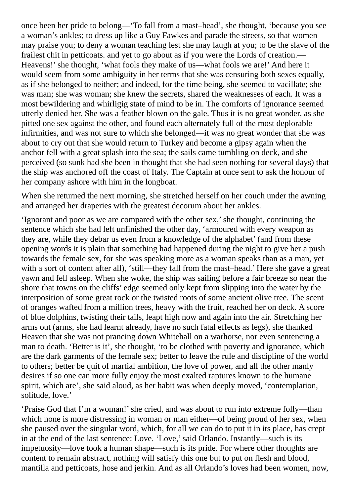once been her pride to belong—'To fall from a mast–head', she thought, 'because you see a woman's ankles; to dress up like a Guy Fawkes and parade the streets, so that women may praise you; to deny a woman teaching lest she may laugh at you; to be the slave of the frailest chit in petticoats. and yet to go about as if you were the Lords of creation.— Heavens!' she thought, 'what fools they make of us—what fools we are!' And here it would seem from some ambiguity in her terms that she was censuring both sexes equally, as if she belonged to neither; and indeed, for the time being, she seemed to vacillate; she was man; she was woman; she knew the secrets, shared the weaknesses of each. It was a most bewildering and whirligig state of mind to be in. The comforts of ignorance seemed utterly denied her. She was a feather blown on the gale. Thus it is no great wonder, as she pitted one sex against the other, and found each alternately full of the most deplorable infirmities, and was not sure to which she belonged—it was no great wonder that she was about to cry out that she would return to Turkey and become a gipsy again when the anchor fell with a great splash into the sea; the sails came tumbling on deck, and she perceived (so sunk had she been in thought that she had seen nothing for several days) that the ship was anchored off the coast of Italy. The Captain at once sent to ask the honour of her company ashore with him in the longboat.

When she returned the next morning, she stretched herself on her couch under the awning and arranged her draperies with the greatest decorum about her ankles.

'Ignorant and poor as we are compared with the other sex,'she thought, continuing the sentence which she had left unfinished the other day, 'armoured with every weapon as they are, while they debar us even from a knowledge of the alphabet' (and from these opening words it is plain that something had happened during the night to give her a push towards the female sex, for she was speaking more as a woman speaks than as a man, yet with a sort of content after all), 'still—they fall from the mast-head.' Here she gave a great yawn and fell asleep. When she woke, the ship was sailing before a fair breeze so near the shore that towns on the cliffs' edge seemed only kept from slipping into the water by the interposition of some great rock or the twisted roots of some ancient olive tree. The scent of oranges wafted from a million trees, heavy with the fruit, reached her on deck. A score of blue dolphins, twisting their tails, leapt high now and again into the air. Stretching her arms out (arms, she had learnt already, have no such fatal effects as legs), she thanked Heaven that she was not prancing down Whitehall on a warhorse, nor even sentencing a man to death. 'Better is it', she thought, 'to be clothed with poverty and ignorance, which are the dark garments of the female sex; better to leave the rule and discipline of the world to others; better be quit of martial ambition, the love of power, and all the other manly desires if so one can more fully enjoy the most exalted raptures known to the humane spirit, which are', she said aloud, as her habit was when deeply moved, 'contemplation, solitude, love.'

'Praise God that I'm a woman!'she cried, and was about to run into extreme folly—than which none is more distressing in woman or man either—of being proud of her sex, when she paused over the singular word, which, for all we can do to put it in its place, has crept in at the end of the last sentence: Love. 'Love,'said Orlando. Instantly—such is its impetuosity—love took a human shape—such is its pride. For where other thoughts are content to remain abstract, nothing will satisfy this one but to put on flesh and blood, mantilla and petticoats, hose and jerkin. And as all Orlando's loves had been women, now,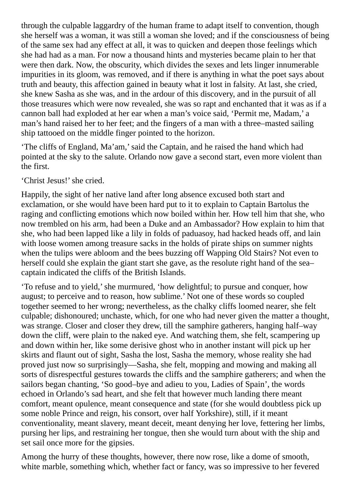through the culpable laggardry of the human frame to adapt itself to convention, though she herself was a woman, it was still a woman she loved; and if the consciousness of being of the same sex had any effect at all, it was to quicken and deepen those feelings which she had had as a man. For now a thousand hints and mysteries became plain to her that were then dark. Now, the obscurity, which divides the sexes and lets linger innumerable impurities in its gloom, was removed, and if there is anything in what the poet says about truth and beauty, this affection gained in beauty what it lost in falsity. At last, she cried, she knew Sasha as she was, and in the ardour of this discovery, and in the pursuit of all those treasures which were now revealed, she was so rapt and enchanted that it was as if a cannon ball had exploded at her ear when a man's voice said, 'Permit me, Madam,' a man's hand raised her to her feet; and the fingers of a man with a three–masted sailing ship tattooed on the middle finger pointed to the horizon.

'The cliffs of England, Ma'am,'said the Captain, and he raised the hand which had pointed at the sky to the salute. Orlando now gave a second start, even more violent than the first.

'Christ Jesus!'she cried.

Happily, the sight of her native land after long absence excused both start and exclamation, or she would have been hard put to it to explain to Captain Bartolus the raging and conflicting emotions which now boiled within her. How tell him that she, who now trembled on his arm, had been a Duke and an Ambassador? How explain to him that she, who had been lapped like a lily in folds of paduasoy, had hacked heads off, and lain with loose women among treasure sacks in the holds of pirate ships on summer nights when the tulips were abloom and the bees buzzing off Wapping Old Stairs? Not even to herself could she explain the giant start she gave, as the resolute right hand of the sea– captain indicated the cliffs of the British Islands.

'To refuse and to yield,'she murmured, 'how delightful; to pursue and conquer, how august; to perceive and to reason, how sublime.' Not one of these words so coupled together seemed to her wrong; nevertheless, as the chalky cliffs loomed nearer, she felt culpable; dishonoured; unchaste, which, for one who had never given the matter a thought, was strange. Closer and closer they drew, till the samphire gatherers, hanging half–way down the cliff, were plain to the naked eye. And watching them, she felt, scampering up and down within her, like some derisive ghost who in another instant will pick up her skirts and flaunt out of sight, Sasha the lost, Sasha the memory, whose reality she had proved just now so surprisingly—Sasha, she felt, mopping and mowing and making all sorts of disrespectful gestures towards the cliffs and the samphire gatherers; and when the sailors began chanting, 'So good–bye and adieu to you, Ladies of Spain', the words echoed in Orlando's sad heart, and she felt that however much landing there meant comfort, meant opulence, meant consequence and state (for she would doubtless pick up some noble Prince and reign, his consort, over half Yorkshire), still, if it meant conventionality, meant slavery, meant deceit, meant denying her love, fettering her limbs, pursing her lips, and restraining her tongue, then she would turn about with the ship and set sail once more for the gipsies.

Among the hurry of these thoughts, however, there now rose, like a dome of smooth, white marble, something which, whether fact or fancy, was so impressive to her fevered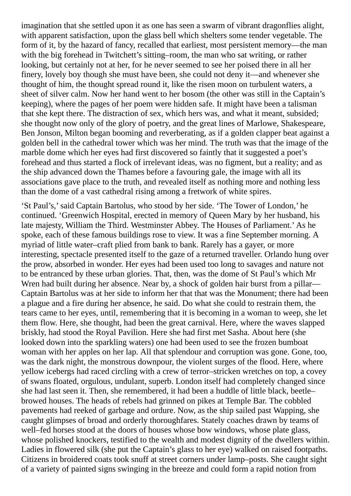imagination that she settled upon it as one has seen a swarm of vibrant dragonflies alight, with apparent satisfaction, upon the glass bell which shelters some tender vegetable. The form of it, by the hazard of fancy, recalled that earliest, most persistent memory—the man with the big forehead in Twitchett's sitting–room, the man who sat writing, or rather looking, but certainly not at her, for he never seemed to see her poised there in all her finery, lovely boy though she must have been, she could not deny it—and whenever she thought of him, the thought spread round it, like the risen moon on turbulent waters, a sheet of silver calm. Now her hand went to her bosom (the other was still in the Captain's keeping), where the pages of her poem were hidden safe. It might have been a talisman that she kept there. The distraction of sex, which hers was, and what it meant, subsided; she thought now only of the glory of poetry, and the great lines of Marlowe, Shakespeare, Ben Jonson, Milton began booming and reverberating, as if a golden clapper beat against a golden bell in the cathedral tower which was her mind. The truth was that the image of the marble dome which her eyes had first discovered so faintly that it suggested a poet's forehead and thus started a flock of irrelevant ideas, was no figment, but a reality; and as the ship advanced down the Thames before a favouring gale, the image with all its associations gave place to the truth, and revealed itself as nothing more and nothing less than the dome of a vast cathedral rising among a fretwork of white spires.

'St Paul's,'said Captain Bartolus, who stood by her side. 'The Tower of London,' he continued. 'Greenwich Hospital, erected in memory of Queen Mary by her husband, his late majesty, William the Third. Westminster Abbey. The Houses of Parliament.' As he spoke, each of these famous buildings rose to view. It was a fine September morning. A myriad of little water–craft plied from bank to bank. Rarely has a gayer, or more interesting, spectacle presented itself to the gaze of a returned traveller. Orlando hung over the prow, absorbed in wonder. Her eyes had been used too long to savages and nature not to be entranced by these urban glories. That, then, was the dome of St Paul's which Mr Wren had built during her absence. Near by, a shock of golden hair burst from a pillar-Captain Bartolus was at her side to inform her that that was the Monument; there had been a plague and a fire during her absence, he said. Do what she could to restrain them, the tears came to her eyes, until, remembering that it is becoming in a woman to weep, she let them flow. Here, she thought, had been the great carnival. Here, where the waves slapped briskly, had stood the Royal Pavilion. Here she had first met Sasha. About here (she looked down into the sparkling waters) one had been used to see the frozen bumboat woman with her apples on her lap. All that splendour and corruption was gone. Gone, too, was the dark night, the monstrous downpour, the violent surges of the flood. Here, where yellow icebergs had raced circling with a crew of terror–stricken wretches on top, a covey of swans floated, orgulous, undulant, superb. London itself had completely changed since she had last seen it. Then, she remembered, it had been a huddle of little black, beetle– browed houses. The heads of rebels had grinned on pikes at Temple Bar. The cobbled pavements had reeked of garbage and ordure. Now, as the ship sailed past Wapping, she caught glimpses of broad and orderly thoroughfares. Stately coaches drawn by teams of well–fed horses stood at the doors of houses whose bow windows, whose plate glass, whose polished knockers, testified to the wealth and modest dignity of the dwellers within. Ladies in flowered silk (she put the Captain's glass to her eye) walked on raised footpaths. Citizens in broidered coats took snuff at street corners under lamp–posts. She caught sight of a variety of painted signs swinging in the breeze and could form a rapid notion from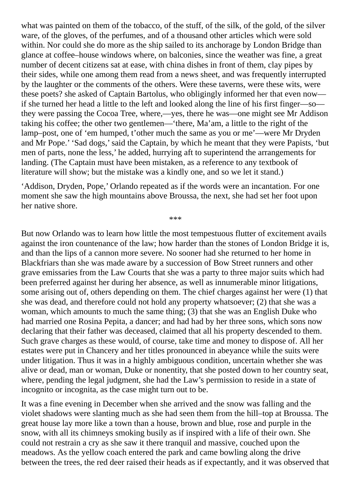what was painted on them of the tobacco, of the stuff, of the silk, of the gold, of the silver ware, of the gloves, of the perfumes, and of a thousand other articles which were sold within. Nor could she do more as the ship sailed to its anchorage by London Bridge than glance at coffee–house windows where, on balconies, since the weather was fine, a great number of decent citizens sat at ease, with china dishes in front of them, clay pipes by their sides, while one among them read from a news sheet, and was frequently interrupted by the laughter or the comments of the others. Were these taverns, were these wits, were these poets? she asked of Captain Bartolus, who obligingly informed her that even now if she turned her head a little to the left and looked along the line of his first finger—so they were passing the Cocoa Tree, where,—yes, there he was—one might see Mr Addison taking his coffee; the other two gentlemen—'there, Ma'am, a little to the right of the lamp–post, one of 'em humped, t'other much the same as you or me'—were Mr Dryden and Mr Pope.' 'Sad dogs,'said the Captain, by which he meant that they were Papists, 'but men of parts, none the less,' he added, hurrying aft to superintend the arrangements for landing. (The Captain must have been mistaken, as a reference to any textbook of literature will show; but the mistake was a kindly one, and so we let it stand.)

'Addison, Dryden, Pope,' Orlando repeated as if the words were an incantation. For one moment she saw the high mountains above Broussa, the next, she had set her foot upon her native shore.

\*\*\*

But now Orlando was to learn how little the most tempestuous flutter of excitement avails against the iron countenance of the law; how harder than the stones of London Bridge it is, and than the lips of a cannon more severe. No sooner had she returned to her home in Blackfriars than she was made aware by a succession of Bow Street runners and other grave emissaries from the Law Courts that she was a party to three major suits which had been preferred against her during her absence, as well as innumerable minor litigations, some arising out of, others depending on them. The chief charges against her were (1) that she was dead, and therefore could not hold any property whatsoever; (2) that she was a woman, which amounts to much the same thing; (3) that she was an English Duke who had married one Rosina Pepita, a dancer; and had had by her three sons, which sons now declaring that their father was deceased, claimed that all his property descended to them. Such grave charges as these would, of course, take time and money to dispose of. All her estates were put in Chancery and her titles pronounced in abeyance while the suits were under litigation. Thus it was in a highly ambiguous condition, uncertain whether she was alive or dead, man or woman, Duke or nonentity, that she posted down to her country seat, where, pending the legal judgment, she had the Law's permission to reside in a state of incognito or incognita, as the case might turn out to be.

It was a fine evening in December when she arrived and the snow was falling and the violet shadows were slanting much as she had seen them from the hill–top at Broussa. The great house lay more like a town than a house, brown and blue, rose and purple in the snow, with all its chimneys smoking busily as if inspired with a life of their own. She could not restrain a cry as she saw it there tranquil and massive, couched upon the meadows. As the yellow coach entered the park and came bowling along the drive between the trees, the red deer raised their heads as if expectantly, and it was observed that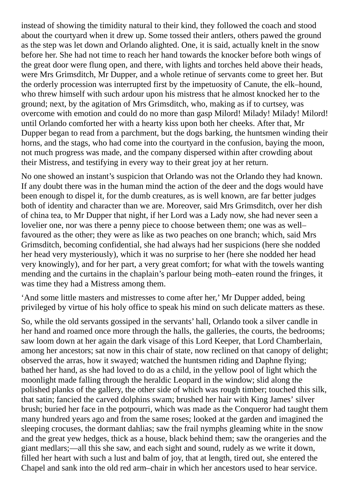instead of showing the timidity natural to their kind, they followed the coach and stood about the courtyard when it drew up. Some tossed their antlers, others pawed the ground as the step was let down and Orlando alighted. One, it is said, actually knelt in the snow before her. She had not time to reach her hand towards the knocker before both wings of the great door were flung open, and there, with lights and torches held above their heads, were Mrs Grimsditch, Mr Dupper, and a whole retinue of servants come to greet her. But the orderly procession was interrupted first by the impetuosity of Canute, the elk–hound, who threw himself with such ardour upon his mistress that he almost knocked her to the ground; next, by the agitation of Mrs Grimsditch, who, making as if to curtsey, was overcome with emotion and could do no more than gasp Milord! Milady! Milady! Milord! until Orlando comforted her with a hearty kiss upon both her cheeks. After that, Mr Dupper began to read from a parchment, but the dogs barking, the huntsmen winding their horns, and the stags, who had come into the courtyard in the confusion, baying the moon, not much progress was made, and the company dispersed within after crowding about their Mistress, and testifying in every way to their great joy at her return.

No one showed an instant's suspicion that Orlando was not the Orlando they had known. If any doubt there was in the human mind the action of the deer and the dogs would have been enough to dispel it, for the dumb creatures, as is well known, are far better judges both of identity and character than we are. Moreover, said Mrs Grimsditch, over her dish of china tea, to Mr Dupper that night, if her Lord was a Lady now, she had never seen a lovelier one, nor was there a penny piece to choose between them; one was as well– favoured as the other; they were as like as two peaches on one branch; which, said Mrs Grimsditch, becoming confidential, she had always had her suspicions (here she nodded her head very mysteriously), which it was no surprise to her (here she nodded her head very knowingly), and for her part, a very great comfort; for what with the towels wanting mending and the curtains in the chaplain's parlour being moth–eaten round the fringes, it was time they had a Mistress among them.

'And some little masters and mistresses to come after her,' Mr Dupper added, being privileged by virtue of his holy office to speak his mind on such delicate matters as these.

So, while the old servants gossiped in the servants' hall, Orlando took a silver candle in her hand and roamed once more through the halls, the galleries, the courts, the bedrooms; saw loom down at her again the dark visage of this Lord Keeper, that Lord Chamberlain, among her ancestors; sat now in this chair of state, now reclined on that canopy of delight; observed the arras, how it swayed; watched the huntsmen riding and Daphne flying; bathed her hand, as she had loved to do as a child, in the yellow pool of light which the moonlight made falling through the heraldic Leopard in the window; slid along the polished planks of the gallery, the other side of which was rough timber; touched this silk, that satin; fancied the carved dolphins swam; brushed her hair with King James' silver brush; buried her face in the potpourri, which was made as the Conqueror had taught them many hundred years ago and from the same roses; looked at the garden and imagined the sleeping crocuses, the dormant dahlias; saw the frail nymphs gleaming white in the snow and the great yew hedges, thick as a house, black behind them; saw the orangeries and the giant medlars;—all this she saw, and each sight and sound, rudely as we write it down, filled her heart with such a lust and balm of joy, that at length, tired out, she entered the Chapel and sank into the old red arm–chair in which her ancestors used to hear service.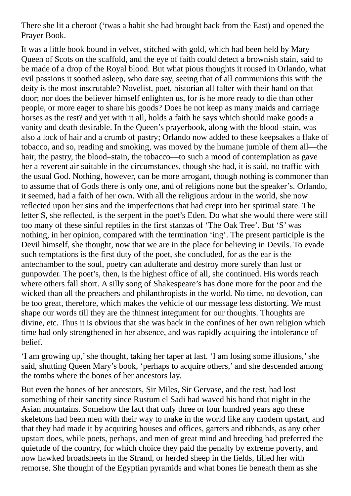There she lit a cheroot ('twas a habit she had brought back from the East) and opened the Prayer Book.

It was a little book bound in velvet, stitched with gold, which had been held by Mary Queen of Scots on the scaffold, and the eye of faith could detect a brownish stain, said to be made of a drop of the Royal blood. But what pious thoughts it roused in Orlando, what evil passions it soothed asleep, who dare say, seeing that of all communions this with the deity is the most inscrutable? Novelist, poet, historian all falter with their hand on that door; nor does the believer himself enlighten us, for is he more ready to die than other people, or more eager to share his goods? Does he not keep as many maids and carriage horses as the rest? and yet with it all, holds a faith he says which should make goods a vanity and death desirable. In the Queen's prayerbook, along with the blood–stain, was also a lock of hair and a crumb of pastry; Orlando now added to these keepsakes a flake of tobacco, and so, reading and smoking, was moved by the humane jumble of them all—the hair, the pastry, the blood–stain, the tobacco—to such a mood of contemplation as gave her a reverent air suitable in the circumstances, though she had, it is said, no traffic with the usual God. Nothing, however, can be more arrogant, though nothing is commoner than to assume that of Gods there is only one, and of religions none but the speaker's. Orlando, it seemed, had a faith of her own. With all the religious ardour in the world, she now reflected upon her sins and the imperfections that had crept into her spiritual state. The letter S, she reflected, is the serpent in the poet's Eden. Do what she would there were still too many of these sinful reptiles in the first stanzas of 'The Oak Tree'. But 'S' was nothing, in her opinion, compared with the termination 'ing'. The present participle is the Devil himself, she thought, now that we are in the place for believing in Devils. To evade such temptations is the first duty of the poet, she concluded, for as the ear is the antechamber to the soul, poetry can adulterate and destroy more surely than lust or gunpowder. The poet's, then, is the highest office of all, she continued. His words reach where others fall short. A silly song of Shakespeare's has done more for the poor and the wicked than all the preachers and philanthropists in the world. No time, no devotion, can be too great, therefore, which makes the vehicle of our message less distorting. We must shape our words till they are the thinnest integument for our thoughts. Thoughts are divine, etc. Thus it is obvious that she was back in the confines of her own religion which time had only strengthened in her absence, and was rapidly acquiring the intolerance of belief.

'I am growing up,'she thought, taking her taper at last. 'I am losing some illusions,'she said, shutting Queen Mary's book, 'perhaps to acquire others,' and she descended among the tombs where the bones of her ancestors lay.

But even the bones of her ancestors, Sir Miles, Sir Gervase, and the rest, had lost something of their sanctity since Rustum el Sadi had waved his hand that night in the Asian mountains. Somehow the fact that only three or four hundred years ago these skeletons had been men with their way to make in the world like any modern upstart, and that they had made it by acquiring houses and offices, garters and ribbands, as any other upstart does, while poets, perhaps, and men of great mind and breeding had preferred the quietude of the country, for which choice they paid the penalty by extreme poverty, and now hawked broadsheets in the Strand, or herded sheep in the fields, filled her with remorse. She thought of the Egyptian pyramids and what bones lie beneath them as she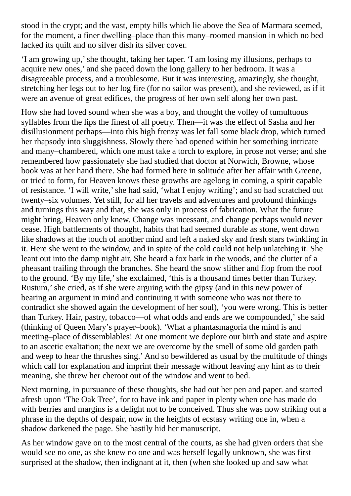stood in the crypt; and the vast, empty hills which lie above the Sea of Marmara seemed, for the moment, a finer dwelling–place than this many–roomed mansion in which no bed lacked its quilt and no silver dish its silver cover.

'I am growing up,'she thought, taking her taper. 'I am losing my illusions, perhaps to acquire new ones,' and she paced down the long gallery to her bedroom. It was a disagreeable process, and a troublesome. But it was interesting, amazingly, she thought, stretching her legs out to her log fire (for no sailor was present), and she reviewed, as if it were an avenue of great edifices, the progress of her own self along her own past.

How she had loved sound when she was a boy, and thought the volley of tumultuous syllables from the lips the finest of all poetry. Then—it was the effect of Sasha and her disillusionment perhaps—into this high frenzy was let fall some black drop, which turned her rhapsody into sluggishness. Slowly there had opened within her something intricate and many–chambered, which one must take a torch to explore, in prose not verse; and she remembered how passionately she had studied that doctor at Norwich, Browne, whose book was at her hand there. She had formed here in solitude after her affair with Greene, or tried to form, for Heaven knows these growths are agelong in coming, a spirit capable of resistance. 'I will write,'she had said, 'what I enjoy writing'; and so had scratched out twenty–six volumes. Yet still, for all her travels and adventures and profound thinkings and turnings this way and that, she was only in process of fabrication. What the future might bring, Heaven only knew. Change was incessant, and change perhaps would never cease. High battlements of thought, habits that had seemed durable as stone, went down like shadows at the touch of another mind and left a naked sky and fresh stars twinkling in it. Here she went to the window, and in spite of the cold could not help unlatching it. She leant out into the damp night air. She heard a fox bark in the woods, and the clutter of a pheasant trailing through the branches. She heard the snow slither and flop from the roof to the ground. 'By my life,' she exclaimed, 'this is a thousand times better than Turkey. Rustum,'she cried, as if she were arguing with the gipsy (and in this new power of bearing an argument in mind and continuing it with someone who was not there to contradict she showed again the development of her soul), 'you were wrong. This is better than Turkey. Hair, pastry, tobacco—of what odds and ends are we compounded,' she said (thinking of Queen Mary's prayer–book). 'What a phantasmagoria the mind is and meeting–place of dissemblables! At one moment we deplore our birth and state and aspire to an ascetic exaltation; the next we are overcome by the smell of some old garden path and weep to hear the thrushes sing.' And so bewildered as usual by the multitude of things which call for explanation and imprint their message without leaving any hint as to their meaning, she threw her cheroot out of the window and went to bed.

Next morning, in pursuance of these thoughts, she had out her pen and paper. and started afresh upon 'The Oak Tree', for to have ink and paper in plenty when one has made do with berries and margins is a delight not to be conceived. Thus she was now striking out a phrase in the depths of despair, now in the heights of ecstasy writing one in, when a shadow darkened the page. She hastily hid her manuscript.

As her window gave on to the most central of the courts, as she had given orders that she would see no one, as she knew no one and was herself legally unknown, she was first surprised at the shadow, then indignant at it, then (when she looked up and saw what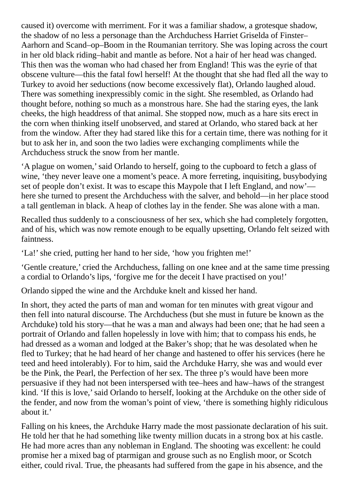caused it) overcome with merriment. For it was a familiar shadow, a grotesque shadow, the shadow of no less a personage than the Archduchess Harriet Griselda of Finster– Aarhorn and Scand–op–Boom in the Roumanian territory. She was loping across the court in her old black riding–habit and mantle as before. Not a hair of her head was changed. This then was the woman who had chased her from England! This was the eyrie of that obscene vulture—this the fatal fowl herself! At the thought that she had fled all the way to Turkey to avoid her seductions (now become excessively flat), Orlando laughed aloud. There was something inexpressibly comic in the sight. She resembled, as Orlando had thought before, nothing so much as a monstrous hare. She had the staring eyes, the lank cheeks, the high headdress of that animal. She stopped now, much as a hare sits erect in the corn when thinking itself unobserved, and stared at Orlando, who stared back at her from the window. After they had stared like this for a certain time, there was nothing for it but to ask her in, and soon the two ladies were exchanging compliments while the Archduchess struck the snow from her mantle.

'A plague on women,'said Orlando to herself, going to the cupboard to fetch a glass of wine, 'they never leave one a moment's peace. A more ferreting, inquisiting, busybodying set of people don't exist. It was to escape this Maypole that I left England, and now' here she turned to present the Archduchess with the salver, and behold—in her place stood a tall gentleman in black. A heap of clothes lay in the fender. She was alone with a man.

Recalled thus suddenly to a consciousness of her sex, which she had completely forgotten, and of his, which was now remote enough to be equally upsetting, Orlando felt seized with faintness.

'La!'she cried, putting her hand to her side, 'how you frighten me!'

'Gentle creature,' cried the Archduchess, falling on one knee and at the same time pressing a cordial to Orlando's lips, 'forgive me for the deceit I have practised on you!'

Orlando sipped the wine and the Archduke knelt and kissed her hand.

In short, they acted the parts of man and woman for ten minutes with great vigour and then fell into natural discourse. The Archduchess (but she must in future be known as the Archduke) told his story—that he was a man and always had been one; that he had seen a portrait of Orlando and fallen hopelessly in love with him; that to compass his ends, he had dressed as a woman and lodged at the Baker's shop; that he was desolated when he fled to Turkey; that he had heard of her change and hastened to offer his services (here he teed and heed intolerably). For to him, said the Archduke Harry, she was and would ever be the Pink, the Pearl, the Perfection of her sex. The three p's would have been more persuasive if they had not been interspersed with tee–hees and haw–haws of the strangest kind. 'If this is love,'said Orlando to herself, looking at the Archduke on the other side of the fender, and now from the woman's point of view, 'there is something highly ridiculous about it.'

Falling on his knees, the Archduke Harry made the most passionate declaration of his suit. He told her that he had something like twenty million ducats in a strong box at his castle. He had more acres than any nobleman in England. The shooting was excellent: he could promise her a mixed bag of ptarmigan and grouse such as no English moor, or Scotch either, could rival. True, the pheasants had suffered from the gape in his absence, and the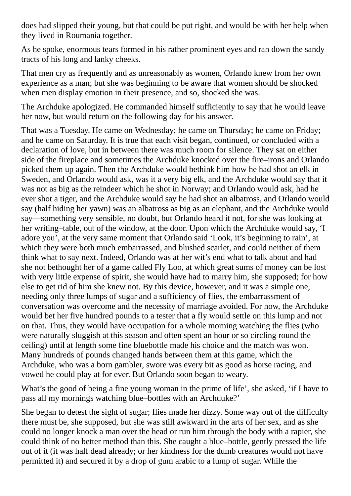does had slipped their young, but that could be put right, and would be with her help when they lived in Roumania together.

As he spoke, enormous tears formed in his rather prominent eyes and ran down the sandy tracts of his long and lanky cheeks.

That men cry as frequently and as unreasonably as women, Orlando knew from her own experience as a man; but she was beginning to be aware that women should be shocked when men display emotion in their presence, and so, shocked she was.

The Archduke apologized. He commanded himself sufficiently to say that he would leave her now, but would return on the following day for his answer.

That was a Tuesday. He came on Wednesday; he came on Thursday; he came on Friday; and he came on Saturday. It is true that each visit began, continued, or concluded with a declaration of love, but in between there was much room for silence. They sat on either side of the fireplace and sometimes the Archduke knocked over the fire–irons and Orlando picked them up again. Then the Archduke would bethink him how he had shot an elk in Sweden, and Orlando would ask, was it a very big elk, and the Archduke would say that it was not as big as the reindeer which he shot in Norway; and Orlando would ask, had he ever shot a tiger, and the Archduke would say he had shot an albatross, and Orlando would say (half hiding her yawn) was an albatross as big as an elephant, and the Archduke would say—something very sensible, no doubt, but Orlando heard it not, for she was looking at her writing–table, out of the window, at the door. Upon which the Archduke would say, 'I adore you', at the very same moment that Orlando said 'Look, it's beginning to rain', at which they were both much embarrassed, and blushed scarlet, and could neither of them think what to say next. Indeed, Orlando was at her wit's end what to talk about and had she not bethought her of a game called Fly Loo, at which great sums of money can be lost with very little expense of spirit, she would have had to marry him, she supposed; for how else to get rid of him she knew not. By this device, however, and it was a simple one, needing only three lumps of sugar and a sufficiency of flies, the embarrassment of conversation was overcome and the necessity of marriage avoided. For now, the Archduke would bet her five hundred pounds to a tester that a fly would settle on this lump and not on that. Thus, they would have occupation for a whole morning watching the flies (who were naturally sluggish at this season and often spent an hour or so circling round the ceiling) until at length some fine bluebottle made his choice and the match was won. Many hundreds of pounds changed hands between them at this game, which the Archduke, who was a born gambler, swore was every bit as good as horse racing, and vowed he could play at for ever. But Orlando soon began to weary.

What's the good of being a fine young woman in the prime of life', she asked, 'if I have to pass all my mornings watching blue–bottles with an Archduke?'

She began to detest the sight of sugar; flies made her dizzy. Some way out of the difficulty there must be, she supposed, but she was still awkward in the arts of her sex, and as she could no longer knock a man over the head or run him through the body with a rapier, she could think of no better method than this. She caught a blue–bottle, gently pressed the life out of it (it was half dead already; or her kindness for the dumb creatures would not have permitted it) and secured it by a drop of gum arabic to a lump of sugar. While the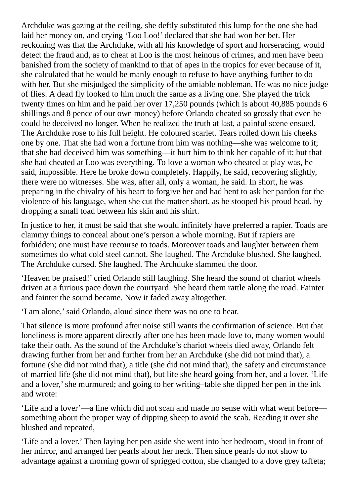Archduke was gazing at the ceiling, she deftly substituted this lump for the one she had laid her money on, and crying 'Loo Loo!' declared that she had won her bet. Her reckoning was that the Archduke, with all his knowledge of sport and horseracing, would detect the fraud and, as to cheat at Loo is the most heinous of crimes, and men have been banished from the society of mankind to that of apes in the tropics for ever because of it, she calculated that he would be manly enough to refuse to have anything further to do with her. But she misjudged the simplicity of the amiable nobleman. He was no nice judge of flies. A dead fly looked to him much the same as a living one. She played the trick twenty times on him and he paid her over 17,250 pounds (which is about 40,885 pounds 6 shillings and 8 pence of our own money) before Orlando cheated so grossly that even he could be deceived no longer. When he realized the truth at last, a painful scene ensued. The Archduke rose to his full height. He coloured scarlet. Tears rolled down his cheeks one by one. That she had won a fortune from him was nothing—she was welcome to it; that she had deceived him was something—it hurt him to think her capable of it; but that she had cheated at Loo was everything. To love a woman who cheated at play was, he said, impossible. Here he broke down completely. Happily, he said, recovering slightly, there were no witnesses. She was, after all, only a woman, he said. In short, he was preparing in the chivalry of his heart to forgive her and had bent to ask her pardon for the violence of his language, when she cut the matter short, as he stooped his proud head, by dropping a small toad between his skin and his shirt.

In justice to her, it must be said that she would infinitely have preferred a rapier. Toads are clammy things to conceal about one's person a whole morning. But if rapiers are forbidden; one must have recourse to toads. Moreover toads and laughter between them sometimes do what cold steel cannot. She laughed. The Archduke blushed. She laughed. The Archduke cursed. She laughed. The Archduke slammed the door.

'Heaven be praised!' cried Orlando still laughing. She heard the sound of chariot wheels driven at a furious pace down the courtyard. She heard them rattle along the road. Fainter and fainter the sound became. Now it faded away altogether.

'I am alone,'said Orlando, aloud since there was no one to hear.

That silence is more profound after noise still wants the confirmation of science. But that loneliness is more apparent directly after one has been made love to, many women would take their oath. As the sound of the Archduke's chariot wheels died away, Orlando felt drawing further from her and further from her an Archduke (she did not mind that), a fortune (she did not mind that), a title (she did not mind that), the safety and circumstance of married life (she did not mind that), but life she heard going from her, and a lover. 'Life and a lover,'she murmured; and going to her writing–table she dipped her pen in the ink and wrote:

'Life and a lover'—a line which did not scan and made no sense with what went before something about the proper way of dipping sheep to avoid the scab. Reading it over she blushed and repeated,

'Life and a lover.' Then laying her pen aside she went into her bedroom, stood in front of her mirror, and arranged her pearls about her neck. Then since pearls do not show to advantage against a morning gown of sprigged cotton, she changed to a dove grey taffeta;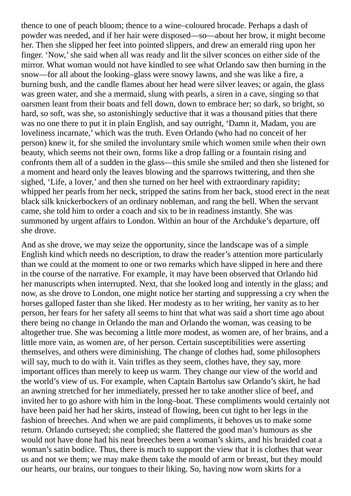thence to one of peach bloom; thence to a wine–coloured brocade. Perhaps a dash of powder was needed, and if her hair were disposed—so—about her brow, it might become her. Then she slipped her feet into pointed slippers, and drew an emerald ring upon her finger. 'Now,'she said when all was ready and lit the silver sconces on either side of the mirror. What woman would not have kindled to see what Orlando saw then burning in the snow—for all about the looking–glass were snowy lawns, and she was like a fire, a burning bush, and the candle flames about her head were silver leaves; or again, the glass was green water, and she a mermaid, slung with pearls, a siren in a cave, singing so that oarsmen leant from their boats and fell down, down to embrace her; so dark, so bright, so hard, so soft, was she, so astonishingly seductive that it was a thousand pities that there was no one there to put it in plain English, and say outright, 'Damn it, Madam, you are loveliness incarnate,' which was the truth. Even Orlando (who had no conceit of her person) knew it, for she smiled the involuntary smile which women smile when their own beauty, which seems not their own, forms like a drop falling or a fountain rising and confronts them all of a sudden in the glass—this smile she smiled and then she listened for a moment and heard only the leaves blowing and the sparrows twittering, and then she sighed, 'Life, a lover,' and then she turned on her heel with extraordinary rapidity; whipped her pearls from her neck, stripped the satins from her back, stood erect in the neat black silk knickerbockers of an ordinary nobleman, and rang the bell. When the servant came, she told him to order a coach and six to be in readiness instantly. She was summoned by urgent affairs to London. Within an hour of the Archduke's departure, off she drove.

And as she drove, we may seize the opportunity, since the landscape was of a simple English kind which needs no description, to draw the reader's attention more particularly than we could at the moment to one or two remarks which have slipped in here and there in the course of the narrative. For example, it may have been observed that Orlando hid her manuscripts when interrupted. Next, that she looked long and intently in the glass; and now, as she drove to London, one might notice her starting and suppressing a cry when the horses galloped faster than she liked. Her modesty as to her writing, her vanity as to her person, her fears for her safety all seems to hint that what was said a short time ago about there being no change in Orlando the man and Orlando the woman, was ceasing to be altogether true. She was becoming a little more modest, as women are, of her brains, and a little more vain, as women are, of her person. Certain susceptibilities were asserting themselves, and others were diminishing. The change of clothes had, some philosophers will say, much to do with it. Vain trifles as they seem, clothes have, they say, more important offices than merely to keep us warm. They change our view of the world and the world's view of us. For example, when Captain Bartolus saw Orlando's skirt, he had an awning stretched for her immediately, pressed her to take another slice of beef, and invited her to go ashore with him in the long–boat. These compliments would certainly not have been paid her had her skirts, instead of flowing, been cut tight to her legs in the fashion of breeches. And when we are paid compliments, it behoves us to make some return. Orlando curtseyed; she complied; she flattered the good man's humours as she would not have done had his neat breeches been a woman's skirts, and his braided coat a woman's satin bodice. Thus, there is much to support the view that it is clothes that wear us and not we them; we may make them take the mould of arm or breast, but they mould our hearts, our brains, our tongues to their liking. So, having now worn skirts for a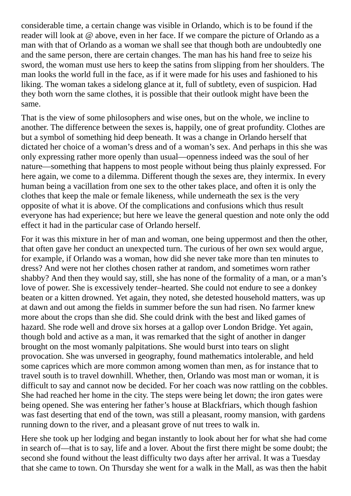considerable time, a certain change was visible in Orlando, which is to be found if the reader will look at  $\omega$  above, even in her face. If we compare the picture of Orlando as a man with that of Orlando as a woman we shall see that though both are undoubtedly one and the same person, there are certain changes. The man has his hand free to seize his sword, the woman must use hers to keep the satins from slipping from her shoulders. The man looks the world full in the face, as if it were made for his uses and fashioned to his liking. The woman takes a sidelong glance at it, full of subtlety, even of suspicion. Had they both worn the same clothes, it is possible that their outlook might have been the same.

That is the view of some philosophers and wise ones, but on the whole, we incline to another. The difference between the sexes is, happily, one of great profundity. Clothes are but a symbol of something hid deep beneath. It was a change in Orlando herself that dictated her choice of a woman's dress and of a woman's sex. And perhaps in this she was only expressing rather more openly than usual—openness indeed was the soul of her nature—something that happens to most people without being thus plainly expressed. For here again, we come to a dilemma. Different though the sexes are, they intermix. In every human being a vacillation from one sex to the other takes place, and often it is only the clothes that keep the male or female likeness, while underneath the sex is the very opposite of what it is above. Of the complications and confusions which thus result everyone has had experience; but here we leave the general question and note only the odd effect it had in the particular case of Orlando herself.

For it was this mixture in her of man and woman, one being uppermost and then the other, that often gave her conduct an unexpected turn. The curious of her own sex would argue, for example, if Orlando was a woman, how did she never take more than ten minutes to dress? And were not her clothes chosen rather at random, and sometimes worn rather shabby? And then they would say, still, she has none of the formality of a man, or a man's love of power. She is excessively tender–hearted. She could not endure to see a donkey beaten or a kitten drowned. Yet again, they noted, she detested household matters, was up at dawn and out among the fields in summer before the sun had risen. No farmer knew more about the crops than she did. She could drink with the best and liked games of hazard. She rode well and drove six horses at a gallop over London Bridge. Yet again, though bold and active as a man, it was remarked that the sight of another in danger brought on the most womanly palpitations. She would burst into tears on slight provocation. She was unversed in geography, found mathematics intolerable, and held some caprices which are more common among women than men, as for instance that to travel south is to travel downhill. Whether, then, Orlando was most man or woman, it is difficult to say and cannot now be decided. For her coach was now rattling on the cobbles. She had reached her home in the city. The steps were being let down; the iron gates were being opened. She was entering her father's house at Blackfriars, which though fashion was fast deserting that end of the town, was still a pleasant, roomy mansion, with gardens running down to the river, and a pleasant grove of nut trees to walk in.

Here she took up her lodging and began instantly to look about her for what she had come in search of—that is to say, life and a lover. About the first there might be some doubt; the second she found without the least difficulty two days after her arrival. It was a Tuesday that she came to town. On Thursday she went for a walk in the Mall, as was then the habit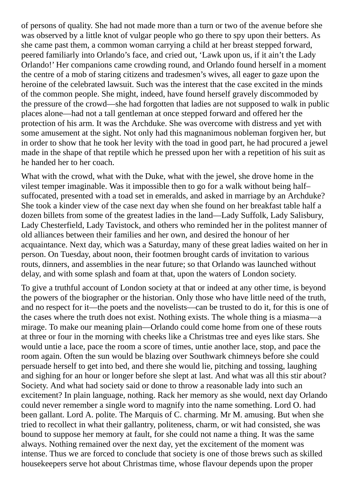of persons of quality. She had not made more than a turn or two of the avenue before she was observed by a little knot of vulgar people who go there to spy upon their betters. As she came past them, a common woman carrying a child at her breast stepped forward, peered familiarly into Orlando's face, and cried out, 'Lawk upon us, if it ain't the Lady Orlando!' Her companions came crowding round, and Orlando found herself in a moment the centre of a mob of staring citizens and tradesmen's wives, all eager to gaze upon the heroine of the celebrated lawsuit. Such was the interest that the case excited in the minds of the common people. She might, indeed, have found herself gravely discommoded by the pressure of the crowd—she had forgotten that ladies are not supposed to walk in public places alone—had not a tall gentleman at once stepped forward and offered her the protection of his arm. It was the Archduke. She was overcome with distress and yet with some amusement at the sight. Not only had this magnanimous nobleman forgiven her, but in order to show that he took her levity with the toad in good part, he had procured a jewel made in the shape of that reptile which he pressed upon her with a repetition of his suit as he handed her to her coach.

What with the crowd, what with the Duke, what with the jewel, she drove home in the vilest temper imaginable. Was it impossible then to go for a walk without being half– suffocated, presented with a toad set in emeralds, and asked in marriage by an Archduke? She took a kinder view of the case next day when she found on her breakfast table half a dozen billets from some of the greatest ladies in the land—Lady Suffolk, Lady Salisbury, Lady Chesterfield, Lady Tavistock, and others who reminded her in the politest manner of old alliances between their families and her own, and desired the honour of her acquaintance. Next day, which was a Saturday, many of these great ladies waited on her in person. On Tuesday, about noon, their footmen brought cards of invitation to various routs, dinners, and assemblies in the near future; so that Orlando was launched without delay, and with some splash and foam at that, upon the waters of London society.

To give a truthful account of London society at that or indeed at any other time, is beyond the powers of the biographer or the historian. Only those who have little need of the truth, and no respect for it—the poets and the novelists—can be trusted to do it, for this is one of the cases where the truth does not exist. Nothing exists. The whole thing is a miasma—a mirage. To make our meaning plain—Orlando could come home from one of these routs at three or four in the morning with cheeks like a Christmas tree and eyes like stars. She would untie a lace, pace the room a score of times, untie another lace, stop, and pace the room again. Often the sun would be blazing over Southwark chimneys before she could persuade herself to get into bed, and there she would lie, pitching and tossing, laughing and sighing for an hour or longer before she slept at last. And what was all this stir about? Society. And what had society said or done to throw a reasonable lady into such an excitement? In plain language, nothing. Rack her memory as she would, next day Orlando could never remember a single word to magnify into the name something. Lord O. had been gallant. Lord A. polite. The Marquis of C. charming. Mr M. amusing. But when she tried to recollect in what their gallantry, politeness, charm, or wit had consisted, she was bound to suppose her memory at fault, for she could not name a thing. It was the same always. Nothing remained over the next day, yet the excitement of the moment was intense. Thus we are forced to conclude that society is one of those brews such as skilled housekeepers serve hot about Christmas time, whose flavour depends upon the proper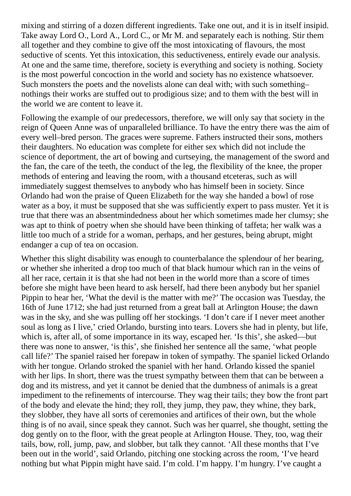mixing and stirring of a dozen different ingredients. Take one out, and it is in itself insipid. Take away Lord O., Lord A., Lord C., or Mr M. and separately each is nothing. Stir them all together and they combine to give off the most intoxicating of flavours, the most seductive of scents. Yet this intoxication, this seductiveness, entirely evade our analysis. At one and the same time, therefore, society is everything and society is nothing. Society is the most powerful concoction in the world and society has no existence whatsoever. Such monsters the poets and the novelists alone can deal with; with such something– nothings their works are stuffed out to prodigious size; and to them with the best will in the world we are content to leave it.

Following the example of our predecessors, therefore, we will only say that society in the reign of Queen Anne was of unparalleled brilliance. To have the entry there was the aim of every well–bred person. The graces were supreme. Fathers instructed their sons, mothers their daughters. No education was complete for either sex which did not include the science of deportment, the art of bowing and curtseying, the management of the sword and the fan, the care of the teeth, the conduct of the leg, the flexibility of the knee, the proper methods of entering and leaving the room, with a thousand etceteras, such as will immediately suggest themselves to anybody who has himself been in society. Since Orlando had won the praise of Queen Elizabeth for the way she handed a bowl of rose water as a boy, it must be supposed that she was sufficiently expert to pass muster. Yet it is true that there was an absentmindedness about her which sometimes made her clumsy; she was apt to think of poetry when she should have been thinking of taffeta; her walk was a little too much of a stride for a woman, perhaps, and her gestures, being abrupt, might endanger a cup of tea on occasion.

Whether this slight disability was enough to counterbalance the splendour of her bearing, or whether she inherited a drop too much of that black humour which ran in the veins of all her race, certain it is that she had not been in the world more than a score of times before she might have been heard to ask herself, had there been anybody but her spaniel Pippin to hear her, 'What the devil is the matter with me?' The occasion was Tuesday, the 16th of June 1712; she had just returned from a great ball at Arlington House; the dawn was in the sky, and she was pulling off her stockings. 'I don't care if I never meet another soul as long as I live,' cried Orlando, bursting into tears. Lovers she had in plenty, but life, which is, after all, of some importance in its way, escaped her. 'Is this', she asked—but there was none to answer, 'is this', she finished her sentence all the same, 'what people call life?' The spaniel raised her forepaw in token of sympathy. The spaniel licked Orlando with her tongue. Orlando stroked the spaniel with her hand. Orlando kissed the spaniel with her lips. In short, there was the truest sympathy between them that can be between a dog and its mistress, and yet it cannot be denied that the dumbness of animals is a great impediment to the refinements of intercourse. They wag their tails; they bow the front part of the body and elevate the hind; they roll, they jump, they paw, they whine, they bark, they slobber, they have all sorts of ceremonies and artifices of their own, but the whole thing is of no avail, since speak they cannot. Such was her quarrel, she thought, setting the dog gently on to the floor, with the great people at Arlington House. They, too, wag their tails, bow, roll, jump, paw, and slobber, but talk they cannot. 'All these months that I've been out in the world', said Orlando, pitching one stocking across the room, 'I've heard nothing but what Pippin might have said. I'm cold. I'm happy. I'm hungry. I've caught a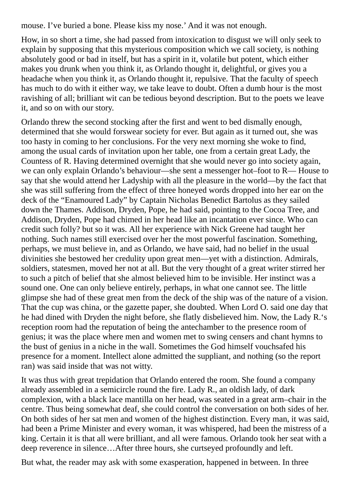mouse. I've buried a bone. Please kiss my nose.' And it was not enough.

How, in so short a time, she had passed from intoxication to disgust we will only seek to explain by supposing that this mysterious composition which we call society, is nothing absolutely good or bad in itself, but has a spirit in it, volatile but potent, which either makes you drunk when you think it, as Orlando thought it, delightful, or gives you a headache when you think it, as Orlando thought it, repulsive. That the faculty of speech has much to do with it either way, we take leave to doubt. Often a dumb hour is the most ravishing of all; brilliant wit can be tedious beyond description. But to the poets we leave it, and so on with our story.

Orlando threw the second stocking after the first and went to bed dismally enough, determined that she would forswear society for ever. But again as it turned out, she was too hasty in coming to her conclusions. For the very next morning she woke to find, among the usual cards of invitation upon her table, one from a certain great Lady, the Countess of R. Having determined overnight that she would never go into society again, we can only explain Orlando's behaviour—she sent a messenger hot–foot to R— House to say that she would attend her Ladyship with all the pleasure in the world—by the fact that she was still suffering from the effect of three honeyed words dropped into her ear on the deck of the "Enamoured Lady" by Captain Nicholas Benedict Bartolus as they sailed down the Thames. Addison, Dryden, Pope, he had said, pointing to the Cocoa Tree, and Addison, Dryden, Pope had chimed in her head like an incantation ever since. Who can credit such folly? but so it was. All her experience with Nick Greene had taught her nothing. Such names still exercised over her the most powerful fascination. Something, perhaps, we must believe in, and as Orlando, we have said, had no belief in the usual divinities she bestowed her credulity upon great men—yet with a distinction. Admirals, soldiers, statesmen, moved her not at all. But the very thought of a great writer stirred her to such a pitch of belief that she almost believed him to be invisible. Her instinct was a sound one. One can only believe entirely, perhaps, in what one cannot see. The little glimpse she had of these great men from the deck of the ship was of the nature of a vision. That the cup was china, or the gazette paper, she doubted. When Lord O. said one day that he had dined with Dryden the night before, she flatly disbelieved him. Now, the Lady R.'s reception room had the reputation of being the antechamber to the presence room of genius; it was the place where men and women met to swing censers and chant hymns to the bust of genius in a niche in the wall. Sometimes the God himself vouchsafed his presence for a moment. Intellect alone admitted the suppliant, and nothing (so the report ran) was said inside that was not witty.

It was thus with great trepidation that Orlando entered the room. She found a company already assembled in a semicircle round the fire. Lady R., an oldish lady, of dark complexion, with a black lace mantilla on her head, was seated in a great arm–chair in the centre. Thus being somewhat deaf, she could control the conversation on both sides of her. On both sides of her sat men and women of the highest distinction. Every man, it was said, had been a Prime Minister and every woman, it was whispered, had been the mistress of a king. Certain it is that all were brilliant, and all were famous. Orlando took her seat with a deep reverence in silence…After three hours, she curtseyed profoundly and left.

But what, the reader may ask with some exasperation, happened in between. In three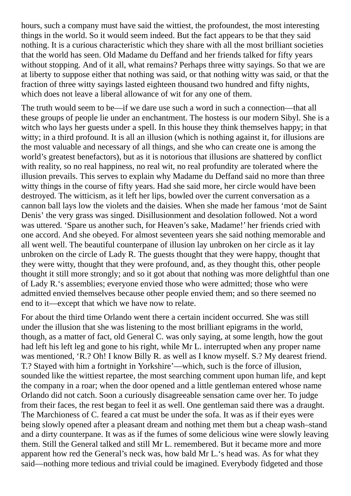hours, such a company must have said the wittiest, the profoundest, the most interesting things in the world. So it would seem indeed. But the fact appears to be that they said nothing. It is a curious characteristic which they share with all the most brilliant societies that the world has seen. Old Madame du Deffand and her friends talked for fifty years without stopping. And of it all, what remains? Perhaps three witty sayings. So that we are at liberty to suppose either that nothing was said, or that nothing witty was said, or that the fraction of three witty sayings lasted eighteen thousand two hundred and fifty nights, which does not leave a liberal allowance of wit for any one of them.

The truth would seem to be—if we dare use such a word in such a connection—that all these groups of people lie under an enchantment. The hostess is our modern Sibyl. She is a witch who lays her guests under a spell. In this house they think themselves happy; in that witty; in a third profound. It is all an illusion (which is nothing against it, for illusions are the most valuable and necessary of all things, and she who can create one is among the world's greatest benefactors), but as it is notorious that illusions are shattered by conflict with reality, so no real happiness, no real wit, no real profundity are tolerated where the illusion prevails. This serves to explain why Madame du Deffand said no more than three witty things in the course of fifty years. Had she said more, her circle would have been destroyed. The witticism, as it left her lips, bowled over the current conversation as a cannon ball lays low the violets and the daisies. When she made her famous 'mot de Saint Denis' the very grass was singed. Disillusionment and desolation followed. Not a word was uttered. 'Spare us another such, for Heaven's sake, Madame!' her friends cried with one accord. And she obeyed. For almost seventeen years she said nothing memorable and all went well. The beautiful counterpane of illusion lay unbroken on her circle as it lay unbroken on the circle of Lady R. The guests thought that they were happy, thought that they were witty, thought that they were profound, and, as they thought this, other people thought it still more strongly; and so it got about that nothing was more delightful than one of Lady R.'s assemblies; everyone envied those who were admitted; those who were admitted envied themselves because other people envied them; and so there seemed no end to it—except that which we have now to relate.

For about the third time Orlando went there a certain incident occurred. She was still under the illusion that she was listening to the most brilliant epigrams in the world, though, as a matter of fact, old General C. was only saying, at some length, how the gout had left his left leg and gone to his right, while Mr L. interrupted when any proper name was mentioned, 'R.? Oh! I know Billy R. as well as I know myself. S.? My dearest friend. T.? Stayed with him a fortnight in Yorkshire'—which, such is the force of illusion, sounded like the wittiest repartee, the most searching comment upon human life, and kept the company in a roar; when the door opened and a little gentleman entered whose name Orlando did not catch. Soon a curiously disagreeable sensation came over her. To judge from their faces, the rest began to feel it as well. One gentleman said there was a draught. The Marchioness of C. feared a cat must be under the sofa. It was as if their eyes were being slowly opened after a pleasant dream and nothing met them but a cheap wash–stand and a dirty counterpane. It was as if the fumes of some delicious wine were slowly leaving them. Still the General talked and still Mr L. remembered. But it became more and more apparent how red the General's neck was, how bald Mr L.'s head was. As for what they said—nothing more tedious and trivial could be imagined. Everybody fidgeted and those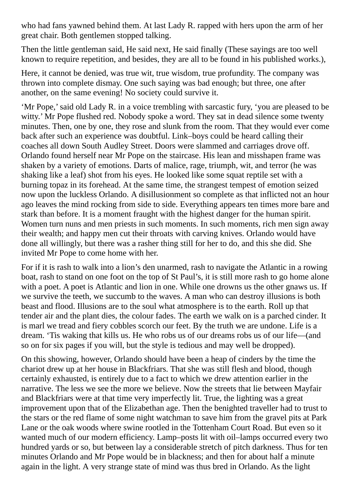who had fans yawned behind them. At last Lady R. rapped with hers upon the arm of her great chair. Both gentlemen stopped talking.

Then the little gentleman said, He said next, He said finally (These sayings are too well known to require repetition, and besides, they are all to be found in his published works.),

Here, it cannot be denied, was true wit, true wisdom, true profundity. The company was thrown into complete dismay. One such saying was bad enough; but three, one after another, on the same evening! No society could survive it.

'Mr Pope,'said old Lady R. in a voice trembling with sarcastic fury, 'you are pleased to be witty.' Mr Pope flushed red. Nobody spoke a word. They sat in dead silence some twenty minutes. Then, one by one, they rose and slunk from the room. That they would ever come back after such an experience was doubtful. Link–boys could be heard calling their coaches all down South Audley Street. Doors were slammed and carriages drove off. Orlando found herself near Mr Pope on the staircase. His lean and misshapen frame was shaken by a variety of emotions. Darts of malice, rage, triumph, wit, and terror (he was shaking like a leaf) shot from his eyes. He looked like some squat reptile set with a burning topaz in its forehead. At the same time, the strangest tempest of emotion seized now upon the luckless Orlando. A disillusionment so complete as that inflicted not an hour ago leaves the mind rocking from side to side. Everything appears ten times more bare and stark than before. It is a moment fraught with the highest danger for the human spirit. Women turn nuns and men priests in such moments. In such moments, rich men sign away their wealth; and happy men cut their throats with carving knives. Orlando would have done all willingly, but there was a rasher thing still for her to do, and this she did. She invited Mr Pope to come home with her.

For if it is rash to walk into a lion's den unarmed, rash to navigate the Atlantic in a rowing boat, rash to stand on one foot on the top of St Paul's, it is still more rash to go home alone with a poet. A poet is Atlantic and lion in one. While one drowns us the other gnaws us. If we survive the teeth, we succumb to the waves. A man who can destroy illusions is both beast and flood. Illusions are to the soul what atmosphere is to the earth. Roll up that tender air and the plant dies, the colour fades. The earth we walk on is a parched cinder. It is marl we tread and fiery cobbles scorch our feet. By the truth we are undone. Life is a dream. 'Tis waking that kills us. He who robs us of our dreams robs us of our life—(and so on for six pages if you will, but the style is tedious and may well be dropped).

On this showing, however, Orlando should have been a heap of cinders by the time the chariot drew up at her house in Blackfriars. That she was still flesh and blood, though certainly exhausted, is entirely due to a fact to which we drew attention earlier in the narrative. The less we see the more we believe. Now the streets that lie between Mayfair and Blackfriars were at that time very imperfectly lit. True, the lighting was a great improvement upon that of the Elizabethan age. Then the benighted traveller had to trust to the stars or the red flame of some night watchman to save him from the gravel pits at Park Lane or the oak woods where swine rootled in the Tottenham Court Road. But even so it wanted much of our modern efficiency. Lamp–posts lit with oil–lamps occurred every two hundred yards or so, but between lay a considerable stretch of pitch darkness. Thus for ten minutes Orlando and Mr Pope would be in blackness; and then for about half a minute again in the light. A very strange state of mind was thus bred in Orlando. As the light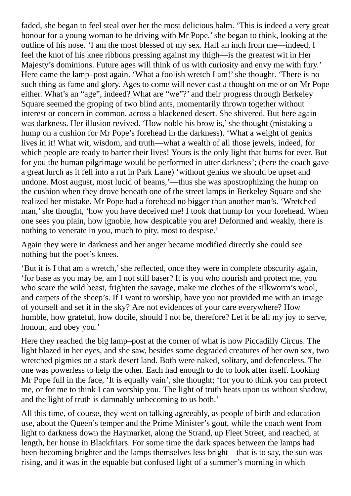faded, she began to feel steal over her the most delicious balm. 'This is indeed a very great honour for a young woman to be driving with Mr Pope,'she began to think, looking at the outline of his nose. 'I am the most blessed of my sex. Half an inch from me—indeed, I feel the knot of his knee ribbons pressing against my thigh—is the greatest wit in Her Majesty's dominions. Future ages will think of us with curiosity and envy me with fury.' Here came the lamp–post again. 'What a foolish wretch I am!' she thought. 'There is no such thing as fame and glory. Ages to come will never cast a thought on me or on Mr Pope either. What's an "age", indeed? What are "we"?' and their progress through Berkeley Square seemed the groping of two blind ants, momentarily thrown together without interest or concern in common, across a blackened desert. She shivered. But here again was darkness. Her illusion revived. 'How noble his brow is,' she thought (mistaking a hump on a cushion for Mr Pope's forehead in the darkness). 'What a weight of genius lives in it! What wit, wisdom, and truth—what a wealth of all those jewels, indeed, for which people are ready to barter their lives! Yours is the only light that burns for ever. But for you the human pilgrimage would be performed in utter darkness'; (here the coach gave a great lurch as it fell into a rut in Park Lane) 'without genius we should be upset and undone. Most august, most lucid of beams,'—thus she was apostrophizing the hump on the cushion when they drove beneath one of the street lamps in Berkeley Square and she realized her mistake. Mr Pope had a forehead no bigger than another man's. 'Wretched man,' she thought, 'how you have deceived me! I took that hump for your forehead. When one sees you plain, how ignoble, how despicable you are! Deformed and weakly, there is nothing to venerate in you, much to pity, most to despise.'

Again they were in darkness and her anger became modified directly she could see nothing but the poet's knees.

'But it is I that am a wretch,'she reflected, once they were in complete obscurity again, 'for base as you may be, am I not still baser? It is you who nourish and protect me, you who scare the wild beast, frighten the savage, make me clothes of the silkworm's wool, and carpets of the sheep's. If I want to worship, have you not provided me with an image of yourself and set it in the sky? Are not evidences of your care everywhere? How humble, how grateful, how docile, should I not be, therefore? Let it be all my joy to serve, honour, and obey you.'

Here they reached the big lamp–post at the corner of what is now Piccadilly Circus. The light blazed in her eyes, and she saw, besides some degraded creatures of her own sex, two wretched pigmies on a stark desert land. Both were naked, solitary, and defenceless. The one was powerless to help the other. Each had enough to do to look after itself. Looking Mr Pope full in the face, 'It is equally vain', she thought; 'for you to think you can protect me, or for me to think I can worship you. The light of truth beats upon us without shadow, and the light of truth is damnably unbecoming to us both.'

All this time, of course, they went on talking agreeably, as people of birth and education use, about the Queen's temper and the Prime Minister's gout, while the coach went from light to darkness down the Haymarket, along the Strand, up Fleet Street, and reached, at length, her house in Blackfriars. For some time the dark spaces between the lamps had been becoming brighter and the lamps themselves less bright—that is to say, the sun was rising, and it was in the equable but confused light of a summer's morning in which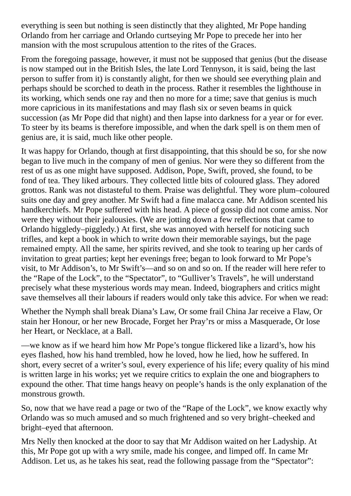everything is seen but nothing is seen distinctly that they alighted, Mr Pope handing Orlando from her carriage and Orlando curtseying Mr Pope to precede her into her mansion with the most scrupulous attention to the rites of the Graces.

From the foregoing passage, however, it must not be supposed that genius (but the disease is now stamped out in the British Isles, the late Lord Tennyson, it is said, being the last person to suffer from it) is constantly alight, for then we should see everything plain and perhaps should be scorched to death in the process. Rather it resembles the lighthouse in its working, which sends one ray and then no more for a time; save that genius is much more capricious in its manifestations and may flash six or seven beams in quick succession (as Mr Pope did that night) and then lapse into darkness for a year or for ever. To steer by its beams is therefore impossible, and when the dark spell is on them men of genius are, it is said, much like other people.

It was happy for Orlando, though at first disappointing, that this should be so, for she now began to live much in the company of men of genius. Nor were they so different from the rest of us as one might have supposed. Addison, Pope, Swift, proved, she found, to be fond of tea. They liked arbours. They collected little bits of coloured glass. They adored grottos. Rank was not distasteful to them. Praise was delightful. They wore plum–coloured suits one day and grey another. Mr Swift had a fine malacca cane. Mr Addison scented his handkerchiefs. Mr Pope suffered with his head. A piece of gossip did not come amiss. Nor were they without their jealousies. (We are jotting down a few reflections that came to Orlando higgledy–piggledy.) At first, she was annoyed with herself for noticing such trifles, and kept a book in which to write down their memorable sayings, but the page remained empty. All the same, her spirits revived, and she took to tearing up her cards of invitation to great parties; kept her evenings free; began to look forward to Mr Pope's visit, to Mr Addison's, to Mr Swift's—and so on and so on. If the reader will here refer to the "Rape of the Lock", to the "Spectator", to "Gulliver's Travels", he will understand precisely what these mysterious words may mean. Indeed, biographers and critics might save themselves all their labours if readers would only take this advice. For when we read:

Whether the Nymph shall break Diana's Law, Or some frail China Jar receive a Flaw, Or stain her Honour, or her new Brocade, Forget her Pray'rs or miss a Masquerade, Or lose her Heart, or Necklace, at a Ball.

—we know as if we heard him how Mr Pope's tongue flickered like a lizard's, how his eyes flashed, how his hand trembled, how he loved, how he lied, how he suffered. In short, every secret of a writer's soul, every experience of his life; every quality of his mind is written large in his works; yet we require critics to explain the one and biographers to expound the other. That time hangs heavy on people's hands is the only explanation of the monstrous growth.

So, now that we have read a page or two of the "Rape of the Lock", we know exactly why Orlando was so much amused and so much frightened and so very bright–cheeked and bright–eyed that afternoon.

Mrs Nelly then knocked at the door to say that Mr Addison waited on her Ladyship. At this, Mr Pope got up with a wry smile, made his congee, and limped off. In came Mr Addison. Let us, as he takes his seat, read the following passage from the "Spectator":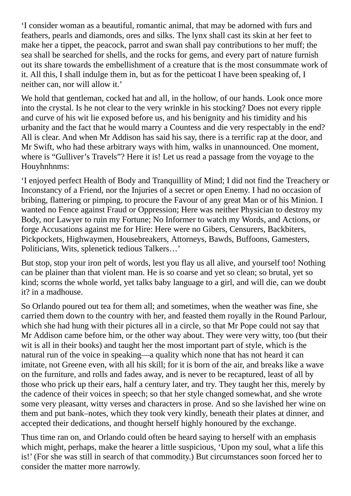'I consider woman as a beautiful, romantic animal, that may be adorned with furs and feathers, pearls and diamonds, ores and silks. The lynx shall cast its skin at her feet to make her a tippet, the peacock, parrot and swan shall pay contributions to her muff; the sea shall be searched for shells, and the rocks for gems, and every part of nature furnish out its share towards the embellishment of a creature that is the most consummate work of it. All this, I shall indulge them in, but as for the petticoat I have been speaking of, I neither can, nor will allow it.'

We hold that gentleman, cocked hat and all, in the hollow, of our hands. Look once more into the crystal. Is he not clear to the very wrinkle in his stocking? Does not every ripple and curve of his wit lie exposed before us, and his benignity and his timidity and his urbanity and the fact that he would marry a Countess and die very respectably in the end? All is clear. And when Mr Addison has said his say, there is a terrific rap at the door, and Mr Swift, who had these arbitrary ways with him, walks in unannounced. One moment, where is "Gulliver's Travels"? Here it is! Let us read a passage from the voyage to the Houyhnhnms:

'I enjoyed perfect Health of Body and Tranquillity of Mind; I did not find the Treachery or Inconstancy of a Friend, nor the Injuries of a secret or open Enemy. I had no occasion of bribing, flattering or pimping, to procure the Favour of any great Man or of his Minion. I wanted no Fence against Fraud or Oppression; Here was neither Physician to destroy my Body, nor Lawyer to ruin my Fortune; No Informer to watch my Words, and Actions, or forge Accusations against me for Hire: Here were no Gibers, Censurers, Backbiters, Pickpockets, Highwaymen, Housebreakers, Attorneys, Bawds, Buffoons, Gamesters, Politicians, Wits, splenetick tedious Talkers…'

But stop, stop your iron pelt of words, lest you flay us all alive, and yourself too! Nothing can be plainer than that violent man. He is so coarse and yet so clean; so brutal, yet so kind; scorns the whole world, yet talks baby language to a girl, and will die, can we doubt it? in a madhouse.

So Orlando poured out tea for them all; and sometimes, when the weather was fine, she carried them down to the country with her, and feasted them royally in the Round Parlour, which she had hung with their pictures all in a circle, so that Mr Pope could not say that Mr Addison came before him, or the other way about. They were very witty, too (but their wit is all in their books) and taught her the most important part of style, which is the natural run of the voice in speaking—a quality which none that has not heard it can imitate, not Greene even, with all his skill; for it is born of the air, and breaks like a wave on the furniture, and rolls and fades away, and is never to be recaptured, least of all by those who prick up their ears, half a century later, and try. They taught her this, merely by the cadence of their voices in speech; so that her style changed somewhat, and she wrote some very pleasant, witty verses and characters in prose. And so she lavished her wine on them and put bank–notes, which they took very kindly, beneath their plates at dinner, and accepted their dedications, and thought herself highly honoured by the exchange.

Thus time ran on, and Orlando could often be heard saying to herself with an emphasis which might, perhaps, make the hearer a little suspicious, 'Upon my soul, what a life this is!' (For she was still in search of that commodity.) But circumstances soon forced her to consider the matter more narrowly.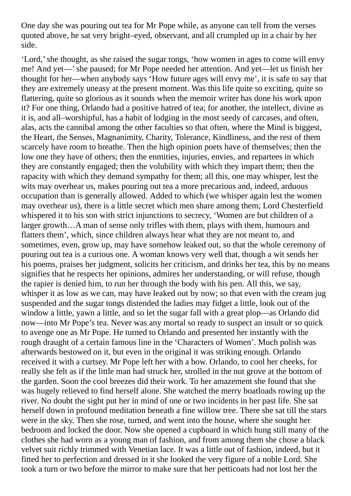One day she was pouring out tea for Mr Pope while, as anyone can tell from the verses quoted above, he sat very bright–eyed, observant, and all crumpled up in a chair by her side.

'Lord,'she thought, as she raised the sugar tongs, 'how women in ages to come will envy me! And yet—'she paused; for Mr Pope needed her attention. And yet—let us finish her thought for her—when anybody says 'How future ages will envy me', it is safe to say that they are extremely uneasy at the present moment. Was this life quite so exciting, quite so flattering, quite so glorious as it sounds when the memoir writer has done his work upon it? For one thing, Orlando had a positive hatred of tea; for another, the intellect, divine as it is, and all–worshipful, has a habit of lodging in the most seedy of carcases, and often, alas, acts the cannibal among the other faculties so that often, where the Mind is biggest, the Heart, the Senses, Magnanimity, Charity, Tolerance, Kindliness, and the rest of them scarcely have room to breathe. Then the high opinion poets have of themselves; then the low one they have of others; then the enmities, injuries, envies, and repartees in which they are constantly engaged; then the volubility with which they impart them; then the rapacity with which they demand sympathy for them; all this, one may whisper, lest the wits may overhear us, makes pouring out tea a more precarious and, indeed, arduous occupation than is generally allowed. Added to which (we whisper again lest the women may overhear us), there is a little secret which men share among them; Lord Chesterfield whispered it to his son with strict injunctions to secrecy, 'Women are but children of a larger growth…A man of sense only trifles with them, plays with them, humours and flatters them', which, since children always hear what they are not meant to, and sometimes, even, grow up, may have somehow leaked out, so that the whole ceremony of pouring out tea is a curious one. A woman knows very well that, though a wit sends her his poems, praises her judgment, solicits her criticism, and drinks her tea, this by no means signifies that he respects her opinions, admires her understanding, or will refuse, though the rapier is denied him, to run her through the body with his pen. All this, we say, whisper it as low as we can, may have leaked out by now; so that even with the cream jug suspended and the sugar tongs distended the ladies may fidget a little, look out of the window a little, yawn a little, and so let the sugar fall with a great plop—as Orlando did now—into Mr Pope's tea. Never was any mortal so ready to suspect an insult or so quick to avenge one as Mr Pope. He turned to Orlando and presented her instantly with the rough draught of a certain famous line in the 'Characters of Women'. Much polish was afterwards bestowed on it, but even in the original it was striking enough. Orlando received it with a curtsey. Mr Pope left her with a bow. Orlando, to cool her cheeks, for really she felt as if the little man had struck her, strolled in the nut grove at the bottom of the garden. Soon the cool breezes did their work. To her amazement she found that she was hugely relieved to find herself alone. She watched the merry boatloads rowing up the river. No doubt the sight put her in mind of one or two incidents in her past life. She sat herself down in profound meditation beneath a fine willow tree. There she sat till the stars were in the sky. Then she rose, turned, and went into the house, where she sought her bedroom and locked the door. Now she opened a cupboard in which hung still many of the clothes she had worn as a young man of fashion, and from among them she chose a black velvet suit richly trimmed with Venetian lace. It was a little out of fashion, indeed, but it fitted her to perfection and dressed in it she looked the very figure of a noble Lord. She took a turn or two before the mirror to make sure that her petticoats had not lost her the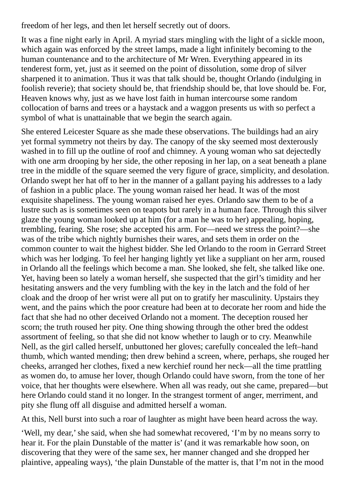freedom of her legs, and then let herself secretly out of doors.

It was a fine night early in April. A myriad stars mingling with the light of a sickle moon, which again was enforced by the street lamps, made a light infinitely becoming to the human countenance and to the architecture of Mr Wren. Everything appeared in its tenderest form, yet, just as it seemed on the point of dissolution, some drop of silver sharpened it to animation. Thus it was that talk should be, thought Orlando (indulging in foolish reverie); that society should be, that friendship should be, that love should be. For, Heaven knows why, just as we have lost faith in human intercourse some random collocation of barns and trees or a haystack and a waggon presents us with so perfect a symbol of what is unattainable that we begin the search again.

She entered Leicester Square as she made these observations. The buildings had an airy yet formal symmetry not theirs by day. The canopy of the sky seemed most dexterously washed in to fill up the outline of roof and chimney. A young woman who sat dejectedly with one arm drooping by her side, the other reposing in her lap, on a seat beneath a plane tree in the middle of the square seemed the very figure of grace, simplicity, and desolation. Orlando swept her hat off to her in the manner of a gallant paying his addresses to a lady of fashion in a public place. The young woman raised her head. It was of the most exquisite shapeliness. The young woman raised her eyes. Orlando saw them to be of a lustre such as is sometimes seen on teapots but rarely in a human face. Through this silver glaze the young woman looked up at him (for a man he was to her) appealing, hoping, trembling, fearing. She rose; she accepted his arm. For—need we stress the point?—she was of the tribe which nightly burnishes their wares, and sets them in order on the common counter to wait the highest bidder. She led Orlando to the room in Gerrard Street which was her lodging. To feel her hanging lightly yet like a suppliant on her arm, roused in Orlando all the feelings which become a man. She looked, she felt, she talked like one. Yet, having been so lately a woman herself, she suspected that the girl's timidity and her hesitating answers and the very fumbling with the key in the latch and the fold of her cloak and the droop of her wrist were all put on to gratify her masculinity. Upstairs they went, and the pains which the poor creature had been at to decorate her room and hide the fact that she had no other deceived Orlando not a moment. The deception roused her scorn; the truth roused her pity. One thing showing through the other bred the oddest assortment of feeling, so that she did not know whether to laugh or to cry. Meanwhile Nell, as the girl called herself, unbuttoned her gloves; carefully concealed the left–hand thumb, which wanted mending; then drew behind a screen, where, perhaps, she rouged her cheeks, arranged her clothes, fixed a new kerchief round her neck—all the time prattling as women do, to amuse her lover, though Orlando could have sworn, from the tone of her voice, that her thoughts were elsewhere. When all was ready, out she came, prepared—but here Orlando could stand it no longer. In the strangest torment of anger, merriment, and pity she flung off all disguise and admitted herself a woman.

At this, Nell burst into such a roar of laughter as might have been heard across the way.

'Well, my dear,'she said, when she had somewhat recovered, 'I'm by no means sorry to hear it. For the plain Dunstable of the matter is' (and it was remarkable how soon, on discovering that they were of the same sex, her manner changed and she dropped her plaintive, appealing ways), 'the plain Dunstable of the matter is, that I'm not in the mood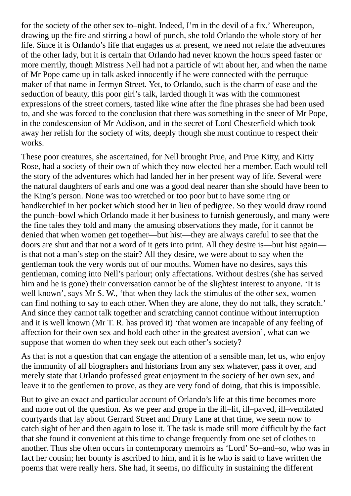for the society of the other sex to–night. Indeed, I'm in the devil of a fix.' Whereupon, drawing up the fire and stirring a bowl of punch, she told Orlando the whole story of her life. Since it is Orlando's life that engages us at present, we need not relate the adventures of the other lady, but it is certain that Orlando had never known the hours speed faster or more merrily, though Mistress Nell had not a particle of wit about her, and when the name of Mr Pope came up in talk asked innocently if he were connected with the perruque maker of that name in Jermyn Street. Yet, to Orlando, such is the charm of ease and the seduction of beauty, this poor girl's talk, larded though it was with the commonest expressions of the street corners, tasted like wine after the fine phrases she had been used to, and she was forced to the conclusion that there was something in the sneer of Mr Pope, in the condescension of Mr Addison, and in the secret of Lord Chesterfield which took away her relish for the society of wits, deeply though she must continue to respect their works.

These poor creatures, she ascertained, for Nell brought Prue, and Prue Kitty, and Kitty Rose, had a society of their own of which they now elected her a member. Each would tell the story of the adventures which had landed her in her present way of life. Several were the natural daughters of earls and one was a good deal nearer than she should have been to the King's person. None was too wretched or too poor but to have some ring or handkerchief in her pocket which stood her in lieu of pedigree. So they would draw round the punch–bowl which Orlando made it her business to furnish generously, and many were the fine tales they told and many the amusing observations they made, for it cannot be denied that when women get together—but hist—they are always careful to see that the doors are shut and that not a word of it gets into print. All they desire is—but hist again is that not a man's step on the stair? All they desire, we were about to say when the gentleman took the very words out of our mouths. Women have no desires, says this gentleman, coming into Nell's parlour; only affectations. Without desires (she has served him and he is gone) their conversation cannot be of the slightest interest to anyone. 'It is well known', says Mr S. W., 'that when they lack the stimulus of the other sex, women can find nothing to say to each other. When they are alone, they do not talk, they scratch.' And since they cannot talk together and scratching cannot continue without interruption and it is well known (Mr T. R. has proved it) 'that women are incapable of any feeling of affection for their own sex and hold each other in the greatest aversion', what can we suppose that women do when they seek out each other's society?

As that is not a question that can engage the attention of a sensible man, let us, who enjoy the immunity of all biographers and historians from any sex whatever, pass it over, and merely state that Orlando professed great enjoyment in the society of her own sex, and leave it to the gentlemen to prove, as they are very fond of doing, that this is impossible.

But to give an exact and particular account of Orlando's life at this time becomes more and more out of the question. As we peer and grope in the ill–lit, ill–paved, ill–ventilated courtyards that lay about Gerrard Street and Drury Lane at that time, we seem now to catch sight of her and then again to lose it. The task is made still more difficult by the fact that she found it convenient at this time to change frequently from one set of clothes to another. Thus she often occurs in contemporary memoirs as 'Lord' So–and–so, who was in fact her cousin; her bounty is ascribed to him, and it is he who is said to have written the poems that were really hers. She had, it seems, no difficulty in sustaining the different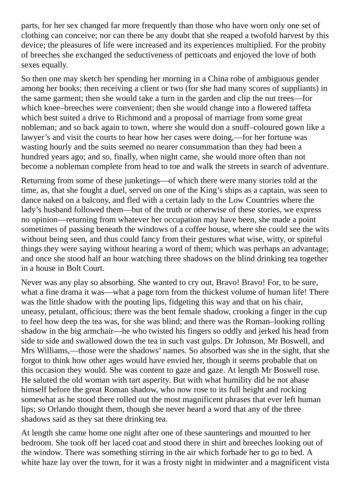parts, for her sex changed far more frequently than those who have worn only one set of clothing can conceive; nor can there be any doubt that she reaped a twofold harvest by this device; the pleasures of life were increased and its experiences multiplied. For the probity of breeches she exchanged the seductiveness of petticoats and enjoyed the love of both sexes equally.

So then one may sketch her spending her morning in a China robe of ambiguous gender among her books; then receiving a client or two (for she had many scores of suppliants) in the same garment; then she would take a turn in the garden and clip the nut trees—for which knee–breeches were convenient; then she would change into a flowered taffeta which best suited a drive to Richmond and a proposal of marriage from some great nobleman; and so back again to town, where she would don a snuff–coloured gown like a lawyer's and visit the courts to hear how her cases were doing,—for her fortune was wasting hourly and the suits seemed no nearer consummation than they had been a hundred years ago; and so, finally, when night came, she would more often than not become a nobleman complete from head to toe and walk the streets in search of adventure.

Returning from some of these junketings—of which there were many stories told at the time, as, that she fought a duel, served on one of the King's ships as a captain, was seen to dance naked on a balcony, and fled with a certain lady to the Low Countries where the lady's husband followed them—but of the truth or otherwise of these stories, we express no opinion—returning from whatever her occupation may have been, she made a point sometimes of passing beneath the windows of a coffee house, where she could see the wits without being seen, and thus could fancy from their gestures what wise, witty, or spiteful things they were saying without hearing a word of them; which was perhaps an advantage; and once she stood half an hour watching three shadows on the blind drinking tea together in a house in Bolt Court.

Never was any play so absorbing. She wanted to cry out, Bravo! Bravo! For, to be sure, what a fine drama it was—what a page torn from the thickest volume of human life! There was the little shadow with the pouting lips, fidgeting this way and that on his chair, uneasy, petulant, officious; there was the bent female shadow, crooking a finger in the cup to feel how deep the tea was, for she was blind; and there was the Roman–looking rolling shadow in the big armchair—he who twisted his fingers so oddly and jerked his head from side to side and swallowed down the tea in such vast gulps. Dr Johnson, Mr Boswell, and Mrs Williams,—those were the shadows' names. So absorbed was she in the sight, that she forgot to think how other ages would have envied her, though it seems probable that on this occasion they would. She was content to gaze and gaze. At length Mr Boswell rose. He saluted the old woman with tart asperity. But with what humility did he not abase himself before the great Roman shadow, who now rose to its full height and rocking somewhat as he stood there rolled out the most magnificent phrases that ever left human lips; so Orlando thought them, though she never heard a word that any of the three shadows said as they sat there drinking tea.

At length she came home one night after one of these saunterings and mounted to her bedroom. She took off her laced coat and stood there in shirt and breeches looking out of the window. There was something stirring in the air which forbade her to go to bed. A white haze lay over the town, for it was a frosty night in midwinter and a magnificent vista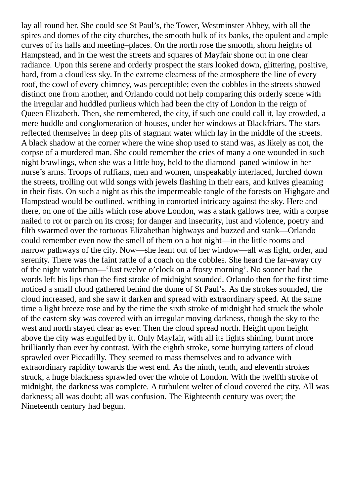lay all round her. She could see St Paul's, the Tower, Westminster Abbey, with all the spires and domes of the city churches, the smooth bulk of its banks, the opulent and ample curves of its halls and meeting–places. On the north rose the smooth, shorn heights of Hampstead, and in the west the streets and squares of Mayfair shone out in one clear radiance. Upon this serene and orderly prospect the stars looked down, glittering, positive, hard, from a cloudless sky. In the extreme clearness of the atmosphere the line of every roof, the cowl of every chimney, was perceptible; even the cobbles in the streets showed distinct one from another, and Orlando could not help comparing this orderly scene with the irregular and huddled purlieus which had been the city of London in the reign of Queen Elizabeth. Then, she remembered, the city, if such one could call it, lay crowded, a mere huddle and conglomeration of houses, under her windows at Blackfriars. The stars reflected themselves in deep pits of stagnant water which lay in the middle of the streets. A black shadow at the corner where the wine shop used to stand was, as likely as not, the corpse of a murdered man. She could remember the cries of many a one wounded in such night brawlings, when she was a little boy, held to the diamond–paned window in her nurse's arms. Troops of ruffians, men and women, unspeakably interlaced, lurched down the streets, trolling out wild songs with jewels flashing in their ears, and knives gleaming in their fists. On such a night as this the impermeable tangle of the forests on Highgate and Hampstead would be outlined, writhing in contorted intricacy against the sky. Here and there, on one of the hills which rose above London, was a stark gallows tree, with a corpse nailed to rot or parch on its cross; for danger and insecurity, lust and violence, poetry and filth swarmed over the tortuous Elizabethan highways and buzzed and stank—Orlando could remember even now the smell of them on a hot night—in the little rooms and narrow pathways of the city. Now—she leant out of her window—all was light, order, and serenity. There was the faint rattle of a coach on the cobbles. She heard the far–away cry of the night watchman—'Just twelve o'clock on a frosty morning'. No sooner had the words left his lips than the first stroke of midnight sounded. Orlando then for the first time noticed a small cloud gathered behind the dome of St Paul's. As the strokes sounded, the cloud increased, and she saw it darken and spread with extraordinary speed. At the same time a light breeze rose and by the time the sixth stroke of midnight had struck the whole of the eastern sky was covered with an irregular moving darkness, though the sky to the west and north stayed clear as ever. Then the cloud spread north. Height upon height above the city was engulfed by it. Only Mayfair, with all its lights shining. burnt more brilliantly than ever by contrast. With the eighth stroke, some hurrying tatters of cloud sprawled over Piccadilly. They seemed to mass themselves and to advance with extraordinary rapidity towards the west end. As the ninth, tenth, and eleventh strokes struck, a huge blackness sprawled over the whole of London. With the twelfth stroke of midnight, the darkness was complete. A turbulent welter of cloud covered the city. All was darkness; all was doubt; all was confusion. The Eighteenth century was over; the Nineteenth century had begun.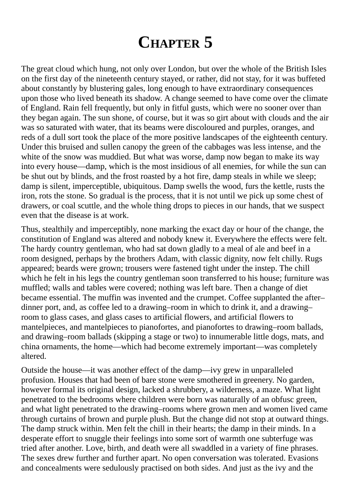## **CHAPTER 5**

The great cloud which hung, not only over London, but over the whole of the British Isles on the first day of the nineteenth century stayed, or rather, did not stay, for it was buffeted about constantly by blustering gales, long enough to have extraordinary consequences upon those who lived beneath its shadow. A change seemed to have come over the climate of England. Rain fell frequently, but only in fitful gusts, which were no sooner over than they began again. The sun shone, of course, but it was so girt about with clouds and the air was so saturated with water, that its beams were discoloured and purples, oranges, and reds of a dull sort took the place of the more positive landscapes of the eighteenth century. Under this bruised and sullen canopy the green of the cabbages was less intense, and the white of the snow was muddied. But what was worse, damp now began to make its way into every house—damp, which is the most insidious of all enemies, for while the sun can be shut out by blinds, and the frost roasted by a hot fire, damp steals in while we sleep; damp is silent, imperceptible, ubiquitous. Damp swells the wood, furs the kettle, rusts the iron, rots the stone. So gradual is the process, that it is not until we pick up some chest of drawers, or coal scuttle, and the whole thing drops to pieces in our hands, that we suspect even that the disease is at work.

Thus, stealthily and imperceptibly, none marking the exact day or hour of the change, the constitution of England was altered and nobody knew it. Everywhere the effects were felt. The hardy country gentleman, who had sat down gladly to a meal of ale and beef in a room designed, perhaps by the brothers Adam, with classic dignity, now felt chilly. Rugs appeared; beards were grown; trousers were fastened tight under the instep. The chill which he felt in his legs the country gentleman soon transferred to his house; furniture was muffled; walls and tables were covered; nothing was left bare. Then a change of diet became essential. The muffin was invented and the crumpet. Coffee supplanted the after– dinner port, and, as coffee led to a drawing–room in which to drink it, and a drawing– room to glass cases, and glass cases to artificial flowers, and artificial flowers to mantelpieces, and mantelpieces to pianofortes, and pianofortes to drawing–room ballads, and drawing–room ballads (skipping a stage or two) to innumerable little dogs, mats, and china ornaments, the home—which had become extremely important—was completely altered.

Outside the house—it was another effect of the damp—ivy grew in unparalleled profusion. Houses that had been of bare stone were smothered in greenery. No garden, however formal its original design, lacked a shrubbery, a wilderness, a maze. What light penetrated to the bedrooms where children were born was naturally of an obfusc green, and what light penetrated to the drawing–rooms where grown men and women lived came through curtains of brown and purple plush. But the change did not stop at outward things. The damp struck within. Men felt the chill in their hearts; the damp in their minds. In a desperate effort to snuggle their feelings into some sort of warmth one subterfuge was tried after another. Love, birth, and death were all swaddled in a variety of fine phrases. The sexes drew further and further apart. No open conversation was tolerated. Evasions and concealments were sedulously practised on both sides. And just as the ivy and the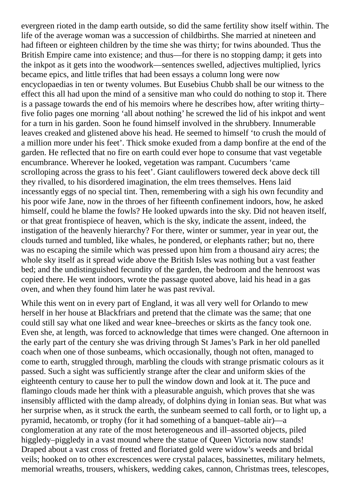evergreen rioted in the damp earth outside, so did the same fertility show itself within. The life of the average woman was a succession of childbirths. She married at nineteen and had fifteen or eighteen children by the time she was thirty; for twins abounded. Thus the British Empire came into existence; and thus—for there is no stopping damp; it gets into the inkpot as it gets into the woodwork—sentences swelled, adjectives multiplied, lyrics became epics, and little trifles that had been essays a column long were now encyclopaedias in ten or twenty volumes. But Eusebius Chubb shall be our witness to the effect this all had upon the mind of a sensitive man who could do nothing to stop it. There is a passage towards the end of his memoirs where he describes how, after writing thirty– five folio pages one morning 'all about nothing' he screwed the lid of his inkpot and went for a turn in his garden. Soon he found himself involved in the shrubbery. Innumerable leaves creaked and glistened above his head. He seemed to himself 'to crush the mould of a million more under his feet'. Thick smoke exuded from a damp bonfire at the end of the garden. He reflected that no fire on earth could ever hope to consume that vast vegetable encumbrance. Wherever he looked, vegetation was rampant. Cucumbers 'came scrolloping across the grass to his feet'. Giant cauliflowers towered deck above deck till they rivalled, to his disordered imagination, the elm trees themselves. Hens laid incessantly eggs of no special tint. Then, remembering with a sigh his own fecundity and his poor wife Jane, now in the throes of her fifteenth confinement indoors, how, he asked himself, could he blame the fowls? He looked upwards into the sky. Did not heaven itself, or that great frontispiece of heaven, which is the sky, indicate the assent, indeed, the instigation of the heavenly hierarchy? For there, winter or summer, year in year out, the clouds turned and tumbled, like whales, he pondered, or elephants rather; but no, there was no escaping the simile which was pressed upon him from a thousand airy acres; the whole sky itself as it spread wide above the British Isles was nothing but a vast feather bed; and the undistinguished fecundity of the garden, the bedroom and the henroost was copied there. He went indoors, wrote the passage quoted above, laid his head in a gas oven, and when they found him later he was past revival.

While this went on in every part of England, it was all very well for Orlando to mew herself in her house at Blackfriars and pretend that the climate was the same; that one could still say what one liked and wear knee–breeches or skirts as the fancy took one. Even she, at length, was forced to acknowledge that times were changed. One afternoon in the early part of the century she was driving through St James's Park in her old panelled coach when one of those sunbeams, which occasionally, though not often, managed to come to earth, struggled through, marbling the clouds with strange prismatic colours as it passed. Such a sight was sufficiently strange after the clear and uniform skies of the eighteenth century to cause her to pull the window down and look at it. The puce and flamingo clouds made her think with a pleasurable anguish, which proves that she was insensibly afflicted with the damp already, of dolphins dying in Ionian seas. But what was her surprise when, as it struck the earth, the sunbeam seemed to call forth, or to light up, a pyramid, hecatomb, or trophy (for it had something of a banquet–table air)—a conglomeration at any rate of the most heterogeneous and ill–assorted objects, piled higgledy–piggledy in a vast mound where the statue of Queen Victoria now stands! Draped about a vast cross of fretted and floriated gold were widow's weeds and bridal veils; hooked on to other excrescences were crystal palaces, bassinettes, military helmets, memorial wreaths, trousers, whiskers, wedding cakes, cannon, Christmas trees, telescopes,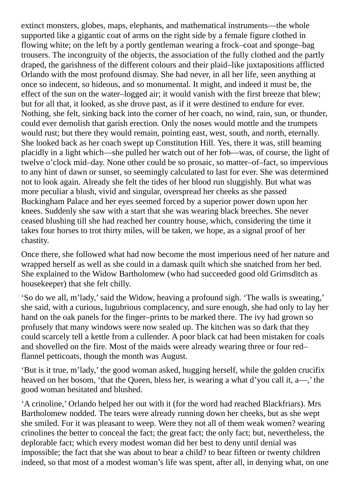extinct monsters, globes, maps, elephants, and mathematical instruments—the whole supported like a gigantic coat of arms on the right side by a female figure clothed in flowing white; on the left by a portly gentleman wearing a frock–coat and sponge–bag trousers. The incongruity of the objects, the association of the fully clothed and the partly draped, the garishness of the different colours and their plaid–like juxtapositions afflicted Orlando with the most profound dismay. She had never, in all her life, seen anything at once so indecent, so hideous, and so monumental. It might, and indeed it must be, the effect of the sun on the water–logged air; it would vanish with the first breeze that blew; but for all that, it looked, as she drove past, as if it were destined to endure for ever. Nothing, she felt, sinking back into the corner of her coach, no wind, rain, sun, or thunder, could ever demolish that garish erection. Only the noses would mottle and the trumpets would rust; but there they would remain, pointing east, west, south, and north, eternally. She looked back as her coach swept up Constitution Hill. Yes, there it was, still beaming placidly in a light which—she pulled her watch out of her fob—was, of course, the light of twelve o'clock mid–day. None other could be so prosaic, so matter–of–fact, so impervious to any hint of dawn or sunset, so seemingly calculated to last for ever. She was determined not to look again. Already she felt the tides of her blood run sluggishly. But what was more peculiar a blush, vivid and singular, overspread her cheeks as she passed Buckingham Palace and her eyes seemed forced by a superior power down upon her knees. Suddenly she saw with a start that she was wearing black breeches. She never ceased blushing till she had reached her country house, which, considering the time it takes four horses to trot thirty miles, will be taken, we hope, as a signal proof of her chastity.

Once there, she followed what had now become the most imperious need of her nature and wrapped herself as well as she could in a damask quilt which she snatched from her bed. She explained to the Widow Bartholomew (who had succeeded good old Grimsditch as housekeeper) that she felt chilly.

'So do we all, m'lady,'said the Widow, heaving a profound sigh. 'The walls is sweating,' she said, with a curious, lugubrious complacency, and sure enough, she had only to lay her hand on the oak panels for the finger–prints to be marked there. The ivy had grown so profusely that many windows were now sealed up. The kitchen was so dark that they could scarcely tell a kettle from a cullender. A poor black cat had been mistaken for coals and shovelled on the fire. Most of the maids were already wearing three or four red– flannel petticoats, though the month was August.

'But is it true, m'lady,' the good woman asked, hugging herself, while the golden crucifix heaved on her bosom, 'that the Queen, bless her, is wearing a what d'you call it, a—,' the good woman hesitated and blushed.

'A crinoline,' Orlando helped her out with it (for the word had reached Blackfriars). Mrs Bartholomew nodded. The tears were already running down her cheeks, but as she wept she smiled. For it was pleasant to weep. Were they not all of them weak women? wearing crinolines the better to conceal the fact; the great fact; the only fact; but, nevertheless, the deplorable fact; which every modest woman did her best to deny until denial was impossible; the fact that she was about to bear a child? to bear fifteen or twenty children indeed, so that most of a modest woman's life was spent, after all, in denying what, on one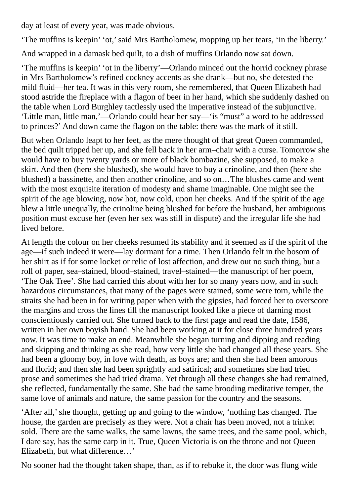day at least of every year, was made obvious.

'The muffins is keepin' 'ot,'said Mrs Bartholomew, mopping up her tears, 'in the liberry.'

And wrapped in a damask bed quilt, to a dish of muffins Orlando now sat down.

'The muffins is keepin' 'ot in the liberry'—Orlando minced out the horrid cockney phrase in Mrs Bartholomew's refined cockney accents as she drank—but no, she detested the mild fluid—her tea. It was in this very room, she remembered, that Queen Elizabeth had stood astride the fireplace with a flagon of beer in her hand, which she suddenly dashed on the table when Lord Burghley tactlessly used the imperative instead of the subjunctive. 'Little man, little man,'—Orlando could hear her say—'is "must" a word to be addressed to princes?' And down came the flagon on the table: there was the mark of it still.

But when Orlando leapt to her feet, as the mere thought of that great Queen commanded, the bed quilt tripped her up, and she fell back in her arm–chair with a curse. Tomorrow she would have to buy twenty yards or more of black bombazine, she supposed, to make a skirt. And then (here she blushed), she would have to buy a crinoline, and then (here she blushed) a bassinette, and then another crinoline, and so on…The blushes came and went with the most exquisite iteration of modesty and shame imaginable. One might see the spirit of the age blowing, now hot, now cold, upon her cheeks. And if the spirit of the age blew a little unequally, the crinoline being blushed for before the husband, her ambiguous position must excuse her (even her sex was still in dispute) and the irregular life she had lived before.

At length the colour on her cheeks resumed its stability and it seemed as if the spirit of the age—if such indeed it were—lay dormant for a time. Then Orlando felt in the bosom of her shirt as if for some locket or relic of lost affection, and drew out no such thing, but a roll of paper, sea–stained, blood–stained, travel–stained—the manuscript of her poem, 'The Oak Tree'. She had carried this about with her for so many years now, and in such hazardous circumstances, that many of the pages were stained, some were torn, while the straits she had been in for writing paper when with the gipsies, had forced her to overscore the margins and cross the lines till the manuscript looked like a piece of darning most conscientiously carried out. She turned back to the first page and read the date, 1586, written in her own boyish hand. She had been working at it for close three hundred years now. It was time to make an end. Meanwhile she began turning and dipping and reading and skipping and thinking as she read, how very little she had changed all these years. She had been a gloomy boy, in love with death, as boys are; and then she had been amorous and florid; and then she had been sprightly and satirical; and sometimes she had tried prose and sometimes she had tried drama. Yet through all these changes she had remained, she reflected, fundamentally the same. She had the same brooding meditative temper, the same love of animals and nature, the same passion for the country and the seasons.

'After all,'she thought, getting up and going to the window, 'nothing has changed. The house, the garden are precisely as they were. Not a chair has been moved, not a trinket sold. There are the same walks, the same lawns, the same trees, and the same pool, which, I dare say, has the same carp in it. True, Queen Victoria is on the throne and not Queen Elizabeth, but what difference…'

No sooner had the thought taken shape, than, as if to rebuke it, the door was flung wide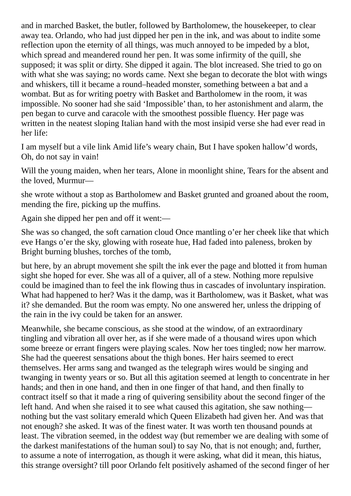and in marched Basket, the butler, followed by Bartholomew, the housekeeper, to clear away tea. Orlando, who had just dipped her pen in the ink, and was about to indite some reflection upon the eternity of all things, was much annoyed to be impeded by a blot, which spread and meandered round her pen. It was some infirmity of the quill, she supposed; it was split or dirty. She dipped it again. The blot increased. She tried to go on with what she was saying; no words came. Next she began to decorate the blot with wings and whiskers, till it became a round–headed monster, something between a bat and a wombat. But as for writing poetry with Basket and Bartholomew in the room, it was impossible. No sooner had she said 'Impossible' than, to her astonishment and alarm, the pen began to curve and caracole with the smoothest possible fluency. Her page was written in the neatest sloping Italian hand with the most insipid verse she had ever read in her life:

I am myself but a vile link Amid life's weary chain, But I have spoken hallow'd words, Oh, do not say in vain!

Will the young maiden, when her tears, Alone in moonlight shine, Tears for the absent and the loved, Murmur—

she wrote without a stop as Bartholomew and Basket grunted and groaned about the room, mending the fire, picking up the muffins.

Again she dipped her pen and off it went:—

She was so changed, the soft carnation cloud Once mantling o'er her cheek like that which eve Hangs o'er the sky, glowing with roseate hue, Had faded into paleness, broken by Bright burning blushes, torches of the tomb,

but here, by an abrupt movement she spilt the ink ever the page and blotted it from human sight she hoped for ever. She was all of a quiver, all of a stew. Nothing more repulsive could be imagined than to feel the ink flowing thus in cascades of involuntary inspiration. What had happened to her? Was it the damp, was it Bartholomew, was it Basket, what was it? she demanded. But the room was empty. No one answered her, unless the dripping of the rain in the ivy could be taken for an answer.

Meanwhile, she became conscious, as she stood at the window, of an extraordinary tingling and vibration all over her, as if she were made of a thousand wires upon which some breeze or errant fingers were playing scales. Now her toes tingled; now her marrow. She had the queerest sensations about the thigh bones. Her hairs seemed to erect themselves. Her arms sang and twanged as the telegraph wires would be singing and twanging in twenty years or so. But all this agitation seemed at length to concentrate in her hands; and then in one hand, and then in one finger of that hand, and then finally to contract itself so that it made a ring of quivering sensibility about the second finger of the left hand. And when she raised it to see what caused this agitation, she saw nothing nothing but the vast solitary emerald which Queen Elizabeth had given her. And was that not enough? she asked. It was of the finest water. It was worth ten thousand pounds at least. The vibration seemed, in the oddest way (but remember we are dealing with some of the darkest manifestations of the human soul) to say No, that is not enough; and, further, to assume a note of interrogation, as though it were asking, what did it mean, this hiatus, this strange oversight? till poor Orlando felt positively ashamed of the second finger of her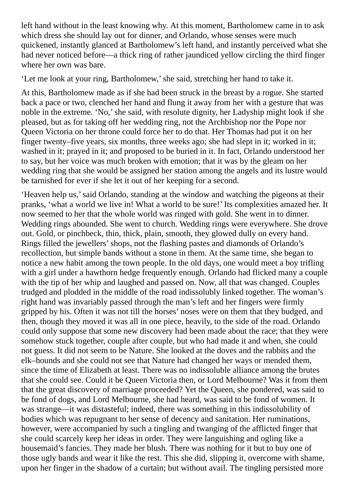left hand without in the least knowing why. At this moment, Bartholomew came in to ask which dress she should lay out for dinner, and Orlando, whose senses were much quickened, instantly glanced at Bartholomew's left hand, and instantly perceived what she had never noticed before—a thick ring of rather jaundiced yellow circling the third finger where her own was bare.

'Let me look at your ring, Bartholomew,'she said, stretching her hand to take it.

At this, Bartholomew made as if she had been struck in the breast by a rogue. She started back a pace or two, clenched her hand and flung it away from her with a gesture that was noble in the extreme. 'No,'she said, with resolute dignity, her Ladyship might look if she pleased, but as for taking off her wedding ring, not the Archbishop nor the Pope nor Queen Victoria on her throne could force her to do that. Her Thomas had put it on her finger twenty–five years, six months, three weeks ago; she had slept in it; worked in it; washed in it; prayed in it; and proposed to be buried in it. In fact, Orlando understood her to say, but her voice was much broken with emotion; that it was by the gleam on her wedding ring that she would be assigned her station among the angels and its lustre would be tarnished for ever if she let it out of her keeping for a second.

'Heaven help us,'said Orlando, standing at the window and watching the pigeons at their pranks, 'what a world we live in! What a world to be sure!' Its complexities amazed her. It now seemed to her that the whole world was ringed with gold. She went in to dinner. Wedding rings abounded. She went to church. Wedding rings were everywhere. She drove out. Gold, or pinchbeck, thin, thick, plain, smooth, they glowed dully on every hand. Rings filled the jewellers'shops, not the flashing pastes and diamonds of Orlando's recollection, but simple bands without a stone in them. At the same time, she began to notice a new habit among the town people. In the old days, one would meet a boy trifling with a girl under a hawthorn hedge frequently enough. Orlando had flicked many a couple with the tip of her whip and laughed and passed on. Now, all that was changed. Couples trudged and plodded in the middle of the road indissolubly linked together. The woman's right hand was invariably passed through the man's left and her fingers were firmly gripped by his. Often it was not till the horses' noses were on them that they budged, and then, though they moved it was all in one piece, heavily, to the side of the road. Orlando could only suppose that some new discovery had been made about the race; that they were somehow stuck together, couple after couple, but who had made it and when, she could not guess. It did not seem to be Nature. She looked at the doves and the rabbits and the elk–hounds and she could not see that Nature had changed her ways or mended them, since the time of Elizabeth at least. There was no indissoluble alliance among the brutes that she could see. Could it be Queen Victoria then, or Lord Melbourne? Was it from them that the great discovery of marriage proceeded? Yet the Queen, she pondered, was said to be fond of dogs, and Lord Melbourne, she had heard, was said to be fond of women. It was strange—it was distasteful; indeed, there was something in this indissolubility of bodies which was repugnant to her sense of decency and sanitation. Her ruminations, however, were accompanied by such a tingling and twanging of the afflicted finger that she could scarcely keep her ideas in order. They were languishing and ogling like a housemaid's fancies. They made her blush. There was nothing for it but to buy one of those ugly bands and wear it like the rest. This she did, slipping it, overcome with shame, upon her finger in the shadow of a curtain; but without avail. The tingling persisted more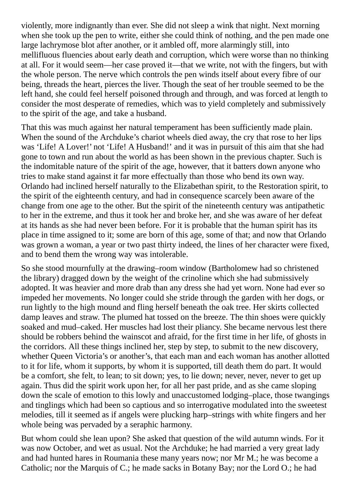violently, more indignantly than ever. She did not sleep a wink that night. Next morning when she took up the pen to write, either she could think of nothing, and the pen made one large lachrymose blot after another, or it ambled off, more alarmingly still, into mellifluous fluencies about early death and corruption, which were worse than no thinking at all. For it would seem—her case proved it—that we write, not with the fingers, but with the whole person. The nerve which controls the pen winds itself about every fibre of our being, threads the heart, pierces the liver. Though the seat of her trouble seemed to be the left hand, she could feel herself poisoned through and through, and was forced at length to consider the most desperate of remedies, which was to yield completely and submissively to the spirit of the age, and take a husband.

That this was much against her natural temperament has been sufficiently made plain. When the sound of the Archduke's chariot wheels died away, the cry that rose to her lips was 'Life! A Lover!' not 'Life! A Husband!' and it was in pursuit of this aim that she had gone to town and run about the world as has been shown in the previous chapter. Such is the indomitable nature of the spirit of the age, however, that it batters down anyone who tries to make stand against it far more effectually than those who bend its own way. Orlando had inclined herself naturally to the Elizabethan spirit, to the Restoration spirit, to the spirit of the eighteenth century, and had in consequence scarcely been aware of the change from one age to the other. But the spirit of the nineteenth century was antipathetic to her in the extreme, and thus it took her and broke her, and she was aware of her defeat at its hands as she had never been before. For it is probable that the human spirit has its place in time assigned to it; some are born of this age, some of that; and now that Orlando was grown a woman, a year or two past thirty indeed, the lines of her character were fixed, and to bend them the wrong way was intolerable.

So she stood mournfully at the drawing–room window (Bartholomew had so christened the library) dragged down by the weight of the crinoline which she had submissively adopted. It was heavier and more drab than any dress she had yet worn. None had ever so impeded her movements. No longer could she stride through the garden with her dogs, or run lightly to the high mound and fling herself beneath the oak tree. Her skirts collected damp leaves and straw. The plumed hat tossed on the breeze. The thin shoes were quickly soaked and mud–caked. Her muscles had lost their pliancy. She became nervous lest there should be robbers behind the wainscot and afraid, for the first time in her life, of ghosts in the corridors. All these things inclined her, step by step, to submit to the new discovery, whether Queen Victoria's or another's, that each man and each woman has another allotted to it for life, whom it supports, by whom it is supported, till death them do part. It would be a comfort, she felt, to lean; to sit down; yes, to lie down; never, never, never to get up again. Thus did the spirit work upon her, for all her past pride, and as she came sloping down the scale of emotion to this lowly and unaccustomed lodging–place, those twangings and tinglings which had been so captious and so interrogative modulated into the sweetest melodies, till it seemed as if angels were plucking harp–strings with white fingers and her whole being was pervaded by a seraphic harmony.

But whom could she lean upon? She asked that question of the wild autumn winds. For it was now October, and wet as usual. Not the Archduke; he had married a very great lady and had hunted hares in Roumania these many years now; nor Mr M.; he was become a Catholic; nor the Marquis of C.; he made sacks in Botany Bay; nor the Lord O.; he had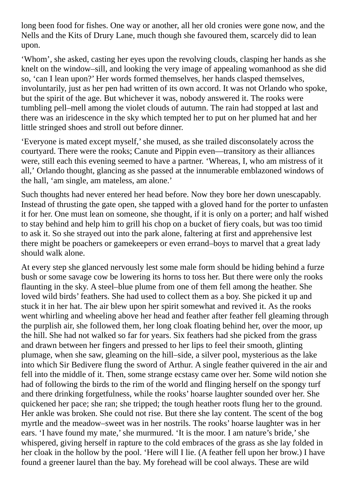long been food for fishes. One way or another, all her old cronies were gone now, and the Nells and the Kits of Drury Lane, much though she favoured them, scarcely did to lean upon.

'Whom', she asked, casting her eyes upon the revolving clouds, clasping her hands as she knelt on the window–sill, and looking the very image of appealing womanhood as she did so, 'can I lean upon?' Her words formed themselves, her hands clasped themselves, involuntarily, just as her pen had written of its own accord. It was not Orlando who spoke, but the spirit of the age. But whichever it was, nobody answered it. The rooks were tumbling pell–mell among the violet clouds of autumn. The rain had stopped at last and there was an iridescence in the sky which tempted her to put on her plumed hat and her little stringed shoes and stroll out before dinner.

'Everyone is mated except myself,' she mused, as she trailed disconsolately across the courtyard. There were the rooks; Canute and Pippin even—transitory as their alliances were, still each this evening seemed to have a partner. 'Whereas, I, who am mistress of it all,' Orlando thought, glancing as she passed at the innumerable emblazoned windows of the hall, 'am single, am mateless, am alone.'

Such thoughts had never entered her head before. Now they bore her down unescapably. Instead of thrusting the gate open, she tapped with a gloved hand for the porter to unfasten it for her. One must lean on someone, she thought, if it is only on a porter; and half wished to stay behind and help him to grill his chop on a bucket of fiery coals, but was too timid to ask it. So she strayed out into the park alone, faltering at first and apprehensive lest there might be poachers or gamekeepers or even errand–boys to marvel that a great lady should walk alone.

At every step she glanced nervously lest some male form should be hiding behind a furze bush or some savage cow be lowering its horns to toss her. But there were only the rooks flaunting in the sky. A steel–blue plume from one of them fell among the heather. She loved wild birds' feathers. She had used to collect them as a boy. She picked it up and stuck it in her hat. The air blew upon her spirit somewhat and revived it. As the rooks went whirling and wheeling above her head and feather after feather fell gleaming through the purplish air, she followed them, her long cloak floating behind her, over the moor, up the hill. She had not walked so far for years. Six feathers had she picked from the grass and drawn between her fingers and pressed to her lips to feel their smooth, glinting plumage, when she saw, gleaming on the hill–side, a silver pool, mysterious as the lake into which Sir Bedivere flung the sword of Arthur. A single feather quivered in the air and fell into the middle of it. Then, some strange ecstasy came over her. Some wild notion she had of following the birds to the rim of the world and flinging herself on the spongy turf and there drinking forgetfulness, while the rooks' hoarse laughter sounded over her. She quickened her pace; she ran; she tripped; the tough heather roots flung her to the ground. Her ankle was broken. She could not rise. But there she lay content. The scent of the bog myrtle and the meadow–sweet was in her nostrils. The rooks' hoarse laughter was in her ears. 'I have found my mate,' she murmured. 'It is the moor. I am nature's bride,' she whispered, giving herself in rapture to the cold embraces of the grass as she lay folded in her cloak in the hollow by the pool. 'Here will I lie. (A feather fell upon her brow.) I have found a greener laurel than the bay. My forehead will be cool always. These are wild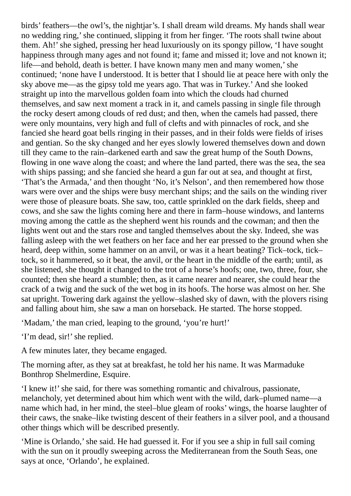birds' feathers—the owl's, the nightjar's. I shall dream wild dreams. My hands shall wear no wedding ring,'she continued, slipping it from her finger. 'The roots shall twine about them. Ah!'she sighed, pressing her head luxuriously on its spongy pillow, 'I have sought happiness through many ages and not found it; fame and missed it; love and not known it; life—and behold, death is better. I have known many men and many women,'she continued; 'none have I understood. It is better that I should lie at peace here with only the sky above me—as the gipsy told me years ago. That was in Turkey.' And she looked straight up into the marvellous golden foam into which the clouds had churned themselves, and saw next moment a track in it, and camels passing in single file through the rocky desert among clouds of red dust; and then, when the camels had passed, there were only mountains, very high and full of clefts and with pinnacles of rock, and she fancied she heard goat bells ringing in their passes, and in their folds were fields of irises and gentian. So the sky changed and her eyes slowly lowered themselves down and down till they came to the rain–darkened earth and saw the great hump of the South Downs, flowing in one wave along the coast; and where the land parted, there was the sea, the sea with ships passing; and she fancied she heard a gun far out at sea, and thought at first, 'That's the Armada,' and then thought 'No, it's Nelson', and then remembered how those wars were over and the ships were busy merchant ships; and the sails on the winding river were those of pleasure boats. She saw, too, cattle sprinkled on the dark fields, sheep and cows, and she saw the lights coming here and there in farm–house windows, and lanterns moving among the cattle as the shepherd went his rounds and the cowman; and then the lights went out and the stars rose and tangled themselves about the sky. Indeed, she was falling asleep with the wet feathers on her face and her ear pressed to the ground when she heard, deep within, some hammer on an anvil, or was it a heart beating? Tick–tock, tick– tock, so it hammered, so it beat, the anvil, or the heart in the middle of the earth; until, as she listened, she thought it changed to the trot of a horse's hoofs; one, two, three, four, she counted; then she heard a stumble; then, as it came nearer and nearer, she could hear the crack of a twig and the suck of the wet bog in its hoofs. The horse was almost on her. She sat upright. Towering dark against the yellow–slashed sky of dawn, with the plovers rising and falling about him, she saw a man on horseback. He started. The horse stopped.

'Madam,' the man cried, leaping to the ground, 'you're hurt!'

'I'm dead, sir!' she replied.

A few minutes later, they became engaged.

The morning after, as they sat at breakfast, he told her his name. It was Marmaduke Bonthrop Shelmerdine, Esquire.

'I knew it!'she said, for there was something romantic and chivalrous, passionate, melancholy, yet determined about him which went with the wild, dark–plumed name—a name which had, in her mind, the steel–blue gleam of rooks' wings, the hoarse laughter of their caws, the snake–like twisting descent of their feathers in a silver pool, and a thousand other things which will be described presently.

'Mine is Orlando,'she said. He had guessed it. For if you see a ship in full sail coming with the sun on it proudly sweeping across the Mediterranean from the South Seas, one says at once, 'Orlando', he explained.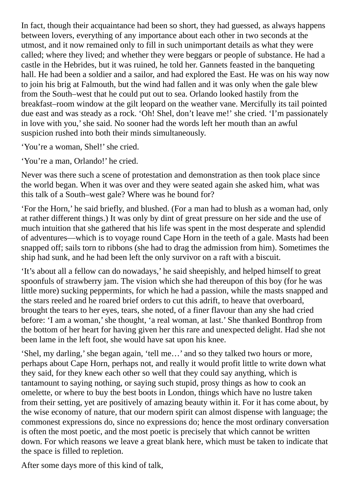In fact, though their acquaintance had been so short, they had guessed, as always happens between lovers, everything of any importance about each other in two seconds at the utmost, and it now remained only to fill in such unimportant details as what they were called; where they lived; and whether they were beggars or people of substance. He had a castle in the Hebrides, but it was ruined, he told her. Gannets feasted in the banqueting hall. He had been a soldier and a sailor, and had explored the East. He was on his way now to join his brig at Falmouth, but the wind had fallen and it was only when the gale blew from the South–west that he could put out to sea. Orlando looked hastily from the breakfast–room window at the gilt leopard on the weather vane. Mercifully its tail pointed due east and was steady as a rock. 'Oh! Shel, don't leave me!' she cried. 'I'm passionately in love with you,'she said. No sooner had the words left her mouth than an awful suspicion rushed into both their minds simultaneously.

'You're a woman, Shel!' she cried.

'You're a man, Orlando!' he cried.

Never was there such a scene of protestation and demonstration as then took place since the world began. When it was over and they were seated again she asked him, what was this talk of a South–west gale? Where was he bound for?

'For the Horn,' he said briefly, and blushed. (For a man had to blush as a woman had, only at rather different things.) It was only by dint of great pressure on her side and the use of much intuition that she gathered that his life was spent in the most desperate and splendid of adventures—which is to voyage round Cape Horn in the teeth of a gale. Masts had been snapped off; sails torn to ribbons (she had to drag the admission from him). Sometimes the ship had sunk, and he had been left the only survivor on a raft with a biscuit.

'It's about all a fellow can do nowadays,' he said sheepishly, and helped himself to great spoonfuls of strawberry jam. The vision which she had thereupon of this boy (for he was little more) sucking peppermints, for which he had a passion, while the masts snapped and the stars reeled and he roared brief orders to cut this adrift, to heave that overboard, brought the tears to her eyes, tears, she noted, of a finer flavour than any she had cried before: 'I am a woman,'she thought, 'a real woman, at last.' She thanked Bonthrop from the bottom of her heart for having given her this rare and unexpected delight. Had she not been lame in the left foot, she would have sat upon his knee.

'Shel, my darling,'she began again, 'tell me…' and so they talked two hours or more, perhaps about Cape Horn, perhaps not, and really it would profit little to write down what they said, for they knew each other so well that they could say anything, which is tantamount to saying nothing, or saying such stupid, prosy things as how to cook an omelette, or where to buy the best boots in London, things which have no lustre taken from their setting, yet are positively of amazing beauty within it. For it has come about, by the wise economy of nature, that our modern spirit can almost dispense with language; the commonest expressions do, since no expressions do; hence the most ordinary conversation is often the most poetic, and the most poetic is precisely that which cannot be written down. For which reasons we leave a great blank here, which must be taken to indicate that the space is filled to repletion.

After some days more of this kind of talk,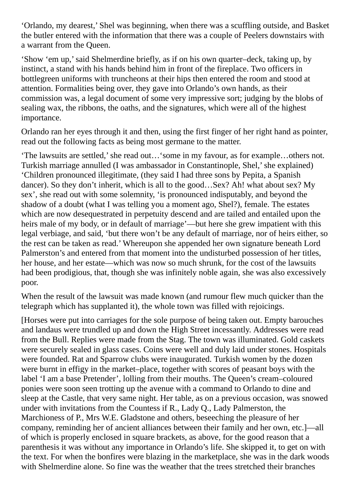'Orlando, my dearest,' Shel was beginning, when there was a scuffling outside, and Basket the butler entered with the information that there was a couple of Peelers downstairs with a warrant from the Queen.

'Show 'em up,'said Shelmerdine briefly, as if on his own quarter–deck, taking up, by instinct, a stand with his hands behind him in front of the fireplace. Two officers in bottlegreen uniforms with truncheons at their hips then entered the room and stood at attention. Formalities being over, they gave into Orlando's own hands, as their commission was, a legal document of some very impressive sort; judging by the blobs of sealing wax, the ribbons, the oaths, and the signatures, which were all of the highest importance.

Orlando ran her eyes through it and then, using the first finger of her right hand as pointer, read out the following facts as being most germane to the matter.

'The lawsuits are settled,'she read out…'some in my favour, as for example…others not. Turkish marriage annulled (I was ambassador in Constantinople, Shel,'she explained) 'Children pronounced illegitimate, (they said I had three sons by Pepita, a Spanish dancer). So they don't inherit, which is all to the good…Sex? Ah! what about sex? My sex', she read out with some solemnity, 'is pronounced indisputably, and beyond the shadow of a doubt (what I was telling you a moment ago, Shel?), female. The estates which are now desequestrated in perpetuity descend and are tailed and entailed upon the heirs male of my body, or in default of marriage'—but here she grew impatient with this legal verbiage, and said, 'but there won't be any default of marriage, nor of heirs either, so the rest can be taken as read.' Whereupon she appended her own signature beneath Lord Palmerston's and entered from that moment into the undisturbed possession of her titles, her house, and her estate—which was now so much shrunk, for the cost of the lawsuits had been prodigious, that, though she was infinitely noble again, she was also excessively poor.

When the result of the lawsuit was made known (and rumour flew much quicker than the telegraph which has supplanted it), the whole town was filled with rejoicings.

[Horses were put into carriages for the sole purpose of being taken out. Empty barouches and landaus were trundled up and down the High Street incessantly. Addresses were read from the Bull. Replies were made from the Stag. The town was illuminated. Gold caskets were securely sealed in glass cases. Coins were well and duly laid under stones. Hospitals were founded. Rat and Sparrow clubs were inaugurated. Turkish women by the dozen were burnt in effigy in the market–place, together with scores of peasant boys with the label 'I am a base Pretender', lolling from their mouths. The Queen's cream–coloured ponies were soon seen trotting up the avenue with a command to Orlando to dine and sleep at the Castle, that very same night. Her table, as on a previous occasion, was snowed under with invitations from the Countess if R., Lady Q., Lady Palmerston, the Marchioness of P., Mrs W.E. Gladstone and others, beseeching the pleasure of her company, reminding her of ancient alliances between their family and her own, etc.]—all of which is properly enclosed in square brackets, as above, for the good reason that a parenthesis it was without any importance in Orlando's life. She skipped it, to get on with the text. For when the bonfires were blazing in the marketplace, she was in the dark woods with Shelmerdine alone. So fine was the weather that the trees stretched their branches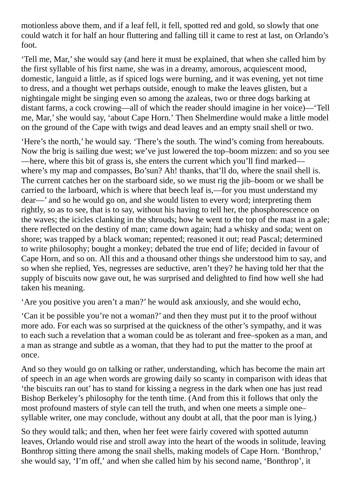motionless above them, and if a leaf fell, it fell, spotted red and gold, so slowly that one could watch it for half an hour fluttering and falling till it came to rest at last, on Orlando's foot.

'Tell me, Mar,'she would say (and here it must be explained, that when she called him by the first syllable of his first name, she was in a dreamy, amorous, acquiescent mood, domestic, languid a little, as if spiced logs were burning, and it was evening, yet not time to dress, and a thought wet perhaps outside, enough to make the leaves glisten, but a nightingale might be singing even so among the azaleas, two or three dogs barking at distant farms, a cock crowing—all of which the reader should imagine in her voice)—'Tell me, Mar,'she would say, 'about Cape Horn.' Then Shelmerdine would make a little model on the ground of the Cape with twigs and dead leaves and an empty snail shell or two.

'Here's the north,' he would say. 'There's the south. The wind's coming from hereabouts. Now the brig is sailing due west; we've just lowered the top–boom mizzen: and so you see —here, where this bit of grass is, she enters the current which you'll find marked where's my map and compasses, Bo'sun? Ah! thanks, that'll do, where the snail shell is. The current catches her on the starboard side, so we must rig the jib–boom or we shall be carried to the larboard, which is where that beech leaf is,—for you must understand my dear—' and so he would go on, and she would listen to every word; interpreting them rightly, so as to see, that is to say, without his having to tell her, the phosphorescence on the waves; the icicles clanking in the shrouds; how he went to the top of the mast in a gale; there reflected on the destiny of man; came down again; had a whisky and soda; went on shore; was trapped by a black woman; repented; reasoned it out; read Pascal; determined to write philosophy; bought a monkey; debated the true end of life; decided in favour of Cape Horn, and so on. All this and a thousand other things she understood him to say, and so when she replied, Yes, negresses are seductive, aren't they? he having told her that the supply of biscuits now gave out, he was surprised and delighted to find how well she had taken his meaning.

'Are you positive you aren't a man?' he would ask anxiously, and she would echo,

'Can it be possible you're not a woman?' and then they must put it to the proof without more ado. For each was so surprised at the quickness of the other's sympathy, and it was to each such a revelation that a woman could be as tolerant and free–spoken as a man, and a man as strange and subtle as a woman, that they had to put the matter to the proof at once.

And so they would go on talking or rather, understanding, which has become the main art of speech in an age when words are growing daily so scanty in comparison with ideas that 'the biscuits ran out' has to stand for kissing a negress in the dark when one has just read Bishop Berkeley's philosophy for the tenth time. (And from this it follows that only the most profound masters of style can tell the truth, and when one meets a simple one– syllable writer, one may conclude, without any doubt at all, that the poor man is lying.)

So they would talk; and then, when her feet were fairly covered with spotted autumn leaves, Orlando would rise and stroll away into the heart of the woods in solitude, leaving Bonthrop sitting there among the snail shells, making models of Cape Horn. 'Bonthrop,' she would say, 'I'm off,' and when she called him by his second name, 'Bonthrop', it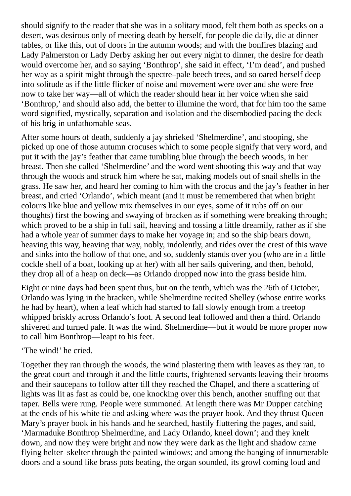should signify to the reader that she was in a solitary mood, felt them both as specks on a desert, was desirous only of meeting death by herself, for people die daily, die at dinner tables, or like this, out of doors in the autumn woods; and with the bonfires blazing and Lady Palmerston or Lady Derby asking her out every night to dinner, the desire for death would overcome her, and so saying 'Bonthrop', she said in effect, 'I'm dead', and pushed her way as a spirit might through the spectre–pale beech trees, and so oared herself deep into solitude as if the little flicker of noise and movement were over and she were free now to take her way—all of which the reader should hear in her voice when she said 'Bonthrop,' and should also add, the better to illumine the word, that for him too the same word signified, mystically, separation and isolation and the disembodied pacing the deck of his brig in unfathomable seas.

After some hours of death, suddenly a jay shrieked 'Shelmerdine', and stooping, she picked up one of those autumn crocuses which to some people signify that very word, and put it with the jay's feather that came tumbling blue through the beech woods, in her breast. Then she called 'Shelmerdine' and the word went shooting this way and that way through the woods and struck him where he sat, making models out of snail shells in the grass. He saw her, and heard her coming to him with the crocus and the jay's feather in her breast, and cried 'Orlando', which meant (and it must be remembered that when bright colours like blue and yellow mix themselves in our eyes, some of it rubs off on our thoughts) first the bowing and swaying of bracken as if something were breaking through; which proved to be a ship in full sail, heaving and tossing a little dreamily, rather as if she had a whole year of summer days to make her voyage in; and so the ship bears down, heaving this way, heaving that way, nobly, indolently, and rides over the crest of this wave and sinks into the hollow of that one, and so, suddenly stands over you (who are in a little cockle shell of a boat, looking up at her) with all her sails quivering, and then, behold, they drop all of a heap on deck—as Orlando dropped now into the grass beside him.

Eight or nine days had been spent thus, but on the tenth, which was the 26th of October, Orlando was lying in the bracken, while Shelmerdine recited Shelley (whose entire works he had by heart), when a leaf which had started to fall slowly enough from a treetop whipped briskly across Orlando's foot. A second leaf followed and then a third. Orlando shivered and turned pale. It was the wind. Shelmerdine—but it would be more proper now to call him Bonthrop—leapt to his feet.

## 'The wind!' he cried.

Together they ran through the woods, the wind plastering them with leaves as they ran, to the great court and through it and the little courts, frightened servants leaving their brooms and their saucepans to follow after till they reached the Chapel, and there a scattering of lights was lit as fast as could be, one knocking over this bench, another snuffing out that taper. Bells were rung. People were summoned. At length there was Mr Dupper catching at the ends of his white tie and asking where was the prayer book. And they thrust Queen Mary's prayer book in his hands and he searched, hastily fluttering the pages, and said, 'Marmaduke Bonthrop Shelmerdine, and Lady Orlando, kneel down'; and they knelt down, and now they were bright and now they were dark as the light and shadow came flying helter–skelter through the painted windows; and among the banging of innumerable doors and a sound like brass pots beating, the organ sounded, its growl coming loud and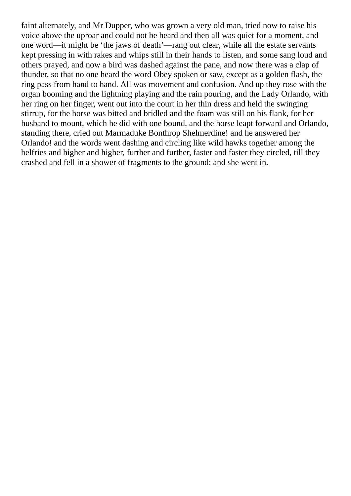faint alternately, and Mr Dupper, who was grown a very old man, tried now to raise his voice above the uproar and could not be heard and then all was quiet for a moment, and one word—it might be 'the jaws of death'—rang out clear, while all the estate servants kept pressing in with rakes and whips still in their hands to listen, and some sang loud and others prayed, and now a bird was dashed against the pane, and now there was a clap of thunder, so that no one heard the word Obey spoken or saw, except as a golden flash, the ring pass from hand to hand. All was movement and confusion. And up they rose with the organ booming and the lightning playing and the rain pouring, and the Lady Orlando, with her ring on her finger, went out into the court in her thin dress and held the swinging stirrup, for the horse was bitted and bridled and the foam was still on his flank, for her husband to mount, which he did with one bound, and the horse leapt forward and Orlando, standing there, cried out Marmaduke Bonthrop Shelmerdine! and he answered her Orlando! and the words went dashing and circling like wild hawks together among the belfries and higher and higher, further and further, faster and faster they circled, till they crashed and fell in a shower of fragments to the ground; and she went in.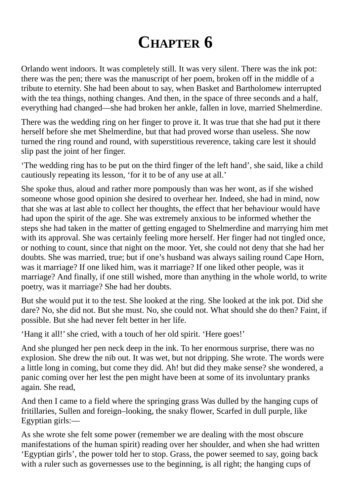## **CHAPTER 6**

Orlando went indoors. It was completely still. It was very silent. There was the ink pot: there was the pen; there was the manuscript of her poem, broken off in the middle of a tribute to eternity. She had been about to say, when Basket and Bartholomew interrupted with the tea things, nothing changes. And then, in the space of three seconds and a half, everything had changed—she had broken her ankle, fallen in love, married Shelmerdine.

There was the wedding ring on her finger to prove it. It was true that she had put it there herself before she met Shelmerdine, but that had proved worse than useless. She now turned the ring round and round, with superstitious reverence, taking care lest it should slip past the joint of her finger.

'The wedding ring has to be put on the third finger of the left hand', she said, like a child cautiously repeating its lesson, 'for it to be of any use at all.'

She spoke thus, aloud and rather more pompously than was her wont, as if she wished someone whose good opinion she desired to overhear her. Indeed, she had in mind, now that she was at last able to collect her thoughts, the effect that her behaviour would have had upon the spirit of the age. She was extremely anxious to be informed whether the steps she had taken in the matter of getting engaged to Shelmerdine and marrying him met with its approval. She was certainly feeling more herself. Her finger had not tingled once, or nothing to count, since that night on the moor. Yet, she could not deny that she had her doubts. She was married, true; but if one's husband was always sailing round Cape Horn, was it marriage? If one liked him, was it marriage? If one liked other people, was it marriage? And finally, if one still wished, more than anything in the whole world, to write poetry, was it marriage? She had her doubts.

But she would put it to the test. She looked at the ring. She looked at the ink pot. Did she dare? No, she did not. But she must. No, she could not. What should she do then? Faint, if possible. But she had never felt better in her life.

'Hang it all!' she cried, with a touch of her old spirit. 'Here goes!'

And she plunged her pen neck deep in the ink. To her enormous surprise, there was no explosion. She drew the nib out. It was wet, but not dripping. She wrote. The words were a little long in coming, but come they did. Ah! but did they make sense? she wondered, a panic coming over her lest the pen might have been at some of its involuntary pranks again. She read,

And then I came to a field where the springing grass Was dulled by the hanging cups of fritillaries, Sullen and foreign–looking, the snaky flower, Scarfed in dull purple, like Egyptian girls:—

As she wrote she felt some power (remember we are dealing with the most obscure manifestations of the human spirit) reading over her shoulder, and when she had written 'Egyptian girls', the power told her to stop. Grass, the power seemed to say, going back with a ruler such as governesses use to the beginning, is all right; the hanging cups of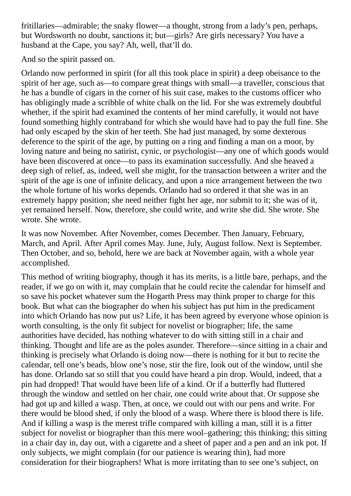fritillaries—admirable; the snaky flower—a thought, strong from a lady's pen, perhaps, but Wordsworth no doubt, sanctions it; but—girls? Are girls necessary? You have a husband at the Cape, you say? Ah, well, that'll do.

And so the spirit passed on.

Orlando now performed in spirit (for all this took place in spirit) a deep obeisance to the spirit of her age, such as—to compare great things with small—a traveller, conscious that he has a bundle of cigars in the corner of his suit case, makes to the customs officer who has obligingly made a scribble of white chalk on the lid. For she was extremely doubtful whether, if the spirit had examined the contents of her mind carefully, it would not have found something highly contraband for which she would have had to pay the full fine. She had only escaped by the skin of her teeth. She had just managed, by some dexterous deference to the spirit of the age, by putting on a ring and finding a man on a moor, by loving nature and being no satirist, cynic, or psychologist—any one of which goods would have been discovered at once—to pass its examination successfully. And she heaved a deep sigh of relief, as, indeed, well she might, for the transaction between a writer and the spirit of the age is one of infinite delicacy, and upon a nice arrangement between the two the whole fortune of his works depends. Orlando had so ordered it that she was in an extremely happy position; she need neither fight her age, nor submit to it; she was of it, yet remained herself. Now, therefore, she could write, and write she did. She wrote. She wrote. She wrote.

It was now November. After November, comes December. Then January, February, March, and April. After April comes May. June, July, August follow. Next is September. Then October, and so, behold, here we are back at November again, with a whole year accomplished.

This method of writing biography, though it has its merits, is a little bare, perhaps, and the reader, if we go on with it, may complain that he could recite the calendar for himself and so save his pocket whatever sum the Hogarth Press may think proper to charge for this book. But what can the biographer do when his subject has put him in the predicament into which Orlando has now put us? Life, it has been agreed by everyone whose opinion is worth consulting, is the only fit subject for novelist or biographer; life, the same authorities have decided, has nothing whatever to do with sitting still in a chair and thinking. Thought and life are as the poles asunder. Therefore—since sitting in a chair and thinking is precisely what Orlando is doing now—there is nothing for it but to recite the calendar, tell one's beads, blow one's nose, stir the fire, look out of the window, until she has done. Orlando sat so still that you could have heard a pin drop. Would, indeed, that a pin had dropped! That would have been life of a kind. Or if a butterfly had fluttered through the window and settled on her chair, one could write about that. Or suppose she had got up and killed a wasp. Then, at once, we could out with our pens and write. For there would be blood shed, if only the blood of a wasp. Where there is blood there is life. And if killing a wasp is the merest trifle compared with killing a man, still it is a fitter subject for novelist or biographer than this mere wool–gathering; this thinking; this sitting in a chair day in, day out, with a cigarette and a sheet of paper and a pen and an ink pot. If only subjects, we might complain (for our patience is wearing thin), had more consideration for their biographers! What is more irritating than to see one's subject, on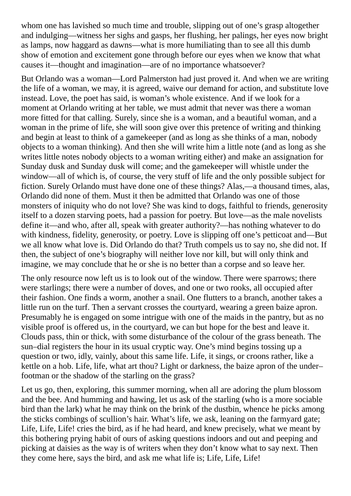whom one has lavished so much time and trouble, slipping out of one's grasp altogether and indulging—witness her sighs and gasps, her flushing, her palings, her eyes now bright as lamps, now haggard as dawns—what is more humiliating than to see all this dumb show of emotion and excitement gone through before our eyes when we know that what causes it—thought and imagination—are of no importance whatsoever?

But Orlando was a woman—Lord Palmerston had just proved it. And when we are writing the life of a woman, we may, it is agreed, waive our demand for action, and substitute love instead. Love, the poet has said, is woman's whole existence. And if we look for a moment at Orlando writing at her table, we must admit that never was there a woman more fitted for that calling. Surely, since she is a woman, and a beautiful woman, and a woman in the prime of life, she will soon give over this pretence of writing and thinking and begin at least to think of a gamekeeper (and as long as she thinks of a man, nobody objects to a woman thinking). And then she will write him a little note (and as long as she writes little notes nobody objects to a woman writing either) and make an assignation for Sunday dusk and Sunday dusk will come; and the gamekeeper will whistle under the window—all of which is, of course, the very stuff of life and the only possible subject for fiction. Surely Orlando must have done one of these things? Alas,—a thousand times, alas, Orlando did none of them. Must it then be admitted that Orlando was one of those monsters of iniquity who do not love? She was kind to dogs, faithful to friends, generosity itself to a dozen starving poets, had a passion for poetry. But love—as the male novelists define it—and who, after all, speak with greater authority?—has nothing whatever to do with kindness, fidelity, generosity, or poetry. Love is slipping off one's petticoat and—But we all know what love is. Did Orlando do that? Truth compels us to say no, she did not. If then, the subject of one's biography will neither love nor kill, but will only think and imagine, we may conclude that he or she is no better than a corpse and so leave her.

The only resource now left us is to look out of the window. There were sparrows; there were starlings; there were a number of doves, and one or two rooks, all occupied after their fashion. One finds a worm, another a snail. One flutters to a branch, another takes a little run on the turf. Then a servant crosses the courtyard, wearing a green baize apron. Presumably he is engaged on some intrigue with one of the maids in the pantry, but as no visible proof is offered us, in the courtyard, we can but hope for the best and leave it. Clouds pass, thin or thick, with some disturbance of the colour of the grass beneath. The sun–dial registers the hour in its usual cryptic way. One's mind begins tossing up a question or two, idly, vainly, about this same life. Life, it sings, or croons rather, like a kettle on a hob. Life, life, what art thou? Light or darkness, the baize apron of the under– footman or the shadow of the starling on the grass?

Let us go, then, exploring, this summer morning, when all are adoring the plum blossom and the bee. And humming and hawing, let us ask of the starling (who is a more sociable bird than the lark) what he may think on the brink of the dustbin, whence he picks among the sticks combings of scullion's hair. What's life, we ask, leaning on the farmyard gate; Life, Life, Life! cries the bird, as if he had heard, and knew precisely, what we meant by this bothering prying habit of ours of asking questions indoors and out and peeping and picking at daisies as the way is of writers when they don't know what to say next. Then they come here, says the bird, and ask me what life is; Life, Life, Life!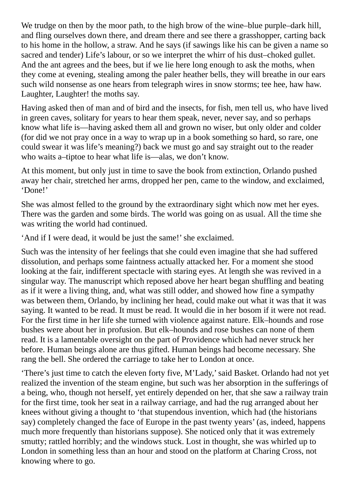We trudge on then by the moor path, to the high brow of the wine–blue purple–dark hill, and fling ourselves down there, and dream there and see there a grasshopper, carting back to his home in the hollow, a straw. And he says (if sawings like his can be given a name so sacred and tender) Life's labour, or so we interpret the whirr of his dust–choked gullet. And the ant agrees and the bees, but if we lie here long enough to ask the moths, when they come at evening, stealing among the paler heather bells, they will breathe in our ears such wild nonsense as one hears from telegraph wires in snow storms; tee hee, haw haw. Laughter, Laughter! the moths say.

Having asked then of man and of bird and the insects, for fish, men tell us, who have lived in green caves, solitary for years to hear them speak, never, never say, and so perhaps know what life is—having asked them all and grown no wiser, but only older and colder (for did we not pray once in a way to wrap up in a book something so hard, so rare, one could swear it was life's meaning?) back we must go and say straight out to the reader who waits a–tiptoe to hear what life is—alas, we don't know.

At this moment, but only just in time to save the book from extinction, Orlando pushed away her chair, stretched her arms, dropped her pen, came to the window, and exclaimed, 'Done!'

She was almost felled to the ground by the extraordinary sight which now met her eyes. There was the garden and some birds. The world was going on as usual. All the time she was writing the world had continued.

'And if I were dead, it would be just the same!' she exclaimed.

Such was the intensity of her feelings that she could even imagine that she had suffered dissolution, and perhaps some faintness actually attacked her. For a moment she stood looking at the fair, indifferent spectacle with staring eyes. At length she was revived in a singular way. The manuscript which reposed above her heart began shuffling and beating as if it were a living thing, and, what was still odder, and showed how fine a sympathy was between them, Orlando, by inclining her head, could make out what it was that it was saying. It wanted to be read. It must be read. It would die in her bosom if it were not read. For the first time in her life she turned with violence against nature. Elk–hounds and rose bushes were about her in profusion. But elk–hounds and rose bushes can none of them read. It is a lamentable oversight on the part of Providence which had never struck her before. Human beings alone are thus gifted. Human beings had become necessary. She rang the bell. She ordered the carriage to take her to London at once.

'There's just time to catch the eleven forty five, M'Lady,'said Basket. Orlando had not yet realized the invention of the steam engine, but such was her absorption in the sufferings of a being, who, though not herself, yet entirely depended on her, that she saw a railway train for the first time, took her seat in a railway carriage, and had the rug arranged about her knees without giving a thought to 'that stupendous invention, which had (the historians say) completely changed the face of Europe in the past twenty years' (as, indeed, happens much more frequently than historians suppose). She noticed only that it was extremely smutty; rattled horribly; and the windows stuck. Lost in thought, she was whirled up to London in something less than an hour and stood on the platform at Charing Cross, not knowing where to go.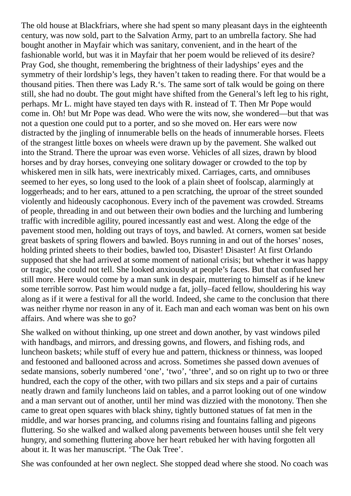The old house at Blackfriars, where she had spent so many pleasant days in the eighteenth century, was now sold, part to the Salvation Army, part to an umbrella factory. She had bought another in Mayfair which was sanitary, convenient, and in the heart of the fashionable world, but was it in Mayfair that her poem would be relieved of its desire? Pray God, she thought, remembering the brightness of their ladyships' eyes and the symmetry of their lordship's legs, they haven't taken to reading there. For that would be a thousand pities. Then there was Lady R.'s. The same sort of talk would be going on there still, she had no doubt. The gout might have shifted from the General's left leg to his right, perhaps. Mr L. might have stayed ten days with R. instead of T. Then Mr Pope would come in. Oh! but Mr Pope was dead. Who were the wits now, she wondered—but that was not a question one could put to a porter, and so she moved on. Her ears were now distracted by the jingling of innumerable bells on the heads of innumerable horses. Fleets of the strangest little boxes on wheels were drawn up by the pavement. She walked out into the Strand. There the uproar was even worse. Vehicles of all sizes, drawn by blood horses and by dray horses, conveying one solitary dowager or crowded to the top by whiskered men in silk hats, were inextricably mixed. Carriages, carts, and omnibuses seemed to her eyes, so long used to the look of a plain sheet of foolscap, alarmingly at loggerheads; and to her ears, attuned to a pen scratching, the uproar of the street sounded violently and hideously cacophonous. Every inch of the pavement was crowded. Streams of people, threading in and out between their own bodies and the lurching and lumbering traffic with incredible agility, poured incessantly east and west. Along the edge of the pavement stood men, holding out trays of toys, and bawled. At corners, women sat beside great baskets of spring flowers and bawled. Boys running in and out of the horses' noses, holding printed sheets to their bodies, bawled too, Disaster! Disaster! At first Orlando supposed that she had arrived at some moment of national crisis; but whether it was happy or tragic, she could not tell. She looked anxiously at people's faces. But that confused her still more. Here would come by a man sunk in despair, muttering to himself as if he knew some terrible sorrow. Past him would nudge a fat, jolly–faced fellow, shouldering his way along as if it were a festival for all the world. Indeed, she came to the conclusion that there was neither rhyme nor reason in any of it. Each man and each woman was bent on his own affairs. And where was she to go?

She walked on without thinking, up one street and down another, by vast windows piled with handbags, and mirrors, and dressing gowns, and flowers, and fishing rods, and luncheon baskets; while stuff of every hue and pattern, thickness or thinness, was looped and festooned and ballooned across and across. Sometimes she passed down avenues of sedate mansions, soberly numbered 'one', 'two', 'three', and so on right up to two or three hundred, each the copy of the other, with two pillars and six steps and a pair of curtains neatly drawn and family luncheons laid on tables, and a parrot looking out of one window and a man servant out of another, until her mind was dizzied with the monotony. Then she came to great open squares with black shiny, tightly buttoned statues of fat men in the middle, and war horses prancing, and columns rising and fountains falling and pigeons fluttering. So she walked and walked along pavements between houses until she felt very hungry, and something fluttering above her heart rebuked her with having forgotten all about it. It was her manuscript. 'The Oak Tree'.

She was confounded at her own neglect. She stopped dead where she stood. No coach was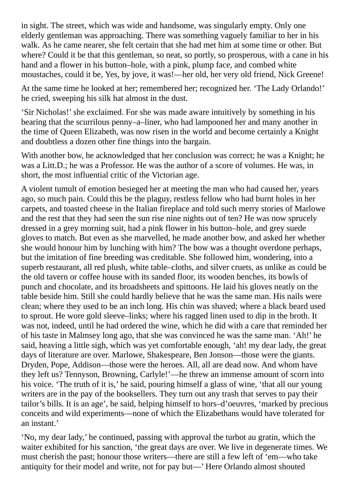in sight. The street, which was wide and handsome, was singularly empty. Only one elderly gentleman was approaching. There was something vaguely familiar to her in his walk. As he came nearer, she felt certain that she had met him at some time or other. But where? Could it be that this gentleman, so neat, so portly, so prosperous, with a cane in his hand and a flower in his button–hole, with a pink, plump face, and combed white moustaches, could it be, Yes, by jove, it was!—her old, her very old friend, Nick Greene!

At the same time he looked at her; remembered her; recognized her. 'The Lady Orlando!' he cried, sweeping his silk hat almost in the dust.

'Sir Nicholas!'she exclaimed. For she was made aware intuitively by something in his bearing that the scurrilous penny–a–liner, who had lampooned her and many another in the time of Queen Elizabeth, was now risen in the world and become certainly a Knight and doubtless a dozen other fine things into the bargain.

With another bow, he acknowledged that her conclusion was correct; he was a Knight; he was a Litt.D.; he was a Professor. He was the author of a score of volumes. He was, in short, the most influential critic of the Victorian age.

A violent tumult of emotion besieged her at meeting the man who had caused her, years ago, so much pain. Could this be the plaguy, restless fellow who had burnt holes in her carpets, and toasted cheese in the Italian fireplace and told such merry stories of Marlowe and the rest that they had seen the sun rise nine nights out of ten? He was now sprucely dressed in a grey morning suit, had a pink flower in his button–hole, and grey suede gloves to match. But even as she marvelled, he made another bow, and asked her whether she would honour him by lunching with him? The bow was a thought overdone perhaps, but the imitation of fine breeding was creditable. She followed him, wondering, into a superb restaurant, all red plush, white table–cloths, and silver cruets, as unlike as could be the old tavern or coffee house with its sanded floor, its wooden benches, its bowls of punch and chocolate, and its broadsheets and spittoons. He laid his gloves neatly on the table beside him. Still she could hardly believe that he was the same man. His nails were clean; where they used to be an inch long. His chin was shaved; where a black beard used to sprout. He wore gold sleeve–links; where his ragged linen used to dip in the broth. It was not, indeed, until he had ordered the wine, which he did with a care that reminded her of his taste in Malmsey long ago, that she was convinced he was the same man. 'Ah!' he said, heaving a little sigh, which was yet comfortable enough, 'ah! my dear lady, the great days of literature are over. Marlowe, Shakespeare, Ben Jonson—those were the giants. Dryden, Pope, Addison—those were the heroes. All, all are dead now. And whom have they left us? Tennyson, Browning, Carlyle!'—he threw an immense amount of scorn into his voice. 'The truth of it is,' he said, pouring himself a glass of wine, 'that all our young writers are in the pay of the booksellers. They turn out any trash that serves to pay their tailor's bills. It is an age', he said, helping himself to hors–d'oeuvres, 'marked by precious conceits and wild experiments—none of which the Elizabethans would have tolerated for an instant.'

'No, my dear lady,' he continued, passing with approval the turbot au gratin, which the waiter exhibited for his sanction, 'the great days are over. We live in degenerate times. We must cherish the past; honour those writers—there are still a few left of 'em—who take antiquity for their model and write, not for pay but—' Here Orlando almost shouted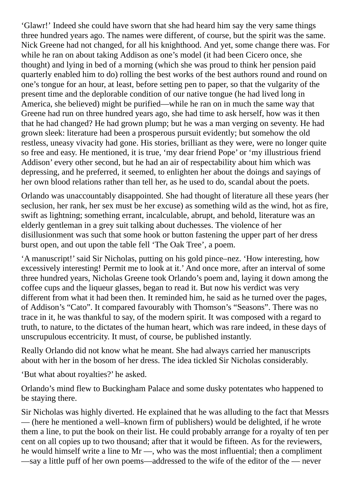'Glawr!' Indeed she could have sworn that she had heard him say the very same things three hundred years ago. The names were different, of course, but the spirit was the same. Nick Greene had not changed, for all his knighthood. And yet, some change there was. For while he ran on about taking Addison as one's model (it had been Cicero once, she thought) and lying in bed of a morning (which she was proud to think her pension paid quarterly enabled him to do) rolling the best works of the best authors round and round on one's tongue for an hour, at least, before setting pen to paper, so that the vulgarity of the present time and the deplorable condition of our native tongue (he had lived long in America, she believed) might be purified—while he ran on in much the same way that Greene had run on three hundred years ago, she had time to ask herself, how was it then that he had changed? He had grown plump; but he was a man verging on seventy. He had grown sleek: literature had been a prosperous pursuit evidently; but somehow the old restless, uneasy vivacity had gone. His stories, brilliant as they were, were no longer quite so free and easy. He mentioned, it is true, 'my dear friend Pope' or 'my illustrious friend Addison' every other second, but he had an air of respectability about him which was depressing, and he preferred, it seemed, to enlighten her about the doings and sayings of her own blood relations rather than tell her, as he used to do, scandal about the poets.

Orlando was unaccountably disappointed. She had thought of literature all these years (her seclusion, her rank, her sex must be her excuse) as something wild as the wind, hot as fire, swift as lightning; something errant, incalculable, abrupt, and behold, literature was an elderly gentleman in a grey suit talking about duchesses. The violence of her disillusionment was such that some hook or button fastening the upper part of her dress burst open, and out upon the table fell 'The Oak Tree', a poem.

'A manuscript!'said Sir Nicholas, putting on his gold pince–nez. 'How interesting, how excessively interesting! Permit me to look at it.' And once more, after an interval of some three hundred years, Nicholas Greene took Orlando's poem and, laying it down among the coffee cups and the liqueur glasses, began to read it. But now his verdict was very different from what it had been then. It reminded him, he said as he turned over the pages, of Addison's "Cato". It compared favourably with Thomson's "Seasons". There was no trace in it, he was thankful to say, of the modern spirit. It was composed with a regard to truth, to nature, to the dictates of the human heart, which was rare indeed, in these days of unscrupulous eccentricity. It must, of course, be published instantly.

Really Orlando did not know what he meant. She had always carried her manuscripts about with her in the bosom of her dress. The idea tickled Sir Nicholas considerably.

'But what about royalties?' he asked.

Orlando's mind flew to Buckingham Palace and some dusky potentates who happened to be staying there.

Sir Nicholas was highly diverted. He explained that he was alluding to the fact that Messrs — (here he mentioned a well–known firm of publishers) would be delighted, if he wrote them a line, to put the book on their list. He could probably arrange for a royalty of ten per cent on all copies up to two thousand; after that it would be fifteen. As for the reviewers, he would himself write a line to Mr —, who was the most influential; then a compliment —say a little puff of her own poems—addressed to the wife of the editor of the — never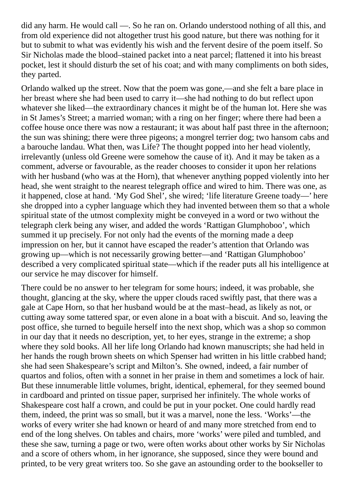did any harm. He would call —. So he ran on. Orlando understood nothing of all this, and from old experience did not altogether trust his good nature, but there was nothing for it but to submit to what was evidently his wish and the fervent desire of the poem itself. So Sir Nicholas made the blood–stained packet into a neat parcel; flattened it into his breast pocket, lest it should disturb the set of his coat; and with many compliments on both sides, they parted.

Orlando walked up the street. Now that the poem was gone,—and she felt a bare place in her breast where she had been used to carry it—she had nothing to do but reflect upon whatever she liked—the extraordinary chances it might be of the human lot. Here she was in St James's Street; a married woman; with a ring on her finger; where there had been a coffee house once there was now a restaurant; it was about half past three in the afternoon; the sun was shining; there were three pigeons; a mongrel terrier dog; two hansom cabs and a barouche landau. What then, was Life? The thought popped into her head violently, irrelevantly (unless old Greene were somehow the cause of it). And it may be taken as a comment, adverse or favourable, as the reader chooses to consider it upon her relations with her husband (who was at the Horn), that whenever anything popped violently into her head, she went straight to the nearest telegraph office and wired to him. There was one, as it happened, close at hand. 'My God Shel', she wired; 'life literature Greene toady—' here she dropped into a cypher language which they had invented between them so that a whole spiritual state of the utmost complexity might be conveyed in a word or two without the telegraph clerk being any wiser, and added the words 'Rattigan Glumphoboo', which summed it up precisely. For not only had the events of the morning made a deep impression on her, but it cannot have escaped the reader's attention that Orlando was growing up—which is not necessarily growing better—and 'Rattigan Glumphoboo' described a very complicated spiritual state—which if the reader puts all his intelligence at our service he may discover for himself.

There could be no answer to her telegram for some hours; indeed, it was probable, she thought, glancing at the sky, where the upper clouds raced swiftly past, that there was a gale at Cape Horn, so that her husband would be at the mast–head, as likely as not, or cutting away some tattered spar, or even alone in a boat with a biscuit. And so, leaving the post office, she turned to beguile herself into the next shop, which was a shop so common in our day that it needs no description, yet, to her eyes, strange in the extreme; a shop where they sold books. All her life long Orlando had known manuscripts; she had held in her hands the rough brown sheets on which Spenser had written in his little crabbed hand; she had seen Shakespeare's script and Milton's. She owned, indeed, a fair number of quartos and folios, often with a sonnet in her praise in them and sometimes a lock of hair. But these innumerable little volumes, bright, identical, ephemeral, for they seemed bound in cardboard and printed on tissue paper, surprised her infinitely. The whole works of Shakespeare cost half a crown, and could be put in your pocket. One could hardly read them, indeed, the print was so small, but it was a marvel, none the less. 'Works'—the works of every writer she had known or heard of and many more stretched from end to end of the long shelves. On tables and chairs, more 'works' were piled and tumbled, and these she saw, turning a page or two, were often works about other works by Sir Nicholas and a score of others whom, in her ignorance, she supposed, since they were bound and printed, to be very great writers too. So she gave an astounding order to the bookseller to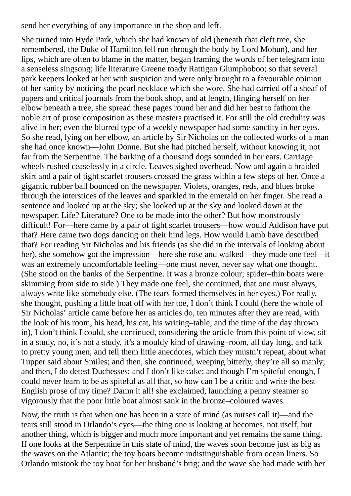send her everything of any importance in the shop and left.

She turned into Hyde Park, which she had known of old (beneath that cleft tree, she remembered, the Duke of Hamilton fell run through the body by Lord Mohun), and her lips, which are often to blame in the matter, began framing the words of her telegram into a senseless singsong; life literature Greene toady Rattigan Glumphoboo; so that several park keepers looked at her with suspicion and were only brought to a favourable opinion of her sanity by noticing the pearl necklace which she wore. She had carried off a sheaf of papers and critical journals from the book shop, and at length, flinging herself on her elbow beneath a tree, she spread these pages round her and did her best to fathom the noble art of prose composition as these masters practised it. For still the old credulity was alive in her; even the blurred type of a weekly newspaper had some sanctity in her eyes. So she read, lying on her elbow, an article by Sir Nicholas on the collected works of a man she had once known—John Donne. But she had pitched herself, without knowing it, not far from the Serpentine. The barking of a thousand dogs sounded in her ears. Carriage wheels rushed ceaselessly in a circle. Leaves sighed overhead. Now and again a braided skirt and a pair of tight scarlet trousers crossed the grass within a few steps of her. Once a gigantic rubber ball bounced on the newspaper. Violets, oranges, reds, and blues broke through the interstices of the leaves and sparkled in the emerald on her finger. She read a sentence and looked up at the sky; she looked up at the sky and looked down at the newspaper. Life? Literature? One to be made into the other? But how monstrously difficult! For—here came by a pair of tight scarlet trousers—how would Addison have put that? Here came two dogs dancing on their hind legs. How would Lamb have described that? For reading Sir Nicholas and his friends (as she did in the intervals of looking about her), she somehow got the impression—here she rose and walked—they made one feel—it was an extremely uncomfortable feeling—one must never, never say what one thought. (She stood on the banks of the Serpentine. It was a bronze colour; spider–thin boats were skimming from side to side.) They made one feel, she continued, that one must always, always write like somebody else. (The tears formed themselves in her eyes.) For really, she thought, pushing a little boat off with her toe, I don't think I could (here the whole of Sir Nicholas' article came before her as articles do, ten minutes after they are read, with the look of his room, his head, his cat, his writing–table, and the time of the day thrown in), I don't think I could, she continued, considering the article from this point of view, sit in a study, no, it's not a study, it's a mouldy kind of drawing–room, all day long, and talk to pretty young men, and tell them little anecdotes, which they mustn't repeat, about what Tupper said about Smiles; and then, she continued, weeping bitterly, they're all so manly; and then, I do detest Duchesses; and I don't like cake; and though I'm spiteful enough, I could never learn to be as spiteful as all that, so how can I be a critic and write the best English prose of my time? Damn it all! she exclaimed, launching a penny steamer so vigorously that the poor little boat almost sank in the bronze–coloured waves.

Now, the truth is that when one has been in a state of mind (as nurses call it)—and the tears still stood in Orlando's eyes—the thing one is looking at becomes, not itself, but another thing, which is bigger and much more important and yet remains the same thing. If one looks at the Serpentine in this state of mind, the waves soon become just as big as the waves on the Atlantic; the toy boats become indistinguishable from ocean liners. So Orlando mistook the toy boat for her husband's brig; and the wave she had made with her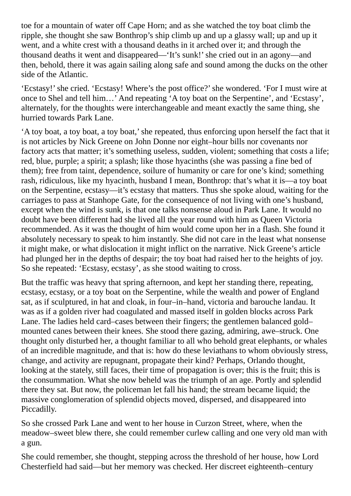toe for a mountain of water off Cape Horn; and as she watched the toy boat climb the ripple, she thought she saw Bonthrop's ship climb up and up a glassy wall; up and up it went, and a white crest with a thousand deaths in it arched over it; and through the thousand deaths it went and disappeared—'It's sunk!'she cried out in an agony—and then, behold, there it was again sailing along safe and sound among the ducks on the other side of the Atlantic.

'Ecstasy!'she cried. 'Ecstasy! Where's the post office?'she wondered. 'For I must wire at once to Shel and tell him…' And repeating 'A toy boat on the Serpentine', and 'Ecstasy', alternately, for the thoughts were interchangeable and meant exactly the same thing, she hurried towards Park Lane.

'A toy boat, a toy boat, a toy boat,'she repeated, thus enforcing upon herself the fact that it is not articles by Nick Greene on John Donne nor eight–hour bills nor covenants nor factory acts that matter; it's something useless, sudden, violent; something that costs a life; red, blue, purple; a spirit; a splash; like those hyacinths (she was passing a fine bed of them); free from taint, dependence, soilure of humanity or care for one's kind; something rash, ridiculous, like my hyacinth, husband I mean, Bonthrop: that's what it is—a toy boat on the Serpentine, ecstasy—it's ecstasy that matters. Thus she spoke aloud, waiting for the carriages to pass at Stanhope Gate, for the consequence of not living with one's husband, except when the wind is sunk, is that one talks nonsense aloud in Park Lane. It would no doubt have been different had she lived all the year round with him as Queen Victoria recommended. As it was the thought of him would come upon her in a flash. She found it absolutely necessary to speak to him instantly. She did not care in the least what nonsense it might make, or what dislocation it might inflict on the narrative. Nick Greene's article had plunged her in the depths of despair; the toy boat had raised her to the heights of joy. So she repeated: 'Ecstasy, ecstasy', as she stood waiting to cross.

But the traffic was heavy that spring afternoon, and kept her standing there, repeating, ecstasy, ecstasy, or a toy boat on the Serpentine, while the wealth and power of England sat, as if sculptured, in hat and cloak, in four–in–hand, victoria and barouche landau. It was as if a golden river had coagulated and massed itself in golden blocks across Park Lane. The ladies held card–cases between their fingers; the gentlemen balanced gold– mounted canes between their knees. She stood there gazing, admiring, awe–struck. One thought only disturbed her, a thought familiar to all who behold great elephants, or whales of an incredible magnitude, and that is: how do these leviathans to whom obviously stress, change, and activity are repugnant, propagate their kind? Perhaps, Orlando thought, looking at the stately, still faces, their time of propagation is over; this is the fruit; this is the consummation. What she now beheld was the triumph of an age. Portly and splendid there they sat. But now, the policeman let fall his hand; the stream became liquid; the massive conglomeration of splendid objects moved, dispersed, and disappeared into Piccadilly.

So she crossed Park Lane and went to her house in Curzon Street, where, when the meadow–sweet blew there, she could remember curlew calling and one very old man with a gun.

She could remember, she thought, stepping across the threshold of her house, how Lord Chesterfield had said—but her memory was checked. Her discreet eighteenth–century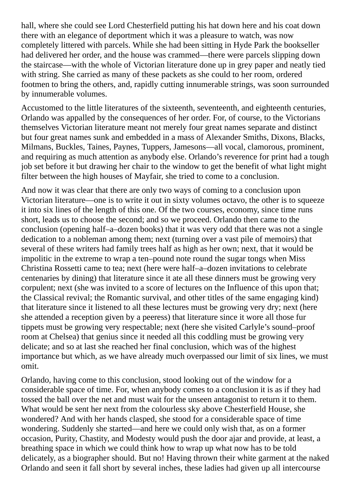hall, where she could see Lord Chesterfield putting his hat down here and his coat down there with an elegance of deportment which it was a pleasure to watch, was now completely littered with parcels. While she had been sitting in Hyde Park the bookseller had delivered her order, and the house was crammed—there were parcels slipping down the staircase—with the whole of Victorian literature done up in grey paper and neatly tied with string. She carried as many of these packets as she could to her room, ordered footmen to bring the others, and, rapidly cutting innumerable strings, was soon surrounded by innumerable volumes.

Accustomed to the little literatures of the sixteenth, seventeenth, and eighteenth centuries, Orlando was appalled by the consequences of her order. For, of course, to the Victorians themselves Victorian literature meant not merely four great names separate and distinct but four great names sunk and embedded in a mass of Alexander Smiths, Dixons, Blacks, Milmans, Buckles, Taines, Paynes, Tuppers, Jamesons—all vocal, clamorous, prominent, and requiring as much attention as anybody else. Orlando's reverence for print had a tough job set before it but drawing her chair to the window to get the benefit of what light might filter between the high houses of Mayfair, she tried to come to a conclusion.

And now it was clear that there are only two ways of coming to a conclusion upon Victorian literature—one is to write it out in sixty volumes octavo, the other is to squeeze it into six lines of the length of this one. Of the two courses, economy, since time runs short, leads us to choose the second; and so we proceed. Orlando then came to the conclusion (opening half–a–dozen books) that it was very odd that there was not a single dedication to a nobleman among them; next (turning over a vast pile of memoirs) that several of these writers had family trees half as high as her own; next, that it would be impolitic in the extreme to wrap a ten–pound note round the sugar tongs when Miss Christina Rossetti came to tea; next (here were half–a–dozen invitations to celebrate centenaries by dining) that literature since it ate all these dinners must be growing very corpulent; next (she was invited to a score of lectures on the Influence of this upon that; the Classical revival; the Romantic survival, and other titles of the same engaging kind) that literature since it listened to all these lectures must be growing very dry; next (here she attended a reception given by a peeress) that literature since it wore all those fur tippets must be growing very respectable; next (here she visited Carlyle's sound–proof room at Chelsea) that genius since it needed all this coddling must be growing very delicate; and so at last she reached her final conclusion, which was of the highest importance but which, as we have already much overpassed our limit of six lines, we must omit.

Orlando, having come to this conclusion, stood looking out of the window for a considerable space of time. For, when anybody comes to a conclusion it is as if they had tossed the ball over the net and must wait for the unseen antagonist to return it to them. What would be sent her next from the colourless sky above Chesterfield House, she wondered? And with her hands clasped, she stood for a considerable space of time wondering. Suddenly she started—and here we could only wish that, as on a former occasion, Purity, Chastity, and Modesty would push the door ajar and provide, at least, a breathing space in which we could think how to wrap up what now has to be told delicately, as a biographer should. But no! Having thrown their white garment at the naked Orlando and seen it fall short by several inches, these ladies had given up all intercourse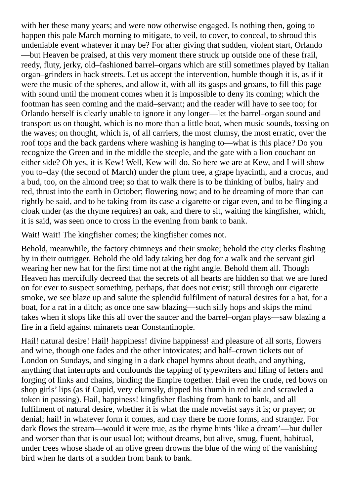with her these many years; and were now otherwise engaged. Is nothing then, going to happen this pale March morning to mitigate, to veil, to cover, to conceal, to shroud this undeniable event whatever it may be? For after giving that sudden, violent start, Orlando —but Heaven be praised, at this very moment there struck up outside one of these frail, reedy, fluty, jerky, old–fashioned barrel–organs which are still sometimes played by Italian organ–grinders in back streets. Let us accept the intervention, humble though it is, as if it were the music of the spheres, and allow it, with all its gasps and groans, to fill this page with sound until the moment comes when it is impossible to deny its coming; which the footman has seen coming and the maid–servant; and the reader will have to see too; for Orlando herself is clearly unable to ignore it any longer—let the barrel–organ sound and transport us on thought, which is no more than a little boat, when music sounds, tossing on the waves; on thought, which is, of all carriers, the most clumsy, the most erratic, over the roof tops and the back gardens where washing is hanging to—what is this place? Do you recognize the Green and in the middle the steeple, and the gate with a lion couchant on either side? Oh yes, it is Kew! Well, Kew will do. So here we are at Kew, and I will show you to–day (the second of March) under the plum tree, a grape hyacinth, and a crocus, and a bud, too, on the almond tree; so that to walk there is to be thinking of bulbs, hairy and red, thrust into the earth in October; flowering now; and to be dreaming of more than can rightly be said, and to be taking from its case a cigarette or cigar even, and to be flinging a cloak under (as the rhyme requires) an oak, and there to sit, waiting the kingfisher, which, it is said, was seen once to cross in the evening from bank to bank.

Wait! Wait! The kingfisher comes; the kingfisher comes not.

Behold, meanwhile, the factory chimneys and their smoke; behold the city clerks flashing by in their outrigger. Behold the old lady taking her dog for a walk and the servant girl wearing her new hat for the first time not at the right angle. Behold them all. Though Heaven has mercifully decreed that the secrets of all hearts are hidden so that we are lured on for ever to suspect something, perhaps, that does not exist; still through our cigarette smoke, we see blaze up and salute the splendid fulfilment of natural desires for a hat, for a boat, for a rat in a ditch; as once one saw blazing—such silly hops and skips the mind takes when it slops like this all over the saucer and the barrel–organ plays—saw blazing a fire in a field against minarets near Constantinople.

Hail! natural desire! Hail! happiness! divine happiness! and pleasure of all sorts, flowers and wine, though one fades and the other intoxicates; and half–crown tickets out of London on Sundays, and singing in a dark chapel hymns about death, and anything, anything that interrupts and confounds the tapping of typewriters and filing of letters and forging of links and chains, binding the Empire together. Hail even the crude, red bows on shop girls' lips (as if Cupid, very clumsily, dipped his thumb in red ink and scrawled a token in passing). Hail, happiness! kingfisher flashing from bank to bank, and all fulfilment of natural desire, whether it is what the male novelist says it is; or prayer; or denial; hail! in whatever form it comes, and may there be more forms, and stranger. For dark flows the stream—would it were true, as the rhyme hints 'like a dream'—but duller and worser than that is our usual lot; without dreams, but alive, smug, fluent, habitual, under trees whose shade of an olive green drowns the blue of the wing of the vanishing bird when he darts of a sudden from bank to bank.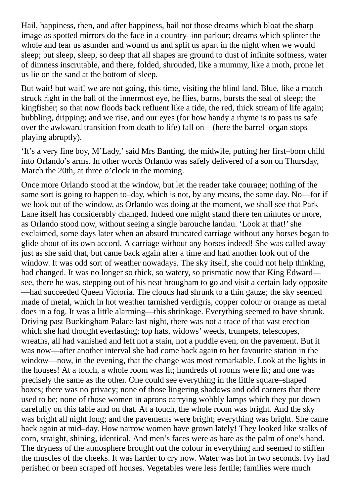Hail, happiness, then, and after happiness, hail not those dreams which bloat the sharp image as spotted mirrors do the face in a country–inn parlour; dreams which splinter the whole and tear us asunder and wound us and split us apart in the night when we would sleep; but sleep, sleep, so deep that all shapes are ground to dust of infinite softness, water of dimness inscrutable, and there, folded, shrouded, like a mummy, like a moth, prone let us lie on the sand at the bottom of sleep.

But wait! but wait! we are not going, this time, visiting the blind land. Blue, like a match struck right in the ball of the innermost eye, he flies, burns, bursts the seal of sleep; the kingfisher; so that now floods back refluent like a tide, the red, thick stream of life again; bubbling, dripping; and we rise, and our eyes (for how handy a rhyme is to pass us safe over the awkward transition from death to life) fall on—(here the barrel–organ stops playing abruptly).

'It's a very fine boy, M'Lady,'said Mrs Banting, the midwife, putting her first–born child into Orlando's arms. In other words Orlando was safely delivered of a son on Thursday, March the 20th, at three o'clock in the morning.

Once more Orlando stood at the window, but let the reader take courage; nothing of the same sort is going to happen to-day, which is not, by any means, the same day. No-for if we look out of the window, as Orlando was doing at the moment, we shall see that Park Lane itself has considerably changed. Indeed one might stand there ten minutes or more, as Orlando stood now, without seeing a single barouche landau. 'Look at that!'she exclaimed, some days later when an absurd truncated carriage without any horses began to glide about of its own accord. A carriage without any horses indeed! She was called away just as she said that, but came back again after a time and had another look out of the window. It was odd sort of weather nowadays. The sky itself, she could not help thinking, had changed. It was no longer so thick, so watery, so prismatic now that King Edward see, there he was, stepping out of his neat brougham to go and visit a certain lady opposite —had succeeded Queen Victoria. The clouds had shrunk to a thin gauze; the sky seemed made of metal, which in hot weather tarnished verdigris, copper colour or orange as metal does in a fog. It was a little alarming—this shrinkage. Everything seemed to have shrunk. Driving past Buckingham Palace last night, there was not a trace of that vast erection which she had thought everlasting; top hats, widows' weeds, trumpets, telescopes, wreaths, all had vanished and left not a stain, not a puddle even, on the pavement. But it was now—after another interval she had come back again to her favourite station in the window—now, in the evening, that the change was most remarkable. Look at the lights in the houses! At a touch, a whole room was lit; hundreds of rooms were lit; and one was precisely the same as the other. One could see everything in the little square–shaped boxes; there was no privacy; none of those lingering shadows and odd corners that there used to be; none of those women in aprons carrying wobbly lamps which they put down carefully on this table and on that. At a touch, the whole room was bright. And the sky was bright all night long; and the pavements were bright; everything was bright. She came back again at mid–day. How narrow women have grown lately! They looked like stalks of corn, straight, shining, identical. And men's faces were as bare as the palm of one's hand. The dryness of the atmosphere brought out the colour in everything and seemed to stiffen the muscles of the cheeks. It was harder to cry now. Water was hot in two seconds. Ivy had perished or been scraped off houses. Vegetables were less fertile; families were much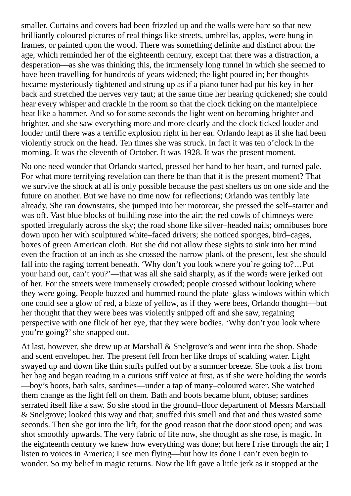smaller. Curtains and covers had been frizzled up and the walls were bare so that new brilliantly coloured pictures of real things like streets, umbrellas, apples, were hung in frames, or painted upon the wood. There was something definite and distinct about the age, which reminded her of the eighteenth century, except that there was a distraction, a desperation—as she was thinking this, the immensely long tunnel in which she seemed to have been travelling for hundreds of years widened; the light poured in; her thoughts became mysteriously tightened and strung up as if a piano tuner had put his key in her back and stretched the nerves very taut; at the same time her hearing quickened; she could hear every whisper and crackle in the room so that the clock ticking on the mantelpiece beat like a hammer. And so for some seconds the light went on becoming brighter and brighter, and she saw everything more and more clearly and the clock ticked louder and louder until there was a terrific explosion right in her ear. Orlando leapt as if she had been violently struck on the head. Ten times she was struck. In fact it was ten o'clock in the morning. It was the eleventh of October. It was 1928. It was the present moment.

No one need wonder that Orlando started, pressed her hand to her heart, and turned pale. For what more terrifying revelation can there be than that it is the present moment? That we survive the shock at all is only possible because the past shelters us on one side and the future on another. But we have no time now for reflections; Orlando was terribly late already. She ran downstairs, she jumped into her motorcar, she pressed the self–starter and was off. Vast blue blocks of building rose into the air; the red cowls of chimneys were spotted irregularly across the sky; the road shone like silver–headed nails; omnibuses bore down upon her with sculptured white–faced drivers; she noticed sponges, bird–cages, boxes of green American cloth. But she did not allow these sights to sink into her mind even the fraction of an inch as she crossed the narrow plank of the present, lest she should fall into the raging torrent beneath. 'Why don't you look where you're going to?…Put your hand out, can't you?'—that was all she said sharply, as if the words were jerked out of her. For the streets were immensely crowded; people crossed without looking where they were going. People buzzed and hummed round the plate–glass windows within which one could see a glow of red, a blaze of yellow, as if they were bees, Orlando thought—but her thought that they were bees was violently snipped off and she saw, regaining perspective with one flick of her eye, that they were bodies. 'Why don't you look where you're going?'she snapped out.

At last, however, she drew up at Marshall & Snelgrove's and went into the shop. Shade and scent enveloped her. The present fell from her like drops of scalding water. Light swayed up and down like thin stuffs puffed out by a summer breeze. She took a list from her bag and began reading in a curious stiff voice at first, as if she were holding the words —boy's boots, bath salts, sardines—under a tap of many–coloured water. She watched them change as the light fell on them. Bath and boots became blunt, obtuse; sardines serrated itself like a saw. So she stood in the ground–floor department of Messrs Marshall & Snelgrove; looked this way and that; snuffed this smell and that and thus wasted some seconds. Then she got into the lift, for the good reason that the door stood open; and was shot smoothly upwards. The very fabric of life now, she thought as she rose, is magic. In the eighteenth century we knew how everything was done; but here I rise through the air; I listen to voices in America; I see men flying—but how its done I can't even begin to wonder. So my belief in magic returns. Now the lift gave a little jerk as it stopped at the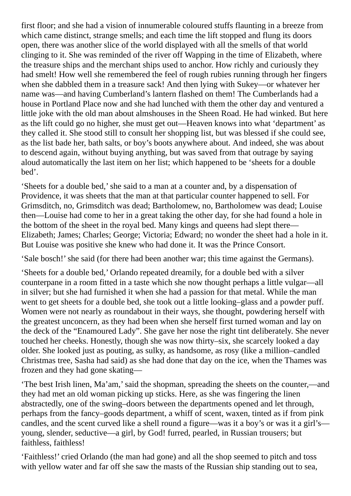first floor; and she had a vision of innumerable coloured stuffs flaunting in a breeze from which came distinct, strange smells; and each time the lift stopped and flung its doors open, there was another slice of the world displayed with all the smells of that world clinging to it. She was reminded of the river off Wapping in the time of Elizabeth, where the treasure ships and the merchant ships used to anchor. How richly and curiously they had smelt! How well she remembered the feel of rough rubies running through her fingers when she dabbled them in a treasure sack! And then lying with Sukey—or whatever her name was—and having Cumberland's lantern flashed on them! The Cumberlands had a house in Portland Place now and she had lunched with them the other day and ventured a little joke with the old man about almshouses in the Sheen Road. He had winked. But here as the lift could go no higher, she must get out—Heaven knows into what 'department' as they called it. She stood still to consult her shopping list, but was blessed if she could see, as the list bade her, bath salts, or boy's boots anywhere about. And indeed, she was about to descend again, without buying anything, but was saved from that outrage by saying aloud automatically the last item on her list; which happened to be 'sheets for a double bed'.

'Sheets for a double bed,'she said to a man at a counter and, by a dispensation of Providence, it was sheets that the man at that particular counter happened to sell. For Grimsditch, no, Grimsditch was dead; Bartholomew, no, Bartholomew was dead; Louise then—Louise had come to her in a great taking the other day, for she had found a hole in the bottom of the sheet in the royal bed. Many kings and queens had slept there— Elizabeth; James; Charles; George; Victoria; Edward; no wonder the sheet had a hole in it. But Louise was positive she knew who had done it. It was the Prince Consort.

'Sale bosch!' she said (for there had been another war; this time against the Germans).

'Sheets for a double bed,' Orlando repeated dreamily, for a double bed with a silver counterpane in a room fitted in a taste which she now thought perhaps a little vulgar—all in silver; but she had furnished it when she had a passion for that metal. While the man went to get sheets for a double bed, she took out a little looking–glass and a powder puff. Women were not nearly as roundabout in their ways, she thought, powdering herself with the greatest unconcern, as they had been when she herself first turned woman and lay on the deck of the "Enamoured Lady". She gave her nose the right tint deliberately. She never touched her cheeks. Honestly, though she was now thirty–six, she scarcely looked a day older. She looked just as pouting, as sulky, as handsome, as rosy (like a million–candled Christmas tree, Sasha had said) as she had done that day on the ice, when the Thames was frozen and they had gone skating—

'The best Irish linen, Ma'am,'said the shopman, spreading the sheets on the counter,—and they had met an old woman picking up sticks. Here, as she was fingering the linen abstractedly, one of the swing–doors between the departments opened and let through, perhaps from the fancy–goods department, a whiff of scent, waxen, tinted as if from pink candles, and the scent curved like a shell round a figure—was it a boy's or was it a girl's young, slender, seductive—a girl, by God! furred, pearled, in Russian trousers; but faithless, faithless!

'Faithless!' cried Orlando (the man had gone) and all the shop seemed to pitch and toss with yellow water and far off she saw the masts of the Russian ship standing out to sea,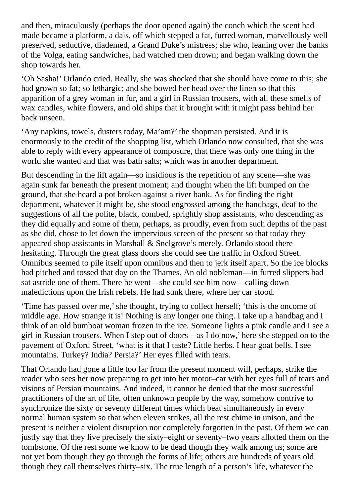and then, miraculously (perhaps the door opened again) the conch which the scent had made became a platform, a dais, off which stepped a fat, furred woman, marvellously well preserved, seductive, diademed, a Grand Duke's mistress; she who, leaning over the banks of the Volga, eating sandwiches, had watched men drown; and began walking down the shop towards her.

'Oh Sasha!' Orlando cried. Really, she was shocked that she should have come to this; she had grown so fat; so lethargic; and she bowed her head over the linen so that this apparition of a grey woman in fur, and a girl in Russian trousers, with all these smells of wax candles, white flowers, and old ships that it brought with it might pass behind her back unseen.

'Any napkins, towels, dusters today, Ma'am?' the shopman persisted. And it is enormously to the credit of the shopping list, which Orlando now consulted, that she was able to reply with every appearance of composure, that there was only one thing in the world she wanted and that was bath salts; which was in another department.

But descending in the lift again—so insidious is the repetition of any scene—she was again sunk far beneath the present moment; and thought when the lift bumped on the ground, that she heard a pot broken against a river bank. As for finding the right department, whatever it might be, she stood engrossed among the handbags, deaf to the suggestions of all the polite, black, combed, sprightly shop assistants, who descending as they did equally and some of them, perhaps, as proudly, even from such depths of the past as she did, chose to let down the impervious screen of the present so that today they appeared shop assistants in Marshall & Snelgrove's merely. Orlando stood there hesitating. Through the great glass doors she could see the traffic in Oxford Street. Omnibus seemed to pile itself upon omnibus and then to jerk itself apart. So the ice blocks had pitched and tossed that day on the Thames. An old nobleman—in furred slippers had sat astride one of them. There he went—she could see him now—calling down maledictions upon the Irish rebels. He had sunk there, where her car stood.

'Time has passed over me,'she thought, trying to collect herself; 'this is the oncome of middle age. How strange it is! Nothing is any longer one thing. I take up a handbag and I think of an old bumboat woman frozen in the ice. Someone lights a pink candle and I see a girl in Russian trousers. When I step out of doors—as I do now,' here she stepped on to the pavement of Oxford Street, 'what is it that I taste? Little herbs. I hear goat bells. I see mountains. Turkey? India? Persia?' Her eyes filled with tears.

That Orlando had gone a little too far from the present moment will, perhaps, strike the reader who sees her now preparing to get into her motor–car with her eyes full of tears and visions of Persian mountains. And indeed, it cannot be denied that the most successful practitioners of the art of life, often unknown people by the way, somehow contrive to synchronize the sixty or seventy different times which beat simultaneously in every normal human system so that when eleven strikes, all the rest chime in unison, and the present is neither a violent disruption nor completely forgotten in the past. Of them we can justly say that they live precisely the sixty–eight or seventy–two years allotted them on the tombstone. Of the rest some we know to be dead though they walk among us; some are not yet born though they go through the forms of life; others are hundreds of years old though they call themselves thirty–six. The true length of a person's life, whatever the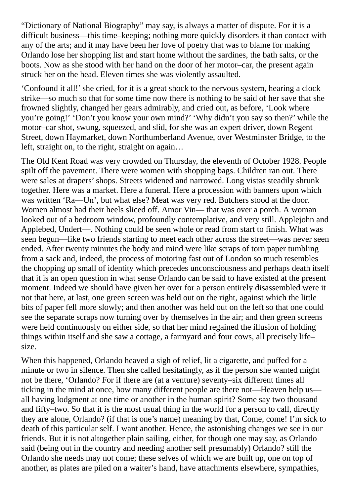"Dictionary of National Biography" may say, is always a matter of dispute. For it is a difficult business—this time–keeping; nothing more quickly disorders it than contact with any of the arts; and it may have been her love of poetry that was to blame for making Orlando lose her shopping list and start home without the sardines, the bath salts, or the boots. Now as she stood with her hand on the door of her motor–car, the present again struck her on the head. Eleven times she was violently assaulted.

'Confound it all!'she cried, for it is a great shock to the nervous system, hearing a clock strike—so much so that for some time now there is nothing to be said of her save that she frowned slightly, changed her gears admirably, and cried out, as before, 'Look where you're going!' 'Don't you know your own mind?' 'Why didn't you say so then?' while the motor–car shot, swung, squeezed, and slid, for she was an expert driver, down Regent Street, down Haymarket, down Northumberland Avenue, over Westminster Bridge, to the left, straight on, to the right, straight on again…

The Old Kent Road was very crowded on Thursday, the eleventh of October 1928. People spilt off the pavement. There were women with shopping bags. Children ran out. There were sales at drapers'shops. Streets widened and narrowed. Long vistas steadily shrunk together. Here was a market. Here a funeral. Here a procession with banners upon which was written 'Ra—Un', but what else? Meat was very red. Butchers stood at the door. Women almost had their heels sliced off. Amor Vin— that was over a porch. A woman looked out of a bedroom window, profoundly contemplative, and very still. Applejohn and Applebed, Undert—. Nothing could be seen whole or read from start to finish. What was seen begun—like two friends starting to meet each other across the street—was never seen ended. After twenty minutes the body and mind were like scraps of torn paper tumbling from a sack and, indeed, the process of motoring fast out of London so much resembles the chopping up small of identity which precedes unconsciousness and perhaps death itself that it is an open question in what sense Orlando can be said to have existed at the present moment. Indeed we should have given her over for a person entirely disassembled were it not that here, at last, one green screen was held out on the right, against which the little bits of paper fell more slowly; and then another was held out on the left so that one could see the separate scraps now turning over by themselves in the air; and then green screens were held continuously on either side, so that her mind regained the illusion of holding things within itself and she saw a cottage, a farmyard and four cows, all precisely life– size.

When this happened, Orlando heaved a sigh of relief, lit a cigarette, and puffed for a minute or two in silence. Then she called hesitatingly, as if the person she wanted might not be there, 'Orlando? For if there are (at a venture) seventy–six different times all ticking in the mind at once, how many different people are there not—Heaven help us all having lodgment at one time or another in the human spirit? Some say two thousand and fifty–two. So that it is the most usual thing in the world for a person to call, directly they are alone, Orlando? (if that is one's name) meaning by that, Come, come! I'm sick to death of this particular self. I want another. Hence, the astonishing changes we see in our friends. But it is not altogether plain sailing, either, for though one may say, as Orlando said (being out in the country and needing another self presumably) Orlando? still the Orlando she needs may not come; these selves of which we are built up, one on top of another, as plates are piled on a waiter's hand, have attachments elsewhere, sympathies,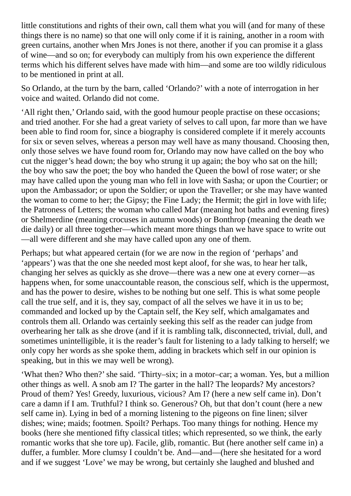little constitutions and rights of their own, call them what you will (and for many of these things there is no name) so that one will only come if it is raining, another in a room with green curtains, another when Mrs Jones is not there, another if you can promise it a glass of wine—and so on; for everybody can multiply from his own experience the different terms which his different selves have made with him—and some are too wildly ridiculous to be mentioned in print at all.

So Orlando, at the turn by the barn, called 'Orlando?' with a note of interrogation in her voice and waited. Orlando did not come.

'All right then,' Orlando said, with the good humour people practise on these occasions; and tried another. For she had a great variety of selves to call upon, far more than we have been able to find room for, since a biography is considered complete if it merely accounts for six or seven selves, whereas a person may well have as many thousand. Choosing then, only those selves we have found room for, Orlando may now have called on the boy who cut the nigger's head down; the boy who strung it up again; the boy who sat on the hill; the boy who saw the poet; the boy who handed the Queen the bowl of rose water; or she may have called upon the young man who fell in love with Sasha; or upon the Courtier; or upon the Ambassador; or upon the Soldier; or upon the Traveller; or she may have wanted the woman to come to her; the Gipsy; the Fine Lady; the Hermit; the girl in love with life; the Patroness of Letters; the woman who called Mar (meaning hot baths and evening fires) or Shelmerdine (meaning crocuses in autumn woods) or Bonthrop (meaning the death we die daily) or all three together—which meant more things than we have space to write out —all were different and she may have called upon any one of them.

Perhaps; but what appeared certain (for we are now in the region of 'perhaps' and 'appears') was that the one she needed most kept aloof, for she was, to hear her talk, changing her selves as quickly as she drove—there was a new one at every corner—as happens when, for some unaccountable reason, the conscious self, which is the uppermost, and has the power to desire, wishes to be nothing but one self. This is what some people call the true self, and it is, they say, compact of all the selves we have it in us to be; commanded and locked up by the Captain self, the Key self, which amalgamates and controls them all. Orlando was certainly seeking this self as the reader can judge from overhearing her talk as she drove (and if it is rambling talk, disconnected, trivial, dull, and sometimes unintelligible, it is the reader's fault for listening to a lady talking to herself; we only copy her words as she spoke them, adding in brackets which self in our opinion is speaking, but in this we may well be wrong).

'What then? Who then?'she said. 'Thirty–six; in a motor–car; a woman. Yes, but a million other things as well. A snob am I? The garter in the hall? The leopards? My ancestors? Proud of them? Yes! Greedy, luxurious, vicious? Am I? (here a new self came in). Don't care a damn if I am. Truthful? I think so. Generous? Oh, but that don't count (here a new self came in). Lying in bed of a morning listening to the pigeons on fine linen; silver dishes; wine; maids; footmen. Spoilt? Perhaps. Too many things for nothing. Hence my books (here she mentioned fifty classical titles; which represented, so we think, the early romantic works that she tore up). Facile, glib, romantic. But (here another self came in) a duffer, a fumbler. More clumsy I couldn't be. And—and—(here she hesitated for a word and if we suggest 'Love' we may be wrong, but certainly she laughed and blushed and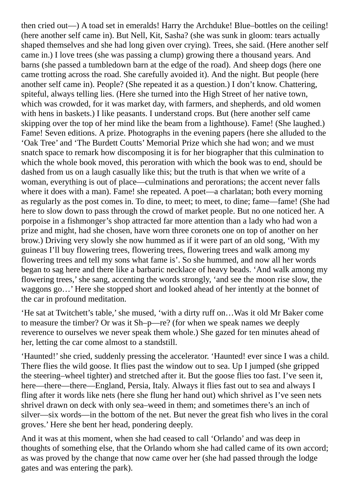then cried out—) A toad set in emeralds! Harry the Archduke! Blue–bottles on the ceiling! (here another self came in). But Nell, Kit, Sasha? (she was sunk in gloom: tears actually shaped themselves and she had long given over crying). Trees, she said. (Here another self came in.) I love trees (she was passing a clump) growing there a thousand years. And barns (she passed a tumbledown barn at the edge of the road). And sheep dogs (here one came trotting across the road. She carefully avoided it). And the night. But people (here another self came in). People? (She repeated it as a question.) I don't know. Chattering, spiteful, always telling lies. (Here she turned into the High Street of her native town, which was crowded, for it was market day, with farmers, and shepherds, and old women with hens in baskets.) I like peasants. I understand crops. But (here another self came skipping over the top of her mind like the beam from a lighthouse). Fame! (She laughed.) Fame! Seven editions. A prize. Photographs in the evening papers (here she alluded to the 'Oak Tree' and 'The Burdett Coutts' Memorial Prize which she had won; and we must snatch space to remark how discomposing it is for her biographer that this culmination to which the whole book moved, this peroration with which the book was to end, should be dashed from us on a laugh casually like this; but the truth is that when we write of a woman, everything is out of place—culminations and perorations; the accent never falls where it does with a man). Fame! she repeated. A poet—a charlatan; both every morning as regularly as the post comes in. To dine, to meet; to meet, to dine; fame—fame! (She had here to slow down to pass through the crowd of market people. But no one noticed her. A porpoise in a fishmonger's shop attracted far more attention than a lady who had won a prize and might, had she chosen, have worn three coronets one on top of another on her brow.) Driving very slowly she now hummed as if it were part of an old song, 'With my guineas I'll buy flowering trees, flowering trees, flowering trees and walk among my flowering trees and tell my sons what fame is'. So she hummed, and now all her words began to sag here and there like a barbaric necklace of heavy beads. 'And walk among my flowering trees,'she sang, accenting the words strongly, 'and see the moon rise slow, the waggons go…' Here she stopped short and looked ahead of her intently at the bonnet of the car in profound meditation.

'He sat at Twitchett's table,' she mused, 'with a dirty ruff on...Was it old Mr Baker come to measure the timber? Or was it Sh–p—re? (for when we speak names we deeply reverence to ourselves we never speak them whole.) She gazed for ten minutes ahead of her, letting the car come almost to a standstill.

'Haunted!'she cried, suddenly pressing the accelerator. 'Haunted! ever since I was a child. There flies the wild goose. It flies past the window out to sea. Up I jumped (she gripped the steering–wheel tighter) and stretched after it. But the goose flies too fast. I've seen it, here—there—there—England, Persia, Italy. Always it flies fast out to sea and always I fling after it words like nets (here she flung her hand out) which shrivel as I've seen nets shrivel drawn on deck with only sea–weed in them; and sometimes there's an inch of silver—six words—in the bottom of the net. But never the great fish who lives in the coral groves.' Here she bent her head, pondering deeply.

And it was at this moment, when she had ceased to call 'Orlando' and was deep in thoughts of something else, that the Orlando whom she had called came of its own accord; as was proved by the change that now came over her (she had passed through the lodge gates and was entering the park).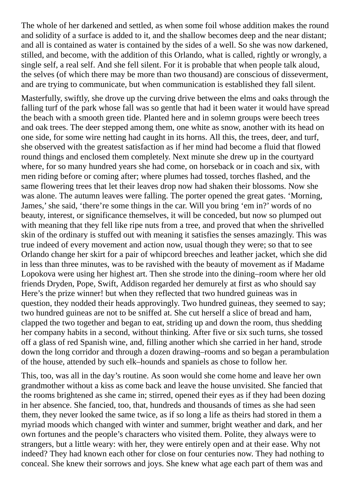The whole of her darkened and settled, as when some foil whose addition makes the round and solidity of a surface is added to it, and the shallow becomes deep and the near distant; and all is contained as water is contained by the sides of a well. So she was now darkened, stilled, and become, with the addition of this Orlando, what is called, rightly or wrongly, a single self, a real self. And she fell silent. For it is probable that when people talk aloud, the selves (of which there may be more than two thousand) are conscious of disseverment, and are trying to communicate, but when communication is established they fall silent.

Masterfully, swiftly, she drove up the curving drive between the elms and oaks through the falling turf of the park whose fall was so gentle that had it been water it would have spread the beach with a smooth green tide. Planted here and in solemn groups were beech trees and oak trees. The deer stepped among them, one white as snow, another with its head on one side, for some wire netting had caught in its horns. All this, the trees, deer, and turf, she observed with the greatest satisfaction as if her mind had become a fluid that flowed round things and enclosed them completely. Next minute she drew up in the courtyard where, for so many hundred years she had come, on horseback or in coach and six, with men riding before or coming after; where plumes had tossed, torches flashed, and the same flowering trees that let their leaves drop now had shaken their blossoms. Now she was alone. The autumn leaves were falling. The porter opened the great gates. 'Morning, James,' she said, 'there're some things in the car. Will you bring 'em in?' words of no beauty, interest, or significance themselves, it will be conceded, but now so plumped out with meaning that they fell like ripe nuts from a tree, and proved that when the shrivelled skin of the ordinary is stuffed out with meaning it satisfies the senses amazingly. This was true indeed of every movement and action now, usual though they were; so that to see Orlando change her skirt for a pair of whipcord breeches and leather jacket, which she did in less than three minutes, was to be ravished with the beauty of movement as if Madame Lopokova were using her highest art. Then she strode into the dining–room where her old friends Dryden, Pope, Swift, Addison regarded her demurely at first as who should say Here's the prize winner! but when they reflected that two hundred guineas was in question, they nodded their heads approvingly. Two hundred guineas, they seemed to say; two hundred guineas are not to be sniffed at. She cut herself a slice of bread and ham, clapped the two together and began to eat, striding up and down the room, thus shedding her company habits in a second, without thinking. After five or six such turns, she tossed off a glass of red Spanish wine, and, filling another which she carried in her hand, strode down the long corridor and through a dozen drawing–rooms and so began a perambulation of the house, attended by such elk–hounds and spaniels as chose to follow her.

This, too, was all in the day's routine. As soon would she come home and leave her own grandmother without a kiss as come back and leave the house unvisited. She fancied that the rooms brightened as she came in; stirred, opened their eyes as if they had been dozing in her absence. She fancied, too, that, hundreds and thousands of times as she had seen them, they never looked the same twice, as if so long a life as theirs had stored in them a myriad moods which changed with winter and summer, bright weather and dark, and her own fortunes and the people's characters who visited them. Polite, they always were to strangers, but a little weary: with her, they were entirely open and at their ease. Why not indeed? They had known each other for close on four centuries now. They had nothing to conceal. She knew their sorrows and joys. She knew what age each part of them was and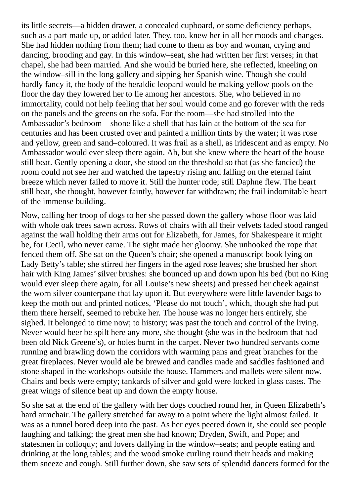its little secrets—a hidden drawer, a concealed cupboard, or some deficiency perhaps, such as a part made up, or added later. They, too, knew her in all her moods and changes. She had hidden nothing from them; had come to them as boy and woman, crying and dancing, brooding and gay. In this window–seat, she had written her first verses; in that chapel, she had been married. And she would be buried here, she reflected, kneeling on the window–sill in the long gallery and sipping her Spanish wine. Though she could hardly fancy it, the body of the heraldic leopard would be making yellow pools on the floor the day they lowered her to lie among her ancestors. She, who believed in no immortality, could not help feeling that her soul would come and go forever with the reds on the panels and the greens on the sofa. For the room—she had strolled into the Ambassador's bedroom—shone like a shell that has lain at the bottom of the sea for centuries and has been crusted over and painted a million tints by the water; it was rose and yellow, green and sand–coloured. It was frail as a shell, as iridescent and as empty. No Ambassador would ever sleep there again. Ah, but she knew where the heart of the house still beat. Gently opening a door, she stood on the threshold so that (as she fancied) the room could not see her and watched the tapestry rising and falling on the eternal faint breeze which never failed to move it. Still the hunter rode; still Daphne flew. The heart still beat, she thought, however faintly, however far withdrawn; the frail indomitable heart of the immense building.

Now, calling her troop of dogs to her she passed down the gallery whose floor was laid with whole oak trees sawn across. Rows of chairs with all their velvets faded stood ranged against the wall holding their arms out for Elizabeth, for James, for Shakespeare it might be, for Cecil, who never came. The sight made her gloomy. She unhooked the rope that fenced them off. She sat on the Queen's chair; she opened a manuscript book lying on Lady Betty's table; she stirred her fingers in the aged rose leaves; she brushed her short hair with King James'silver brushes: she bounced up and down upon his bed (but no King would ever sleep there again, for all Louise's new sheets) and pressed her cheek against the worn silver counterpane that lay upon it. But everywhere were little lavender bags to keep the moth out and printed notices, 'Please do not touch', which, though she had put them there herself, seemed to rebuke her. The house was no longer hers entirely, she sighed. It belonged to time now; to history; was past the touch and control of the living. Never would beer be spilt here any more, she thought (she was in the bedroom that had been old Nick Greene's), or holes burnt in the carpet. Never two hundred servants come running and brawling down the corridors with warming pans and great branches for the great fireplaces. Never would ale be brewed and candles made and saddles fashioned and stone shaped in the workshops outside the house. Hammers and mallets were silent now. Chairs and beds were empty; tankards of silver and gold were locked in glass cases. The great wings of silence beat up and down the empty house.

So she sat at the end of the gallery with her dogs couched round her, in Queen Elizabeth's hard armchair. The gallery stretched far away to a point where the light almost failed. It was as a tunnel bored deep into the past. As her eyes peered down it, she could see people laughing and talking; the great men she had known; Dryden, Swift, and Pope; and statesmen in colloquy; and lovers dallying in the window–seats; and people eating and drinking at the long tables; and the wood smoke curling round their heads and making them sneeze and cough. Still further down, she saw sets of splendid dancers formed for the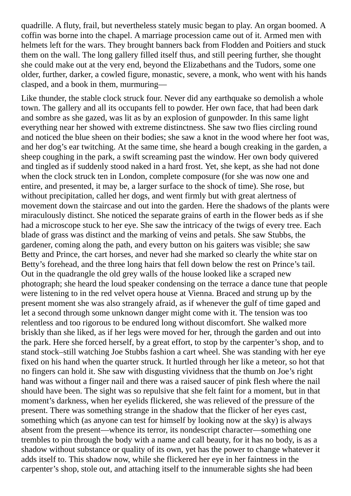quadrille. A fluty, frail, but nevertheless stately music began to play. An organ boomed. A coffin was borne into the chapel. A marriage procession came out of it. Armed men with helmets left for the wars. They brought banners back from Flodden and Poitiers and stuck them on the wall. The long gallery filled itself thus, and still peering further, she thought she could make out at the very end, beyond the Elizabethans and the Tudors, some one older, further, darker, a cowled figure, monastic, severe, a monk, who went with his hands clasped, and a book in them, murmuring—

Like thunder, the stable clock struck four. Never did any earthquake so demolish a whole town. The gallery and all its occupants fell to powder. Her own face, that had been dark and sombre as she gazed, was lit as by an explosion of gunpowder. In this same light everything near her showed with extreme distinctness. She saw two flies circling round and noticed the blue sheen on their bodies; she saw a knot in the wood where her foot was, and her dog's ear twitching. At the same time, she heard a bough creaking in the garden, a sheep coughing in the park, a swift screaming past the window. Her own body quivered and tingled as if suddenly stood naked in a hard frost. Yet, she kept, as she had not done when the clock struck ten in London, complete composure (for she was now one and entire, and presented, it may be, a larger surface to the shock of time). She rose, but without precipitation, called her dogs, and went firmly but with great alertness of movement down the staircase and out into the garden. Here the shadows of the plants were miraculously distinct. She noticed the separate grains of earth in the flower beds as if she had a microscope stuck to her eye. She saw the intricacy of the twigs of every tree. Each blade of grass was distinct and the marking of veins and petals. She saw Stubbs, the gardener, coming along the path, and every button on his gaiters was visible; she saw Betty and Prince, the cart horses, and never had she marked so clearly the white star on Betty's forehead, and the three long hairs that fell down below the rest on Prince's tail. Out in the quadrangle the old grey walls of the house looked like a scraped new photograph; she heard the loud speaker condensing on the terrace a dance tune that people were listening to in the red velvet opera house at Vienna. Braced and strung up by the present moment she was also strangely afraid, as if whenever the gulf of time gaped and let a second through some unknown danger might come with it. The tension was too relentless and too rigorous to be endured long without discomfort. She walked more briskly than she liked, as if her legs were moved for her, through the garden and out into the park. Here she forced herself, by a great effort, to stop by the carpenter's shop, and to stand stock–still watching Joe Stubbs fashion a cart wheel. She was standing with her eye fixed on his hand when the quarter struck. It hurtled through her like a meteor, so hot that no fingers can hold it. She saw with disgusting vividness that the thumb on Joe's right hand was without a finger nail and there was a raised saucer of pink flesh where the nail should have been. The sight was so repulsive that she felt faint for a moment, but in that moment's darkness, when her eyelids flickered, she was relieved of the pressure of the present. There was something strange in the shadow that the flicker of her eyes cast, something which (as anyone can test for himself by looking now at the sky) is always absent from the present—whence its terror, its nondescript character—something one trembles to pin through the body with a name and call beauty, for it has no body, is as a shadow without substance or quality of its own, yet has the power to change whatever it adds itself to. This shadow now, while she flickered her eye in her faintness in the carpenter's shop, stole out, and attaching itself to the innumerable sights she had been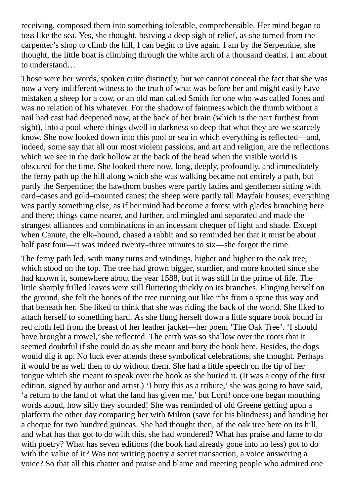receiving, composed them into something tolerable, comprehensible. Her mind began to toss like the sea. Yes, she thought, heaving a deep sigh of relief, as she turned from the carpenter's shop to climb the hill, I can begin to live again. I am by the Serpentine, she thought, the little boat is climbing through the white arch of a thousand deaths. I am about to understand…

Those were her words, spoken quite distinctly, but we cannot conceal the fact that she was now a very indifferent witness to the truth of what was before her and might easily have mistaken a sheep for a cow, or an old man called Smith for one who was called Jones and was no relation of his whatever. For the shadow of faintness which the thumb without a nail had cast had deepened now, at the back of her brain (which is the part furthest from sight), into a pool where things dwell in darkness so deep that what they are we scarcely know. She now looked down into this pool or sea in which everything is reflected—and, indeed, some say that all our most violent passions, and art and religion, are the reflections which we see in the dark hollow at the back of the head when the visible world is obscured for the time. She looked there now, long, deeply, profoundly, and immediately the ferny path up the hill along which she was walking became not entirely a path, but partly the Serpentine; the hawthorn bushes were partly ladies and gentlemen sitting with card–cases and gold–mounted canes; the sheep were partly tall Mayfair houses; everything was partly something else, as if her mind had become a forest with glades branching here and there; things came nearer, and further, and mingled and separated and made the strangest alliances and combinations in an incessant chequer of light and shade. Except when Canute, the elk–hound, chased a rabbit and so reminded her that it must be about half past four—it was indeed twenty–three minutes to six—she forgot the time.

The ferny path led, with many turns and windings, higher and higher to the oak tree, which stood on the top. The tree had grown bigger, sturdier, and more knotted since she had known it, somewhere about the year 1588, but it was still in the prime of life. The little sharply frilled leaves were still fluttering thickly on its branches. Flinging herself on the ground, she felt the bones of the tree running out like ribs from a spine this way and that beneath her. She liked to think that she was riding the back of the world. She liked to attach herself to something hard. As she flung herself down a little square book bound in red cloth fell from the breast of her leather jacket—her poem 'The Oak Tree'. 'I should have brought a trowel,' she reflected. The earth was so shallow over the roots that it seemed doubtful if she could do as she meant and bury the book here. Besides, the dogs would dig it up. No luck ever attends these symbolical celebrations, she thought. Perhaps it would be as well then to do without them. She had a little speech on the tip of her tongue which she meant to speak over the book as she buried it. (It was a copy of the first edition, signed by author and artist.) 'I bury this as a tribute,' she was going to have said, 'a return to the land of what the land has given me,' but Lord! once one began mouthing words aloud, how silly they sounded! She was reminded of old Greene getting upon a platform the other day comparing her with Milton (save for his blindness) and handing her a cheque for two hundred guineas. She had thought then, of the oak tree here on its hill, and what has that got to do with this, she had wondered? What has praise and fame to do with poetry? What has seven editions (the book had already gone into no less) got to do with the value of it? Was not writing poetry a secret transaction, a voice answering a voice? So that all this chatter and praise and blame and meeting people who admired one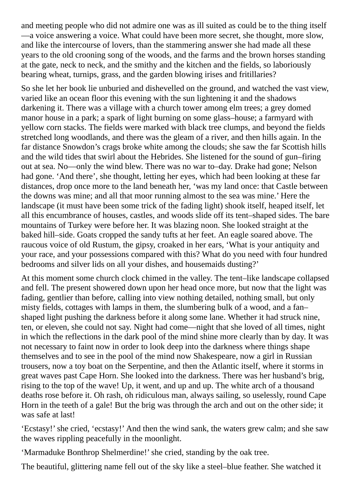and meeting people who did not admire one was as ill suited as could be to the thing itself —a voice answering a voice. What could have been more secret, she thought, more slow, and like the intercourse of lovers, than the stammering answer she had made all these years to the old crooning song of the woods, and the farms and the brown horses standing at the gate, neck to neck, and the smithy and the kitchen and the fields, so laboriously bearing wheat, turnips, grass, and the garden blowing irises and fritillaries?

So she let her book lie unburied and dishevelled on the ground, and watched the vast view, varied like an ocean floor this evening with the sun lightening it and the shadows darkening it. There was a village with a church tower among elm trees; a grey domed manor house in a park; a spark of light burning on some glass–house; a farmyard with yellow corn stacks. The fields were marked with black tree clumps, and beyond the fields stretched long woodlands, and there was the gleam of a river, and then hills again. In the far distance Snowdon's crags broke white among the clouds; she saw the far Scottish hills and the wild tides that swirl about the Hebrides. She listened for the sound of gun–firing out at sea. No—only the wind blew. There was no war to–day. Drake had gone; Nelson had gone. 'And there', she thought, letting her eyes, which had been looking at these far distances, drop once more to the land beneath her, 'was my land once: that Castle between the downs was mine; and all that moor running almost to the sea was mine.' Here the landscape (it must have been some trick of the fading light) shook itself, heaped itself, let all this encumbrance of houses, castles, and woods slide off its tent–shaped sides. The bare mountains of Turkey were before her. It was blazing noon. She looked straight at the baked hill–side. Goats cropped the sandy tufts at her feet. An eagle soared above. The raucous voice of old Rustum, the gipsy, croaked in her ears, 'What is your antiquity and your race, and your possessions compared with this? What do you need with four hundred bedrooms and silver lids on all your dishes, and housemaids dusting?'

At this moment some church clock chimed in the valley. The tent–like landscape collapsed and fell. The present showered down upon her head once more, but now that the light was fading, gentlier than before, calling into view nothing detailed, nothing small, but only misty fields, cottages with lamps in them, the slumbering bulk of a wood, and a fan– shaped light pushing the darkness before it along some lane. Whether it had struck nine, ten, or eleven, she could not say. Night had come—night that she loved of all times, night in which the reflections in the dark pool of the mind shine more clearly than by day. It was not necessary to faint now in order to look deep into the darkness where things shape themselves and to see in the pool of the mind now Shakespeare, now a girl in Russian trousers, now a toy boat on the Serpentine, and then the Atlantic itself, where it storms in great waves past Cape Horn. She looked into the darkness. There was her husband's brig, rising to the top of the wave! Up, it went, and up and up. The white arch of a thousand deaths rose before it. Oh rash, oh ridiculous man, always sailing, so uselessly, round Cape Horn in the teeth of a gale! But the brig was through the arch and out on the other side; it was safe at last!

'Ecstasy!'she cried, 'ecstasy!' And then the wind sank, the waters grew calm; and she saw the waves rippling peacefully in the moonlight.

'Marmaduke Bonthrop Shelmerdine!'she cried, standing by the oak tree.

The beautiful, glittering name fell out of the sky like a steel–blue feather. She watched it